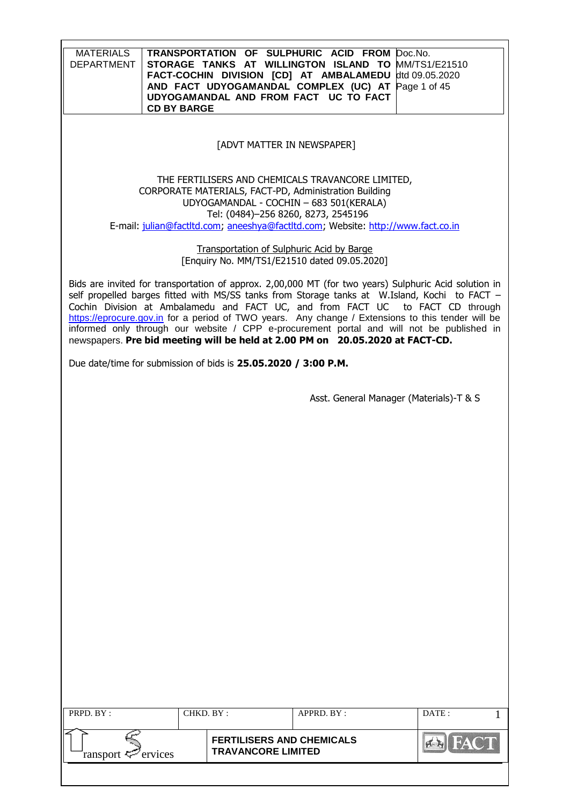| <b>MATERIALS</b><br><b>DEPARTMENT</b><br><b>CD BY BARGE</b>                                                                                                                                                                                                                                                                                                                                                                                                                                                                                                                 |                                                               | TRANSPORTATION OF SULPHURIC ACID FROM<br>STORAGE TANKS AT WILLINGTON ISLAND TO MM/TS1/E21510<br>FACT-COCHIN DIVISION [CD] AT AMBALAMEDU<br>AND FACT UDYOGAMANDAL COMPLEX (UC) AT<br>UDYOGAMANDAL AND FROM FACT UC TO FACT                  | Doc.No.<br>dtd 09.05.2020<br>Page 1 of 45 |
|-----------------------------------------------------------------------------------------------------------------------------------------------------------------------------------------------------------------------------------------------------------------------------------------------------------------------------------------------------------------------------------------------------------------------------------------------------------------------------------------------------------------------------------------------------------------------------|---------------------------------------------------------------|--------------------------------------------------------------------------------------------------------------------------------------------------------------------------------------------------------------------------------------------|-------------------------------------------|
|                                                                                                                                                                                                                                                                                                                                                                                                                                                                                                                                                                             | [ADVT MATTER IN NEWSPAPER]                                    |                                                                                                                                                                                                                                            |                                           |
|                                                                                                                                                                                                                                                                                                                                                                                                                                                                                                                                                                             | Tel: (0484)-256 8260, 8273, 2545196                           | THE FERTILISERS AND CHEMICALS TRAVANCORE LIMITED,<br>CORPORATE MATERIALS, FACT-PD, Administration Building<br>UDYOGAMANDAL - COCHIN - 683 501 (KERALA)<br>E-mail: julian@factltd.com; aneeshya@factltd.com; Website: http://www.fact.co.in |                                           |
|                                                                                                                                                                                                                                                                                                                                                                                                                                                                                                                                                                             | <b>Transportation of Sulphuric Acid by Barge</b>              | [Enquiry No. MM/TS1/E21510 dated 09.05.2020]                                                                                                                                                                                               |                                           |
| Bids are invited for transportation of approx. 2,00,000 MT (for two years) Sulphuric Acid solution in<br>self propelled barges fitted with MS/SS tanks from Storage tanks at W.Island, Kochi to FACT -<br>Cochin Division at Ambalamedu and FACT UC, and from FACT UC to FACT CD through<br>https://eprocure.gov.in for a period of TWO years. Any change / Extensions to this tender will be<br>informed only through our website / CPP e-procurement portal and will not be published in<br>newspapers. Pre bid meeting will be held at 2.00 PM on 20.05.2020 at FACT-CD. |                                                               |                                                                                                                                                                                                                                            |                                           |
| Due date/time for submission of bids is 25.05.2020 / 3:00 P.M.                                                                                                                                                                                                                                                                                                                                                                                                                                                                                                              |                                                               |                                                                                                                                                                                                                                            |                                           |
|                                                                                                                                                                                                                                                                                                                                                                                                                                                                                                                                                                             |                                                               | Asst. General Manager (Materials)-T & S                                                                                                                                                                                                    |                                           |
|                                                                                                                                                                                                                                                                                                                                                                                                                                                                                                                                                                             |                                                               |                                                                                                                                                                                                                                            |                                           |
|                                                                                                                                                                                                                                                                                                                                                                                                                                                                                                                                                                             |                                                               |                                                                                                                                                                                                                                            |                                           |
|                                                                                                                                                                                                                                                                                                                                                                                                                                                                                                                                                                             |                                                               |                                                                                                                                                                                                                                            |                                           |
|                                                                                                                                                                                                                                                                                                                                                                                                                                                                                                                                                                             |                                                               |                                                                                                                                                                                                                                            |                                           |
|                                                                                                                                                                                                                                                                                                                                                                                                                                                                                                                                                                             |                                                               |                                                                                                                                                                                                                                            |                                           |
|                                                                                                                                                                                                                                                                                                                                                                                                                                                                                                                                                                             |                                                               |                                                                                                                                                                                                                                            |                                           |
|                                                                                                                                                                                                                                                                                                                                                                                                                                                                                                                                                                             |                                                               |                                                                                                                                                                                                                                            |                                           |
|                                                                                                                                                                                                                                                                                                                                                                                                                                                                                                                                                                             |                                                               |                                                                                                                                                                                                                                            |                                           |
| PRPD. BY:                                                                                                                                                                                                                                                                                                                                                                                                                                                                                                                                                                   | CHKD. BY:                                                     | APPRD. BY:                                                                                                                                                                                                                                 | DATE:                                     |
| ervices<br>ransport <del>に</del>                                                                                                                                                                                                                                                                                                                                                                                                                                                                                                                                            | <b>FERTILISERS AND CHEMICALS</b><br><b>TRAVANCORE LIMITED</b> |                                                                                                                                                                                                                                            | AN FA                                     |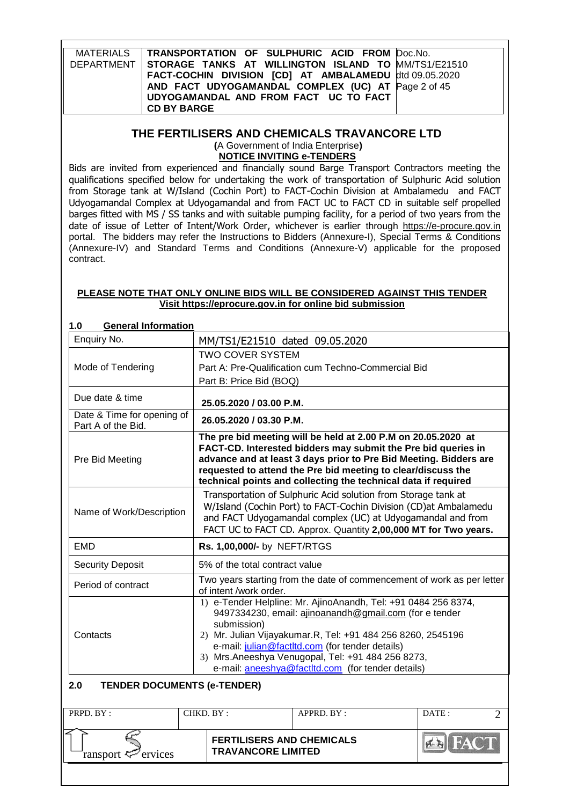| MATERIALS   TRANSPORTATION OF SULPHURIC ACID FROM Doc.No.        |  |
|------------------------------------------------------------------|--|
| DEPARTMENT   STORAGE TANKS AT WILLINGTON ISLAND TO MM/TS1/E21510 |  |
| FACT-COCHIN DIVISION [CD] AT AMBALAMEDU dtd 09.05.2020           |  |
| AND FACT UDYOGAMANDAL COMPLEX (UC) AT Page 2 of 45               |  |
| UDYOGAMANDAL AND FROM FACT UC TO FACT                            |  |
| <b>CD BY BARGE</b>                                               |  |

# **THE FERTILISERS AND CHEMICALS TRAVANCORE LTD**

**(**A Government of India Enterprise**) NOTICE INVITING e-TENDERS**

Bids are invited from experienced and financially sound Barge Transport Contractors meeting the qualifications specified below for undertaking the work of transportation of Sulphuric Acid solution from Storage tank at W/Island (Cochin Port) to FACT-Cochin Division at Ambalamedu and FACT Udyogamandal Complex at Udyogamandal and from FACT UC to FACT CD in suitable self propelled barges fitted with MS / SS tanks and with suitable pumping facility, for a period of two years from the date of issue of Letter of Intent/Work Order, whichever is earlier through [https://e-procure.gov.in](https://e-procure.gov.in/) portal. The bidders may refer the Instructions to Bidders (Annexure-I), Special Terms & Conditions (Annexure-IV) and Standard Terms and Conditions (Annexure-V) applicable for the proposed contract.

#### **PLEASE NOTE THAT ONLY ONLINE BIDS WILL BE CONSIDERED AGAINST THIS TENDER Visit [https://eprocure.gov.in](https://eprocure.gov.in/) for online bid submission**

| v<br><b>OCHCIAI IIIIUI IIIAUUII</b>              |                                                                                                                                                                                                                                                                                                                                                                     |  |  |  |
|--------------------------------------------------|---------------------------------------------------------------------------------------------------------------------------------------------------------------------------------------------------------------------------------------------------------------------------------------------------------------------------------------------------------------------|--|--|--|
| Enquiry No.                                      | MM/TS1/E21510 dated 09.05.2020                                                                                                                                                                                                                                                                                                                                      |  |  |  |
|                                                  | <b>TWO COVER SYSTEM</b>                                                                                                                                                                                                                                                                                                                                             |  |  |  |
| Mode of Tendering                                | Part A: Pre-Qualification cum Techno-Commercial Bid                                                                                                                                                                                                                                                                                                                 |  |  |  |
|                                                  | Part B: Price Bid (BOQ)                                                                                                                                                                                                                                                                                                                                             |  |  |  |
| Due date & time                                  | 25.05.2020 / 03.00 P.M.                                                                                                                                                                                                                                                                                                                                             |  |  |  |
| Date & Time for opening of<br>Part A of the Bid. | 26.05.2020 / 03.30 P.M.                                                                                                                                                                                                                                                                                                                                             |  |  |  |
| Pre Bid Meeting                                  | The pre bid meeting will be held at 2.00 P.M on 20.05.2020 at<br>FACT-CD. Interested bidders may submit the Pre bid queries in<br>advance and at least 3 days prior to Pre Bid Meeting. Bidders are<br>requested to attend the Pre bid meeting to clear/discuss the<br>technical points and collecting the technical data if required                               |  |  |  |
| Name of Work/Description                         | Transportation of Sulphuric Acid solution from Storage tank at<br>W/Island (Cochin Port) to FACT-Cochin Division (CD) at Ambalamedu<br>and FACT Udyogamandal complex (UC) at Udyogamandal and from<br>FACT UC to FACT CD. Approx. Quantity 2,00,000 MT for Two years.                                                                                               |  |  |  |
| <b>EMD</b>                                       | Rs. 1,00,000/- by NEFT/RTGS                                                                                                                                                                                                                                                                                                                                         |  |  |  |
| <b>Security Deposit</b>                          | 5% of the total contract value                                                                                                                                                                                                                                                                                                                                      |  |  |  |
| Period of contract                               | Two years starting from the date of commencement of work as per letter<br>of intent /work order.                                                                                                                                                                                                                                                                    |  |  |  |
| Contacts                                         | 1) e-Tender Helpline: Mr. AjinoAnandh, Tel: +91 0484 256 8374,<br>9497334230, email: ajinoanandh@gmail.com (for e tender<br>submission)<br>2) Mr. Julian Vijayakumar.R, Tel: +91 484 256 8260, 2545196<br>e-mail: julian@factltd.com (for tender details)<br>3) Mrs.Aneeshya Venugopal, Tel: +91 484 256 8273,<br>e-mail: aneeshya@factltd.com (for tender details) |  |  |  |
| 2.0<br><b>TENDER DOCUMENTS (e-TENDER)</b>        |                                                                                                                                                                                                                                                                                                                                                                     |  |  |  |
| PRPD. BY:                                        | CHKD. BY:<br>APPRD. BY:<br>DATE:<br>$\overline{2}$                                                                                                                                                                                                                                                                                                                  |  |  |  |
|                                                  | $\sqrt{15}$ EAC<br><b>FERTILISERS AND CHEMICALS</b>                                                                                                                                                                                                                                                                                                                 |  |  |  |

**TRAVANCORE LIMITED**

**ERITACT** 

## **1.0 General Information**

ransport  $\ll$  ervices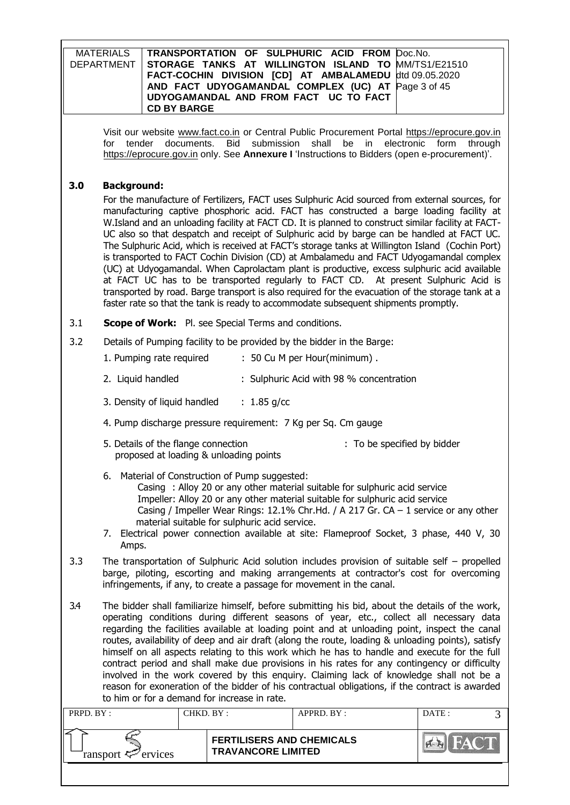| <b>MATERIALS</b><br>TRANSPORTATION OF SULPHURIC ACID FROM<br>Doc.No.<br><b>DEPARTMENT</b><br>STORAGE TANKS AT WILLINGTON ISLAND TO<br>MM/TS1/E21510<br>FACT-COCHIN DIVISION [CD] AT AMBALAMEDU<br>dtd 09.05.2020<br>AND FACT UDYOGAMANDAL COMPLEX (UC) AT<br>Page 3 of 45<br>UDYOGAMANDAL AND FROM FACT UC TO FACT<br><b>CD BY BARGE</b>                                                                                                                                                                                                                                                                                                                                                                                                                                                                                                              |                                                                                                                                                                                                                                                                                                                                                                                                                                                                                                                                                                                                                                                                                                                                                                                                                                                                                                                                                                                  |                                                               |                                                                                                                                                                                                                                  |                 |  |
|-------------------------------------------------------------------------------------------------------------------------------------------------------------------------------------------------------------------------------------------------------------------------------------------------------------------------------------------------------------------------------------------------------------------------------------------------------------------------------------------------------------------------------------------------------------------------------------------------------------------------------------------------------------------------------------------------------------------------------------------------------------------------------------------------------------------------------------------------------|----------------------------------------------------------------------------------------------------------------------------------------------------------------------------------------------------------------------------------------------------------------------------------------------------------------------------------------------------------------------------------------------------------------------------------------------------------------------------------------------------------------------------------------------------------------------------------------------------------------------------------------------------------------------------------------------------------------------------------------------------------------------------------------------------------------------------------------------------------------------------------------------------------------------------------------------------------------------------------|---------------------------------------------------------------|----------------------------------------------------------------------------------------------------------------------------------------------------------------------------------------------------------------------------------|-----------------|--|
|                                                                                                                                                                                                                                                                                                                                                                                                                                                                                                                                                                                                                                                                                                                                                                                                                                                       | for<br>tender<br>documents.                                                                                                                                                                                                                                                                                                                                                                                                                                                                                                                                                                                                                                                                                                                                                                                                                                                                                                                                                      | submission<br><b>Bid</b>                                      | Visit our website www.fact.co.in or Central Public Procurement Portal https://eprocure.gov.in<br>shall<br>be<br>electronic<br>in<br>https://eprocure.gov.in only. See Annexure I 'Instructions to Bidders (open e-procurement)'. | form<br>through |  |
| 3.0                                                                                                                                                                                                                                                                                                                                                                                                                                                                                                                                                                                                                                                                                                                                                                                                                                                   | <b>Background:</b>                                                                                                                                                                                                                                                                                                                                                                                                                                                                                                                                                                                                                                                                                                                                                                                                                                                                                                                                                               |                                                               |                                                                                                                                                                                                                                  |                 |  |
|                                                                                                                                                                                                                                                                                                                                                                                                                                                                                                                                                                                                                                                                                                                                                                                                                                                       | For the manufacture of Fertilizers, FACT uses Sulphuric Acid sourced from external sources, for<br>manufacturing captive phosphoric acid. FACT has constructed a barge loading facility at<br>W.Island and an unloading facility at FACT CD. It is planned to construct similar facility at FACT-<br>UC also so that despatch and receipt of Sulphuric acid by barge can be handled at FACT UC.<br>The Sulphuric Acid, which is received at FACT's storage tanks at Willington Island (Cochin Port)<br>is transported to FACT Cochin Division (CD) at Ambalamedu and FACT Udyogamandal complex<br>(UC) at Udyogamandal. When Caprolactam plant is productive, excess sulphuric acid available<br>at FACT UC has to be transported regularly to FACT CD. At present Sulphuric Acid is<br>transported by road. Barge transport is also required for the evacuation of the storage tank at a<br>faster rate so that the tank is ready to accommodate subsequent shipments promptly. |                                                               |                                                                                                                                                                                                                                  |                 |  |
| 3.1                                                                                                                                                                                                                                                                                                                                                                                                                                                                                                                                                                                                                                                                                                                                                                                                                                                   | <b>Scope of Work:</b> Pl. see Special Terms and conditions.                                                                                                                                                                                                                                                                                                                                                                                                                                                                                                                                                                                                                                                                                                                                                                                                                                                                                                                      |                                                               |                                                                                                                                                                                                                                  |                 |  |
| 3.2                                                                                                                                                                                                                                                                                                                                                                                                                                                                                                                                                                                                                                                                                                                                                                                                                                                   |                                                                                                                                                                                                                                                                                                                                                                                                                                                                                                                                                                                                                                                                                                                                                                                                                                                                                                                                                                                  |                                                               | Details of Pumping facility to be provided by the bidder in the Barge:                                                                                                                                                           |                 |  |
|                                                                                                                                                                                                                                                                                                                                                                                                                                                                                                                                                                                                                                                                                                                                                                                                                                                       | 1. Pumping rate required                                                                                                                                                                                                                                                                                                                                                                                                                                                                                                                                                                                                                                                                                                                                                                                                                                                                                                                                                         |                                                               | : 50 Cu M per Hour(minimum).                                                                                                                                                                                                     |                 |  |
|                                                                                                                                                                                                                                                                                                                                                                                                                                                                                                                                                                                                                                                                                                                                                                                                                                                       | 2. Liquid handled                                                                                                                                                                                                                                                                                                                                                                                                                                                                                                                                                                                                                                                                                                                                                                                                                                                                                                                                                                |                                                               | : Sulphuric Acid with 98 % concentration                                                                                                                                                                                         |                 |  |
|                                                                                                                                                                                                                                                                                                                                                                                                                                                                                                                                                                                                                                                                                                                                                                                                                                                       | 3. Density of liquid handled                                                                                                                                                                                                                                                                                                                                                                                                                                                                                                                                                                                                                                                                                                                                                                                                                                                                                                                                                     | : $1.85$ g/cc                                                 |                                                                                                                                                                                                                                  |                 |  |
|                                                                                                                                                                                                                                                                                                                                                                                                                                                                                                                                                                                                                                                                                                                                                                                                                                                       | 4. Pump discharge pressure requirement: 7 Kg per Sq. Cm gauge                                                                                                                                                                                                                                                                                                                                                                                                                                                                                                                                                                                                                                                                                                                                                                                                                                                                                                                    |                                                               |                                                                                                                                                                                                                                  |                 |  |
|                                                                                                                                                                                                                                                                                                                                                                                                                                                                                                                                                                                                                                                                                                                                                                                                                                                       | 5. Details of the flange connection<br>proposed at loading & unloading points                                                                                                                                                                                                                                                                                                                                                                                                                                                                                                                                                                                                                                                                                                                                                                                                                                                                                                    |                                                               | : To be specified by bidder                                                                                                                                                                                                      |                 |  |
| 6. Material of Construction of Pump suggested:<br>Casing: Alloy 20 or any other material suitable for sulphuric acid service<br>Impeller: Alloy 20 or any other material suitable for sulphuric acid service<br>Casing / Impeller Wear Rings: 12.1% Chr.Hd. / A 217 Gr. CA - 1 service or any other<br>material suitable for sulphuric acid service.<br>7. Electrical power connection available at site: Flameproof Socket, 3 phase, 440 V, 30<br>Amps.                                                                                                                                                                                                                                                                                                                                                                                              |                                                                                                                                                                                                                                                                                                                                                                                                                                                                                                                                                                                                                                                                                                                                                                                                                                                                                                                                                                                  |                                                               |                                                                                                                                                                                                                                  |                 |  |
| 3.3                                                                                                                                                                                                                                                                                                                                                                                                                                                                                                                                                                                                                                                                                                                                                                                                                                                   | The transportation of Sulphuric Acid solution includes provision of suitable self $-$ propelled<br>barge, piloting, escorting and making arrangements at contractor's cost for overcoming<br>infringements, if any, to create a passage for movement in the canal.                                                                                                                                                                                                                                                                                                                                                                                                                                                                                                                                                                                                                                                                                                               |                                                               |                                                                                                                                                                                                                                  |                 |  |
| The bidder shall familiarize himself, before submitting his bid, about the details of the work,<br>3.4<br>operating conditions during different seasons of year, etc., collect all necessary data<br>regarding the facilities available at loading point and at unloading point, inspect the canal<br>routes, availability of deep and air draft (along the route, loading & unloading points), satisfy<br>himself on all aspects relating to this work which he has to handle and execute for the full<br>contract period and shall make due provisions in his rates for any contingency or difficulty<br>involved in the work covered by this enquiry. Claiming lack of knowledge shall not be a<br>reason for exoneration of the bidder of his contractual obligations, if the contract is awarded<br>to him or for a demand for increase in rate. |                                                                                                                                                                                                                                                                                                                                                                                                                                                                                                                                                                                                                                                                                                                                                                                                                                                                                                                                                                                  |                                                               |                                                                                                                                                                                                                                  |                 |  |
| PRPD. BY:                                                                                                                                                                                                                                                                                                                                                                                                                                                                                                                                                                                                                                                                                                                                                                                                                                             |                                                                                                                                                                                                                                                                                                                                                                                                                                                                                                                                                                                                                                                                                                                                                                                                                                                                                                                                                                                  | CHKD. BY:                                                     | APPRD. BY:                                                                                                                                                                                                                       | DATE:<br>3      |  |
|                                                                                                                                                                                                                                                                                                                                                                                                                                                                                                                                                                                                                                                                                                                                                                                                                                                       | ransport $\zeta$<br>ervices                                                                                                                                                                                                                                                                                                                                                                                                                                                                                                                                                                                                                                                                                                                                                                                                                                                                                                                                                      | <b>FERTILISERS AND CHEMICALS</b><br><b>TRAVANCORE LIMITED</b> |                                                                                                                                                                                                                                  |                 |  |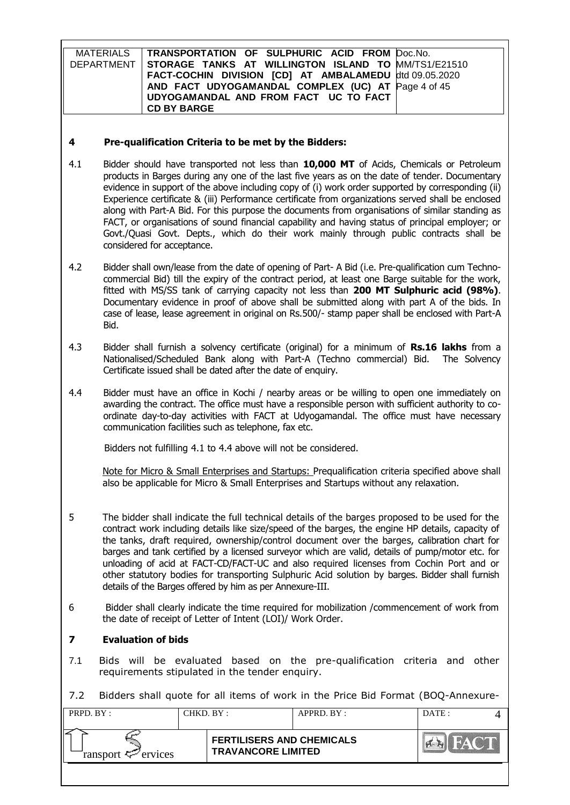| MATERIALS   TRANSPORTATION OF SULPHURIC ACID FROM Doc.No.      |  |
|----------------------------------------------------------------|--|
| DEPARTMENT STORAGE TANKS AT WILLINGTON ISLAND TO MM/TS1/E21510 |  |
| FACT-COCHIN DIVISION [CD] AT AMBALAMEDU dtd 09.05.2020         |  |
| AND FACT UDYOGAMANDAL COMPLEX (UC) AT Page 4 of 45             |  |
| UDYOGAMANDAL AND FROM FACT UC TO FACT                          |  |
| <b>CD BY BARGE</b>                                             |  |

#### **4 Pre-qualification Criteria to be met by the Bidders:**

- 4.1 Bidder should have transported not less than **10,000 MT** of Acids, Chemicals or Petroleum products in Barges during any one of the last five years as on the date of tender. Documentary evidence in support of the above including copy of (i) work order supported by corresponding (ii) Experience certificate & (iii) Performance certificate from organizations served shall be enclosed along with Part-A Bid. For this purpose the documents from organisations of similar standing as FACT, or organisations of sound financial capability and having status of principal employer; or Govt./Quasi Govt. Depts., which do their work mainly through public contracts shall be considered for acceptance.
- 4.2 Bidder shall own/lease from the date of opening of Part- A Bid (i.e. Pre-qualification cum Technocommercial Bid) till the expiry of the contract period, at least one Barge suitable for the work, fitted with MS/SS tank of carrying capacity not less than **200 MT Sulphuric acid (98%)**. Documentary evidence in proof of above shall be submitted along with part A of the bids. In case of lease, lease agreement in original on Rs.500/- stamp paper shall be enclosed with Part-A Bid.
- 4.3 Bidder shall furnish a solvency certificate (original) for a minimum of **Rs.16 lakhs** from a Nationalised/Scheduled Bank along with Part-A (Techno commercial) Bid. The Solvency Certificate issued shall be dated after the date of enquiry.
- 4.4 Bidder must have an office in Kochi / nearby areas or be willing to open one immediately on awarding the contract. The office must have a responsible person with sufficient authority to coordinate day-to-day activities with FACT at Udyogamandal. The office must have necessary communication facilities such as telephone, fax etc.

Bidders not fulfilling 4.1 to 4.4 above will not be considered.

Note for Micro & Small Enterprises and Startups: Prequalification criteria specified above shall also be applicable for Micro & Small Enterprises and Startups without any relaxation.

- 5 The bidder shall indicate the full technical details of the barges proposed to be used for the contract work including details like size/speed of the barges, the engine HP details, capacity of the tanks, draft required, ownership/control document over the barges, calibration chart for barges and tank certified by a licensed surveyor which are valid, details of pump/motor etc. for unloading of acid at FACT-CD/FACT-UC and also required licenses from Cochin Port and or other statutory bodies for transporting Sulphuric Acid solution by barges. Bidder shall furnish details of the Barges offered by him as per Annexure-III.
- 6 Bidder shall clearly indicate the time required for mobilization /commencement of work from the date of receipt of Letter of Intent (LOI)/ Work Order.

## **7 Evaluation of bids**

7.1 Bids will be evaluated based on the pre-qualification criteria and other requirements stipulated in the tender enquiry.

7.2 Bidders shall quote for all items of work in the Price Bid Format (BOQ-Annexure-

| PRPD. BY:              | CHKD. BY: |                                                               | APPRD. BY: | DATA |  |
|------------------------|-----------|---------------------------------------------------------------|------------|------|--|
| ransport $\ll$ ervices |           | <b>FERTILISERS AND CHEMICALS</b><br><b>TRAVANCORE LIMITED</b> |            |      |  |
|                        |           |                                                               |            |      |  |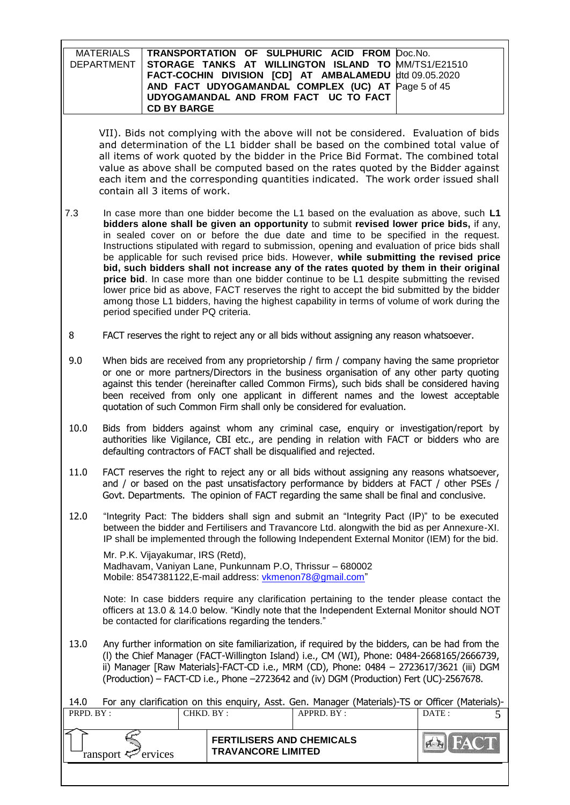| MATERIALS   TRANSPORTATION OF SULPHURIC ACID FROM Doc.No.        |  |
|------------------------------------------------------------------|--|
| DEPARTMENT   STORAGE TANKS AT WILLINGTON ISLAND TO MM/TS1/E21510 |  |
| FACT-COCHIN DIVISION [CD] AT AMBALAMEDU dtd 09.05.2020           |  |
| AND FACT UDYOGAMANDAL COMPLEX (UC) AT Page 5 of 45               |  |
| UDYOGAMANDAL AND FROM FACT UC TO FACT                            |  |
| <b>CD BY BARGE</b>                                               |  |
|                                                                  |  |

VII). Bids not complying with the above will not be considered. Evaluation of bids and determination of the L1 bidder shall be based on the combined total value of all items of work quoted by the bidder in the Price Bid Format. The combined total value as above shall be computed based on the rates quoted by the Bidder against each item and the corresponding quantities indicated. The work order issued shall contain all 3 items of work.

- 7.3 In case more than one bidder become the L1 based on the evaluation as above, such **L1 bidders alone shall be given an opportunity** to submit **revised lower price bids,** if any, in sealed cover on or before the due date and time to be specified in the request. Instructions stipulated with regard to submission, opening and evaluation of price bids shall be applicable for such revised price bids. However, **while submitting the revised price bid, such bidders shall not increase any of the rates quoted by them in their original price bid**. In case more than one bidder continue to be L1 despite submitting the revised lower price bid as above, FACT reserves the right to accept the bid submitted by the bidder among those L1 bidders, having the highest capability in terms of volume of work during the period specified under PQ criteria.
- 8 FACT reserves the right to reject any or all bids without assigning any reason whatsoever.
- 9.0 When bids are received from any proprietorship / firm / company having the same proprietor or one or more partners/Directors in the business organisation of any other party quoting against this tender (hereinafter called Common Firms), such bids shall be considered having been received from only one applicant in different names and the lowest acceptable quotation of such Common Firm shall only be considered for evaluation.
- 10.0 Bids from bidders against whom any criminal case, enquiry or investigation/report by authorities like Vigilance, CBI etc., are pending in relation with FACT or bidders who are defaulting contractors of FACT shall be disqualified and rejected.
- 11.0 FACT reserves the right to reject any or all bids without assigning any reasons whatsoever, and / or based on the past unsatisfactory performance by bidders at FACT / other PSEs / Govt. Departments. The opinion of FACT regarding the same shall be final and conclusive.
- 12.0 "Integrity Pact: The bidders shall sign and submit an "Integrity Pact (IP)" to be executed between the bidder and Fertilisers and Travancore Ltd. alongwith the bid as per Annexure-XI. IP shall be implemented through the following Independent External Monitor (IEM) for the bid.

Mr. P.K. Vijayakumar, IRS (Retd), Madhavam, Vaniyan Lane, Punkunnam P.O, Thrissur – 680002 Mobile: [8547381122,](callto:8547381122) E-mail address: [vkmenon78@gmail.com"](mailto:vkmenon78@gmail.com)

 Note: In case bidders require any clarification pertaining to the tender please contact the officers at 13.0 & 14.0 below. "Kindly note that the Independent External Monitor should NOT be contacted for clarifications regarding the tenders."

13.0 Any further information on site familiarization, if required by the bidders, can be had from the (l) the Chief Manager (FACT-Willington Island) i.e., CM (WI), Phone: 0484-2668165/2666739, ii) Manager [Raw Materials]-FACT-CD i.e., MRM (CD), Phone: 0484 – 2723617/3621 (iii) DGM (Production) – FACT-CD i.e., Phone –2723642 and (iv) DGM (Production) Fert (UC)-2567678.

| For any clarification on this enguiry, Asst. Gen. Manager (Materials)-TS or Officer (Materials)-<br>14.0 |  |                                                               |            |                |  |
|----------------------------------------------------------------------------------------------------------|--|---------------------------------------------------------------|------------|----------------|--|
| PRPD. BY:<br>CHKD. BY:                                                                                   |  |                                                               | APPRD. BY: | DATE:          |  |
|                                                                                                          |  |                                                               |            |                |  |
| ransport $\mathcal{P}$ ervices                                                                           |  | <b>FERTILISERS AND CHEMICALS</b><br><b>TRAVANCORE LIMITED</b> |            | <b>EXIFACT</b> |  |
|                                                                                                          |  |                                                               |            |                |  |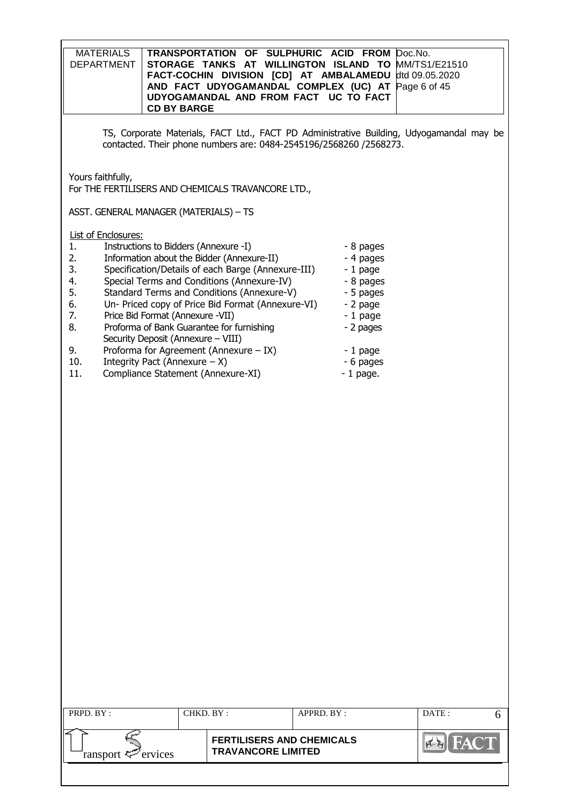| <b>MATERIALS</b><br><b>DEPARTMENT</b><br><b>CD BY BARGE</b>                                                                                                                                                                                                                                                                                                                                                                                                                                                                                                                                                                                                                                                                                                                                                                                                                              | TRANSPORTATION OF SULPHURIC ACID FROM Doc.No.<br>STORAGE TANKS AT WILLINGTON ISLAND TO MM/TS1/E21510<br>FACT-COCHIN DIVISION [CD] AT AMBALAMEDU<br>AND FACT UDYOGAMANDAL COMPLEX (UC) AT Page 6 of 45<br>UDYOGAMANDAL AND FROM FACT UC TO FACT |            | dtd 09.05.2020                                                                           |  |  |
|------------------------------------------------------------------------------------------------------------------------------------------------------------------------------------------------------------------------------------------------------------------------------------------------------------------------------------------------------------------------------------------------------------------------------------------------------------------------------------------------------------------------------------------------------------------------------------------------------------------------------------------------------------------------------------------------------------------------------------------------------------------------------------------------------------------------------------------------------------------------------------------|------------------------------------------------------------------------------------------------------------------------------------------------------------------------------------------------------------------------------------------------|------------|------------------------------------------------------------------------------------------|--|--|
|                                                                                                                                                                                                                                                                                                                                                                                                                                                                                                                                                                                                                                                                                                                                                                                                                                                                                          | contacted. Their phone numbers are: 0484-2545196/2568260 /2568273.                                                                                                                                                                             |            | TS, Corporate Materials, FACT Ltd., FACT PD Administrative Building, Udyogamandal may be |  |  |
| Yours faithfully,                                                                                                                                                                                                                                                                                                                                                                                                                                                                                                                                                                                                                                                                                                                                                                                                                                                                        |                                                                                                                                                                                                                                                |            |                                                                                          |  |  |
|                                                                                                                                                                                                                                                                                                                                                                                                                                                                                                                                                                                                                                                                                                                                                                                                                                                                                          |                                                                                                                                                                                                                                                |            |                                                                                          |  |  |
| For THE FERTILISERS AND CHEMICALS TRAVANCORE LTD.,<br>ASST. GENERAL MANAGER (MATERIALS) - TS<br><b>List of Enclosures:</b><br>Instructions to Bidders (Annexure -I)<br>1.<br>- 8 pages<br>Information about the Bidder (Annexure-II)<br>2.<br>- 4 pages<br>Specification/Details of each Barge (Annexure-III)<br>3.<br>$-1$ page<br>Special Terms and Conditions (Annexure-IV)<br>4.<br>- 8 pages<br>5.<br>Standard Terms and Conditions (Annexure-V)<br>- 5 pages<br>Un- Priced copy of Price Bid Format (Annexure-VI)<br>6.<br>- 2 page<br>7.<br>Price Bid Format (Annexure -VII)<br>$-1$ page<br>8.<br>Proforma of Bank Guarantee for furnishing<br>- 2 pages<br>Security Deposit (Annexure - VIII)<br>9.<br>Proforma for Agreement (Annexure $-$ IX)<br>$-1$ page<br>Integrity Pact (Annexure $- X$ )<br>10.<br>- 6 pages<br>Compliance Statement (Annexure-XI)<br>11.<br>$-1$ page. |                                                                                                                                                                                                                                                |            |                                                                                          |  |  |
| PRPD. BY:                                                                                                                                                                                                                                                                                                                                                                                                                                                                                                                                                                                                                                                                                                                                                                                                                                                                                | CHKD. BY:                                                                                                                                                                                                                                      | APPRD. BY: | DATE:<br>6                                                                               |  |  |
| ervices<br>ransport                                                                                                                                                                                                                                                                                                                                                                                                                                                                                                                                                                                                                                                                                                                                                                                                                                                                      | <b>FERTILISERS AND CHEMICALS</b><br><b>TRAVANCORE LIMITED</b>                                                                                                                                                                                  |            | $\frac{1}{2}$                                                                            |  |  |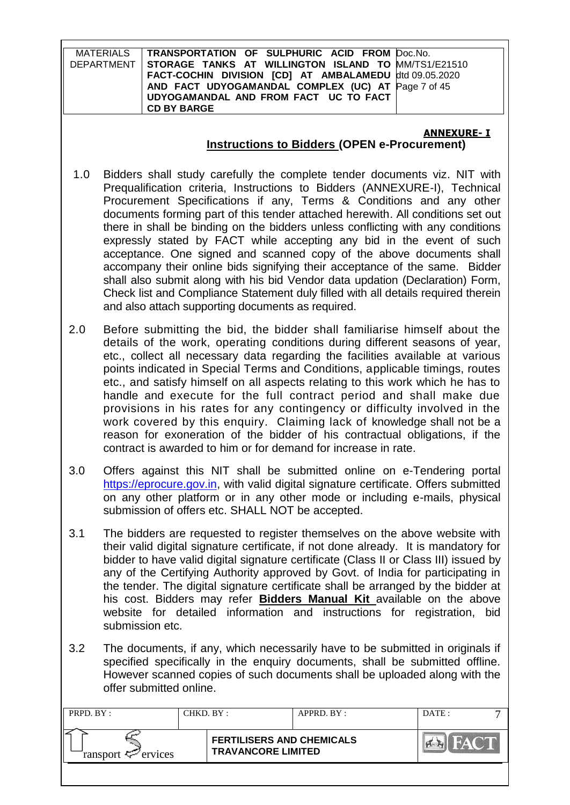|         | TRANSPORTATION OF SULPHURIC ACID FROM Doc.No.<br><b>MATERIALS</b><br><b>DEPARTMENT</b><br>STORAGE TANKS AT WILLINGTON ISLAND TO MM/TS1/E21510<br>FACT-COCHIN DIVISION [CD] AT AMBALAMEDU<br>dtd 09.05.2020<br>AND FACT UDYOGAMANDAL COMPLEX (UC) AT Page 7 of 45<br>UDYOGAMANDAL AND FROM FACT UC TO FACT<br><b>CD BY BARGE</b>                                                                                                                                                                                                                                                                                                                                                                                                                                                                                                                                 |
|---------|-----------------------------------------------------------------------------------------------------------------------------------------------------------------------------------------------------------------------------------------------------------------------------------------------------------------------------------------------------------------------------------------------------------------------------------------------------------------------------------------------------------------------------------------------------------------------------------------------------------------------------------------------------------------------------------------------------------------------------------------------------------------------------------------------------------------------------------------------------------------|
|         | <b>ANNEXURE- I</b><br><b>Instructions to Bidders (OPEN e-Procurement)</b>                                                                                                                                                                                                                                                                                                                                                                                                                                                                                                                                                                                                                                                                                                                                                                                       |
| 1.0     | Bidders shall study carefully the complete tender documents viz. NIT with<br>Prequalification criteria, Instructions to Bidders (ANNEXURE-I), Technical<br>Procurement Specifications if any, Terms & Conditions and any other<br>documents forming part of this tender attached herewith. All conditions set out<br>there in shall be binding on the bidders unless conflicting with any conditions<br>expressly stated by FACT while accepting any bid in the event of such<br>acceptance. One signed and scanned copy of the above documents shall<br>accompany their online bids signifying their acceptance of the same. Bidder<br>shall also submit along with his bid Vendor data updation (Declaration) Form,<br>Check list and Compliance Statement duly filled with all details required therein<br>and also attach supporting documents as required. |
| 2.0     | Before submitting the bid, the bidder shall familiarise himself about the<br>details of the work, operating conditions during different seasons of year,<br>etc., collect all necessary data regarding the facilities available at various<br>points indicated in Special Terms and Conditions, applicable timings, routes<br>etc., and satisfy himself on all aspects relating to this work which he has to<br>handle and execute for the full contract period and shall make due<br>provisions in his rates for any contingency or difficulty involved in the<br>work covered by this enquiry. Claiming lack of knowledge shall not be a<br>reason for exoneration of the bidder of his contractual obligations, if the<br>contract is awarded to him or for demand for increase in rate.                                                                     |
| 3.0     | Offers against this NIT shall be submitted online on e-Tendering portal<br>https://eprocure.gov.in, with valid digital signature certificate. Offers submitted<br>on any other platform or in any other mode or including e-mails, physical<br>submission of offers etc. SHALL NOT be accepted.                                                                                                                                                                                                                                                                                                                                                                                                                                                                                                                                                                 |
| 3.1     | The bidders are requested to register themselves on the above website with<br>their valid digital signature certificate, if not done already. It is mandatory for<br>bidder to have valid digital signature certificate (Class II or Class III) issued by<br>any of the Certifying Authority approved by Govt. of India for participating in<br>the tender. The digital signature certificate shall be arranged by the bidder at<br>his cost. Bidders may refer <b>Bidders Manual Kit</b> available on the above<br>website for detailed information and instructions for registration, bid<br>submission etc.                                                                                                                                                                                                                                                  |
| 3.2     | The documents, if any, which necessarily have to be submitted in originals if<br>specified specifically in the enquiry documents, shall be submitted offline.<br>However scanned copies of such documents shall be uploaded along with the<br>offer submitted online.                                                                                                                                                                                                                                                                                                                                                                                                                                                                                                                                                                                           |
| pppp pt | $\lambda$<br><b>DATE</b>                                                                                                                                                                                                                                                                                                                                                                                                                                                                                                                                                                                                                                                                                                                                                                                                                                        |

| PRPD. BY:              | CHKD. BY : |                                                               | APPRD. BY: | DATE: |  |
|------------------------|------------|---------------------------------------------------------------|------------|-------|--|
| ransport $\ll$ ervices |            | <b>FERTILISERS AND CHEMICALS</b><br><b>TRAVANCORE LIMITED</b> |            |       |  |
|                        |            |                                                               |            |       |  |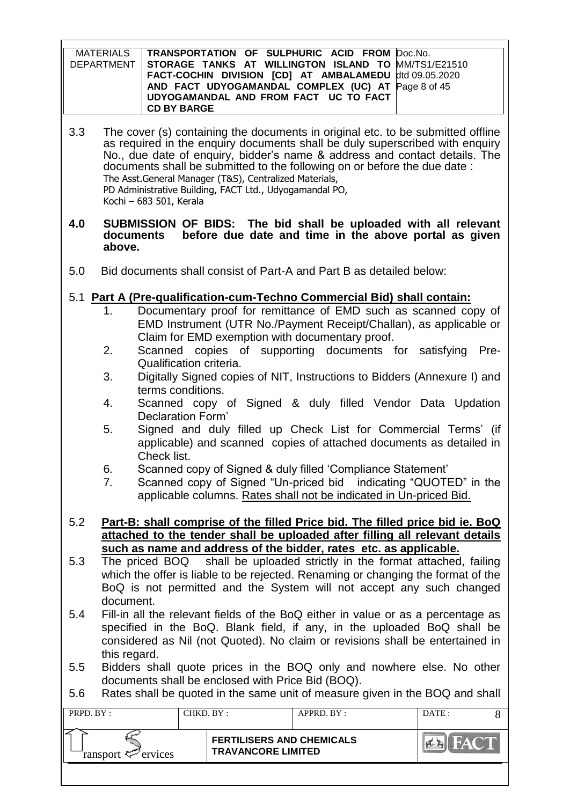| MATERIALS | TRANSPORTATION OF SULPHURIC ACID FROM Doc.No.                  |  |
|-----------|----------------------------------------------------------------|--|
|           | DEPARTMENT STORAGE TANKS AT WILLINGTON ISLAND TO MM/TS1/E21510 |  |
|           | FACT-COCHIN DIVISION [CD] AT AMBALAMEDU dtd 09.05.2020         |  |
|           | AND FACT UDYOGAMANDAL COMPLEX (UC) AT Page 8 of 45             |  |
|           | UDYOGAMANDAL AND FROM FACT UC TO FACT                          |  |
|           | <b>CD BY BARGE</b>                                             |  |

3.3 The cover (s) containing the documents in original etc. to be submitted offline as required in the enquiry documents shall be duly superscribed with enquiry No., due date of enquiry, bidder"s name & address and contact details. The documents shall be submitted to the following on or before the due date : The Asst.General Manager (T&S), Centralized Materials, PD Administrative Building, FACT Ltd., Udyogamandal PO, Kochi – 683 501, Kerala

#### **4.0 SUBMISSION OF BIDS: The bid shall be uploaded with all relevant before due date and time in the above portal as given above.**

- 5.0 Bid documents shall consist of Part-A and Part B as detailed below:
- 5.1 **Part A (Pre-qualification-cum-Techno Commercial Bid) shall contain:**
	- 1. Documentary proof for remittance of EMD such as scanned copy of EMD Instrument (UTR No./Payment Receipt/Challan), as applicable or Claim for EMD exemption with documentary proof.
	- 2. Scanned copies of supporting documents for satisfying Pre-Qualification criteria.
	- 3. Digitally Signed copies of NIT, Instructions to Bidders (Annexure I) and terms conditions.
	- 4. Scanned copy of Signed & duly filled Vendor Data Updation Declaration Form"
	- 5. Signed and duly filled up Check List for Commercial Terms" (if applicable) and scanned copies of attached documents as detailed in Check list.
	- 6. Scanned copy of Signed & duly filled "Compliance Statement"
	- 7. Scanned copy of Signed "Un-priced bid indicating "QUOTED" in the applicable columns. Rates shall not be indicated in Un-priced Bid.
- 5.2 **Part-B: shall comprise of the filled Price bid. The filled price bid ie. BoQ attached to the tender shall be uploaded after filling all relevant details such as name and address of the bidder, rates etc. as applicable.**
- 5.3 The priced BOQ shall be uploaded strictly in the format attached, failing which the offer is liable to be rejected. Renaming or changing the format of the BoQ is not permitted and the System will not accept any such changed document.
- 5.4 Fill-in all the relevant fields of the BoQ either in value or as a percentage as specified in the BoQ. Blank field, if any, in the uploaded BoQ shall be considered as Nil (not Quoted). No claim or revisions shall be entertained in this regard.
- 5.5 Bidders shall quote prices in the BOQ only and nowhere else. No other documents shall be enclosed with Price Bid (BOQ).
- 5.6 Rates shall be quoted in the same unit of measure given in the BOQ and shall

| PRPD. BY:                  | CHKD. BY :-                                                   | APPRD. BY: | DATE: |  |
|----------------------------|---------------------------------------------------------------|------------|-------|--|
| ransport $\approx$ ervices | <b>FERTILISERS AND CHEMICALS</b><br><b>TRAVANCORE LIMITED</b> |            |       |  |
|                            |                                                               |            |       |  |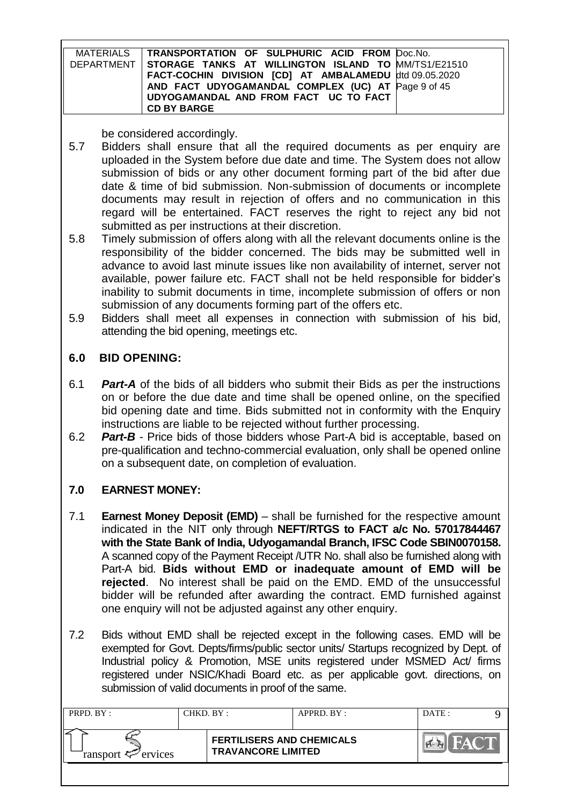| MATERIALS | TRANSPORTATION OF SULPHURIC ACID FROM Doc.No.                  |  |
|-----------|----------------------------------------------------------------|--|
|           | DEPARTMENT STORAGE TANKS AT WILLINGTON ISLAND TO MM/TS1/E21510 |  |
|           | FACT-COCHIN DIVISION [CD] AT AMBALAMEDU dtd 09.05.2020         |  |
|           | AND FACT UDYOGAMANDAL COMPLEX (UC) AT Page 9 of 45             |  |
|           | UDYOGAMANDAL AND FROM FACT UC TO FACT                          |  |
|           | <b>CD BY BARGE</b>                                             |  |

be considered accordingly.

- 5.7 Bidders shall ensure that all the required documents as per enquiry are uploaded in the System before due date and time. The System does not allow submission of bids or any other document forming part of the bid after due date & time of bid submission. Non-submission of documents or incomplete documents may result in rejection of offers and no communication in this regard will be entertained. FACT reserves the right to reject any bid not submitted as per instructions at their discretion.
- 5.8 Timely submission of offers along with all the relevant documents online is the responsibility of the bidder concerned. The bids may be submitted well in advance to avoid last minute issues like non availability of internet, server not available, power failure etc. FACT shall not be held responsible for bidder"s inability to submit documents in time, incomplete submission of offers or non submission of any documents forming part of the offers etc.
- 5.9 Bidders shall meet all expenses in connection with submission of his bid, attending the bid opening, meetings etc.

# **6.0 BID OPENING:**

- 6.1 *Part-A* of the bids of all bidders who submit their Bids as per the instructions on or before the due date and time shall be opened online, on the specified bid opening date and time. Bids submitted not in conformity with the Enquiry instructions are liable to be rejected without further processing.
- 6.2 *Part-B* Price bids of those bidders whose Part-A bid is acceptable, based on pre-qualification and techno-commercial evaluation, only shall be opened online on a subsequent date, on completion of evaluation.

# **7.0 EARNEST MONEY:**

- 7.1 **Earnest Money Deposit (EMD)** shall be furnished for the respective amount indicated in the NIT only through **NEFT/RTGS to FACT a/c No. 57017844467 with the State Bank of India, Udyogamandal Branch, IFSC Code SBIN0070158.**  A scanned copy of the Payment Receipt /UTR No. shall also be furnished along with Part-A bid. **Bids without EMD or inadequate amount of EMD will be rejected**. No interest shall be paid on the EMD. EMD of the unsuccessful bidder will be refunded after awarding the contract. EMD furnished against one enquiry will not be adjusted against any other enquiry.
- 7.2 Bids without EMD shall be rejected except in the following cases. EMD will be exempted for Govt. Depts/firms/public sector units/ Startups recognized by Dept. of Industrial policy & Promotion, MSE units registered under MSMED Act/ firms registered under NSIC/Khadi Board etc. as per applicable govt. directions, on submission of valid documents in proof of the same.

| PRPD. BY :                     | CHKD. BY :                | APPRD. BY:                       | DATE: |
|--------------------------------|---------------------------|----------------------------------|-------|
| ransport $\mathcal{P}$ ervices | <b>TRAVANCORE LIMITED</b> | <b>FERTILISERS AND CHEMICALS</b> |       |
|                                |                           |                                  |       |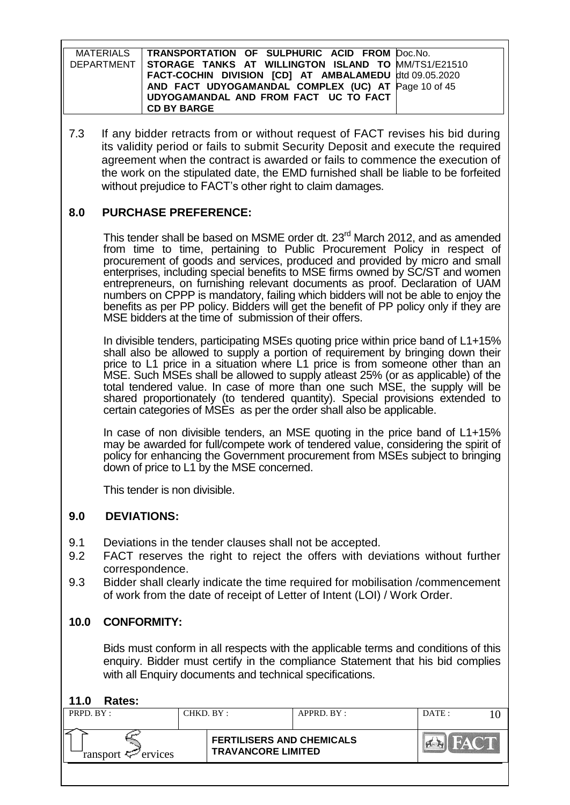| MATERIALS TRANSPORTATION OF SULPHURIC ACID FROM Doc.No.          |  |
|------------------------------------------------------------------|--|
| DEPARTMENT   STORAGE TANKS AT WILLINGTON ISLAND TO MM/TS1/E21510 |  |
| FACT-COCHIN DIVISION [CD] AT AMBALAMEDU dtd 09.05.2020           |  |
| AND FACT UDYOGAMANDAL COMPLEX (UC) AT Page 10 of 45              |  |
| UDYOGAMANDAL AND FROM FACT UC TO FACT                            |  |
| <b>CD BY BARGE</b>                                               |  |

7.3 If any bidder retracts from or without request of FACT revises his bid during its validity period or fails to submit Security Deposit and execute the required agreement when the contract is awarded or fails to commence the execution of the work on the stipulated date, the EMD furnished shall be liable to be forfeited without prejudice to FACT's other right to claim damages.

# **8.0 PURCHASE PREFERENCE:**

This tender shall be based on MSME order dt. 23<sup>rd</sup> March 2012, and as amended from time to time, pertaining to Public Procurement Policy in respect of procurement of goods and services, produced and provided by micro and small enterprises, including special benefits to MSE firms owned by SC/ST and women entrepreneurs, on furnishing relevant documents as proof. Declaration of UAM numbers on CPPP is mandatory, failing which bidders will not be able to enjoy the benefits as per PP policy. Bidders will get the benefit of PP policy only if they are MSE bidders at the time of submission of their offers.

In divisible tenders, participating MSEs quoting price within price band of L1+15% shall also be allowed to supply a portion of requirement by bringing down their price to L1 price in a situation where L1 price is from someone other than an MSE. Such MSEs shall be allowed to supply atleast 25% (or as applicable) of the total tendered value. In case of more than one such MSE, the supply will be shared proportionately (to tendered quantity). Special provisions extended to certain categories of MSEs as per the order shall also be applicable.

In case of non divisible tenders, an MSE quoting in the price band of L1+15% may be awarded for full/compete work of tendered value, considering the spirit of policy for enhancing the Government procurement from MSEs subject to bringing down of price to L1 by the MSE concerned.

This tender is non divisible.

# **9.0 DEVIATIONS:**

- 9.1 Deviations in the tender clauses shall not be accepted.
- 9.2 FACT reserves the right to reject the offers with deviations without further correspondence.
- 9.3 Bidder shall clearly indicate the time required for mobilisation /commencement of work from the date of receipt of Letter of Intent (LOI) / Work Order.

# **10.0 CONFORMITY:**

Bids must conform in all respects with the applicable terms and conditions of this enquiry. Bidder must certify in the compliance Statement that his bid complies with all Enquiry documents and technical specifications.

# **11.0 Rates:**

| PRPD. BY:                  | CHKD. BY: |                                                               | APPRD. BY: | DATE: |  |
|----------------------------|-----------|---------------------------------------------------------------|------------|-------|--|
| ransport $\approx$ ervices |           | <b>FERTILISERS AND CHEMICALS</b><br><b>TRAVANCORE LIMITED</b> |            |       |  |
|                            |           |                                                               |            |       |  |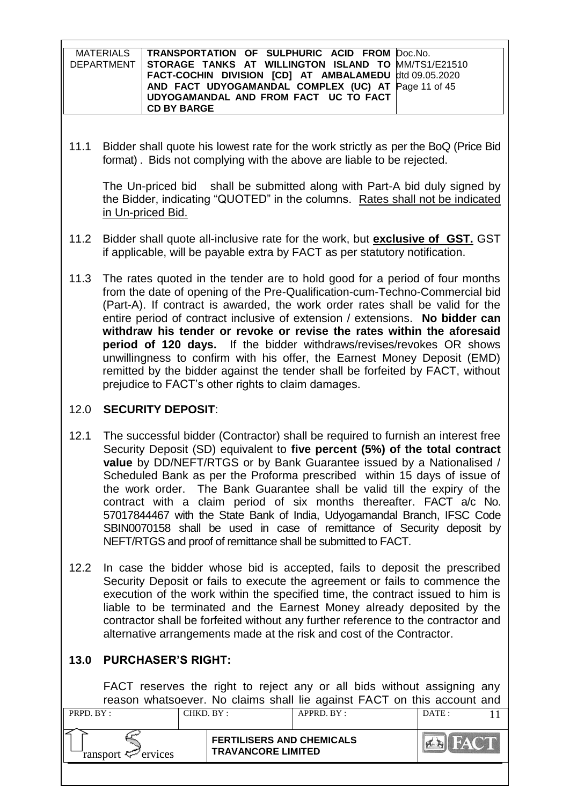| MATERIALS | TRANSPORTATION OF SULPHURIC ACID FROM Doc.No.                  |  |
|-----------|----------------------------------------------------------------|--|
|           | DEPARTMENT STORAGE TANKS AT WILLINGTON ISLAND TO MM/TS1/E21510 |  |
|           | FACT-COCHIN DIVISION [CD] AT AMBALAMEDU dtd 09.05.2020         |  |
|           | AND FACT UDYOGAMANDAL COMPLEX (UC) AT Page 11 of 45            |  |
|           | UDYOGAMANDAL AND FROM FACT UC TO FACT                          |  |
|           | <b>CD BY BARGE</b>                                             |  |

11.1 Bidder shall quote his lowest rate for the work strictly as per the BoQ (Price Bid format) . Bids not complying with the above are liable to be rejected.

The Un-priced bid shall be submitted along with Part-A bid duly signed by the Bidder, indicating "QUOTED" in the columns. Rates shall not be indicated in Un-priced Bid.

- 11.2 Bidder shall quote all-inclusive rate for the work, but **exclusive of GST.** GST if applicable, will be payable extra by FACT as per statutory notification.
- 11.3 The rates quoted in the tender are to hold good for a period of four months from the date of opening of the Pre-Qualification-cum-Techno-Commercial bid (Part-A). If contract is awarded, the work order rates shall be valid for the entire period of contract inclusive of extension / extensions. **No bidder can withdraw his tender or revoke or revise the rates within the aforesaid period of 120 days.** If the bidder withdraws/revises/revokes OR shows unwillingness to confirm with his offer, the Earnest Money Deposit (EMD) remitted by the bidder against the tender shall be forfeited by FACT, without prejudice to FACT"s other rights to claim damages.

# 12.0 **SECURITY DEPOSIT**:

- 12.1 The successful bidder (Contractor) shall be required to furnish an interest free Security Deposit (SD) equivalent to **five percent (5%) of the total contract value** by DD/NEFT/RTGS or by Bank Guarantee issued by a Nationalised / Scheduled Bank as per the Proforma prescribed within 15 days of issue of the work order. The Bank Guarantee shall be valid till the expiry of the contract with a claim period of six months thereafter. FACT a/c No. 57017844467 with the State Bank of India, Udyogamandal Branch, IFSC Code SBIN0070158 shall be used in case of remittance of Security deposit by NEFT/RTGS and proof of remittance shall be submitted to FACT.
- 12.2 In case the bidder whose bid is accepted, fails to deposit the prescribed Security Deposit or fails to execute the agreement or fails to commence the execution of the work within the specified time, the contract issued to him is liable to be terminated and the Earnest Money already deposited by the contractor shall be forfeited without any further reference to the contractor and alternative arrangements made at the risk and cost of the Contractor.

# **13.0 PURCHASER'S RIGHT:**

FACT reserves the right to reject any or all bids without assigning any reason whatsoever. No claims shall lie against FACT on this account and

| <b>FERTILISERS AND CHEMICALS</b><br><b>TRAVANCORE LIMITED</b><br>ransport $\ll$ ervices | PRPD. BY: | CHKD. BY : | APPRD. BY: | DATE: |  |
|-----------------------------------------------------------------------------------------|-----------|------------|------------|-------|--|
|                                                                                         |           |            |            |       |  |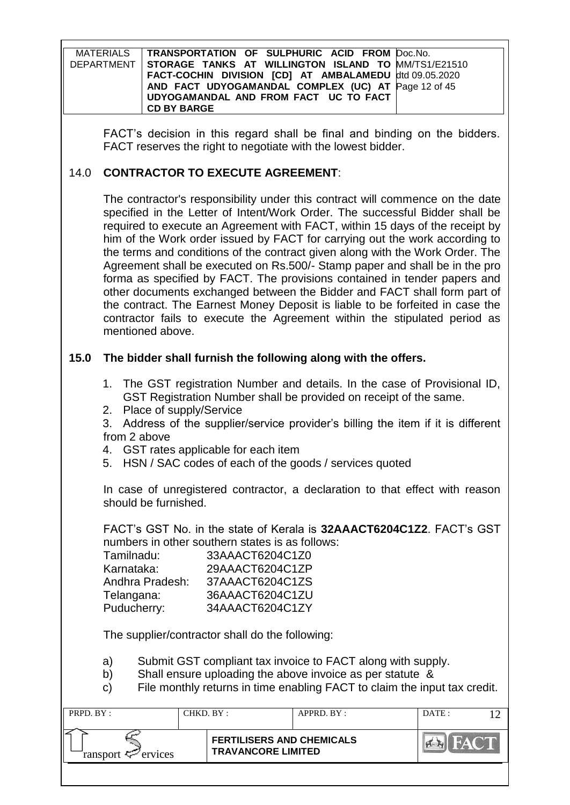| MATERIALS TRANSPORTATION OF SULPHURIC ACID FROM Doc.No.        |  |
|----------------------------------------------------------------|--|
| DEPARTMENT STORAGE TANKS AT WILLINGTON ISLAND TO MM/TS1/E21510 |  |
| FACT-COCHIN DIVISION [CD] AT AMBALAMEDU dtd 09.05.2020         |  |
| AND FACT UDYOGAMANDAL COMPLEX (UC) AT Page 12 of 45            |  |
| UDYOGAMANDAL AND FROM FACT UC TO FACT                          |  |
| <b>CD BY BARGE</b>                                             |  |

FACT"s decision in this regard shall be final and binding on the bidders. FACT reserves the right to negotiate with the lowest bidder.

# 14.0 **CONTRACTOR TO EXECUTE AGREEMENT**:

The contractor's responsibility under this contract will commence on the date specified in the Letter of Intent/Work Order. The successful Bidder shall be required to execute an Agreement with FACT, within 15 days of the receipt by him of the Work order issued by FACT for carrying out the work according to the terms and conditions of the contract given along with the Work Order. The Agreement shall be executed on Rs.500/- Stamp paper and shall be in the pro forma as specified by FACT. The provisions contained in tender papers and other documents exchanged between the Bidder and FACT shall form part of the contract. The Earnest Money Deposit is liable to be forfeited in case the contractor fails to execute the Agreement within the stipulated period as mentioned above.

# **15.0 The bidder shall furnish the following along with the offers.**

- 1. The GST registration Number and details. In the case of Provisional ID, GST Registration Number shall be provided on receipt of the same.
- 2. Place of supply/Service

3. Address of the supplier/service provider"s billing the item if it is different from 2 above

4. GST rates applicable for each item

5. HSN / SAC codes of each of the goods / services quoted

In case of unregistered contractor, a declaration to that effect with reason should be furnished.

FACT"s GST No. in the state of Kerala is **32AAACT6204C1Z2**. FACT"s GST numbers in other southern states is as follows:

| Tamilnadu:      | 33AAACT6204C1Z0 |
|-----------------|-----------------|
| Karnataka:      | 29AAACT6204C1ZP |
| Andhra Pradesh: | 37AAACT6204C1ZS |
| Telangana:      | 36AAACT6204C1ZU |
| Puducherry:     | 34AAACT6204C1ZY |

The supplier/contractor shall do the following:

a) Submit GST compliant tax invoice to FACT along with supply.

- b) Shall ensure uploading the above invoice as per statute &
- c) File monthly returns in time enabling FACT to claim the input tax credit.

| PRPD. BY:                  | CHKD. BY : |                                                               | APPRD. BY: | DATE: |  |
|----------------------------|------------|---------------------------------------------------------------|------------|-------|--|
| ransport $\approx$ ervices |            | <b>FERTILISERS AND CHEMICALS</b><br><b>TRAVANCORE LIMITED</b> |            | FACT. |  |
|                            |            |                                                               |            |       |  |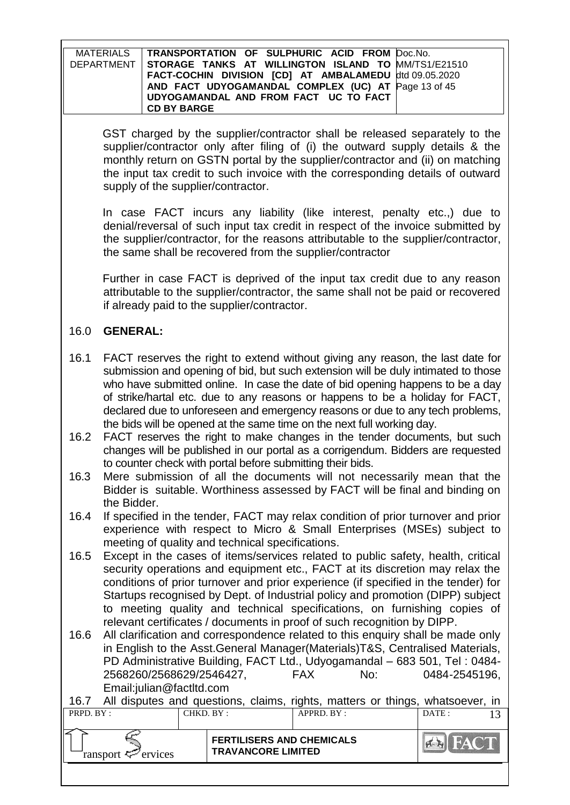| MATERIALS   TRANSPORTATION OF SULPHURIC ACID FROM Doc.No.        |  |
|------------------------------------------------------------------|--|
| DEPARTMENT   STORAGE TANKS AT WILLINGTON ISLAND TO MM/TS1/E21510 |  |
| FACT-COCHIN DIVISION [CD] AT AMBALAMEDU dtd 09.05.2020           |  |
| AND FACT UDYOGAMANDAL COMPLEX (UC) AT Page 13 of 45              |  |
| UDYOGAMANDAL AND FROM FACT UC TO FACT                            |  |
| <b>CD BY BARGE</b>                                               |  |

GST charged by the supplier/contractor shall be released separately to the supplier/contractor only after filing of (i) the outward supply details & the monthly return on GSTN portal by the supplier/contractor and (ii) on matching the input tax credit to such invoice with the corresponding details of outward supply of the supplier/contractor.

In case FACT incurs any liability (like interest, penalty etc.,) due to denial/reversal of such input tax credit in respect of the invoice submitted by the supplier/contractor, for the reasons attributable to the supplier/contractor, the same shall be recovered from the supplier/contractor

Further in case FACT is deprived of the input tax credit due to any reason attributable to the supplier/contractor, the same shall not be paid or recovered if already paid to the supplier/contractor.

# 16.0 **GENERAL:**

- 16.1 FACT reserves the right to extend without giving any reason, the last date for submission and opening of bid, but such extension will be duly intimated to those who have submitted online. In case the date of bid opening happens to be a day of strike/hartal etc. due to any reasons or happens to be a holiday for FACT, declared due to unforeseen and emergency reasons or due to any tech problems, the bids will be opened at the same time on the next full working day.
- 16.2 FACT reserves the right to make changes in the tender documents, but such changes will be published in our portal as a corrigendum. Bidders are requested to counter check with portal before submitting their bids.
- 16.3 Mere submission of all the documents will not necessarily mean that the Bidder is suitable. Worthiness assessed by FACT will be final and binding on the Bidder.
- 16.4 If specified in the tender, FACT may relax condition of prior turnover and prior experience with respect to Micro & Small Enterprises (MSEs) subject to meeting of quality and technical specifications.
- 16.5 Except in the cases of items/services related to public safety, health, critical security operations and equipment etc., FACT at its discretion may relax the conditions of prior turnover and prior experience (if specified in the tender) for Startups recognised by Dept. of Industrial policy and promotion (DIPP) subject to meeting quality and technical specifications, on furnishing copies of relevant certificates / documents in proof of such recognition by DIPP.
- 16.6 All clarification and correspondence related to this enquiry shall be made only in English to the Asst.General Manager(Materials)T&S, Centralised Materials, PD Administrative Building, FACT Ltd., Udyogamandal – 683 501, Tel : 0484- 2568260/2568629/2546427, FAX No: 0484-2545196, Email:julian@factltd.com

| 16.7 All disputes and questions, claims, rights, matters or things, whatsoever, in |            |                                                               |            |                |  |
|------------------------------------------------------------------------------------|------------|---------------------------------------------------------------|------------|----------------|--|
| PRPD. BY:                                                                          | CHKD. BY : |                                                               | APPRD. BY: | DATE :         |  |
|                                                                                    |            |                                                               |            |                |  |
| ransport $\mathcal{P}$ ervices                                                     |            | <b>FERTILISERS AND CHEMICALS</b><br><b>TRAVANCORE LIMITED</b> |            | <b>EN FACT</b> |  |
|                                                                                    |            |                                                               |            |                |  |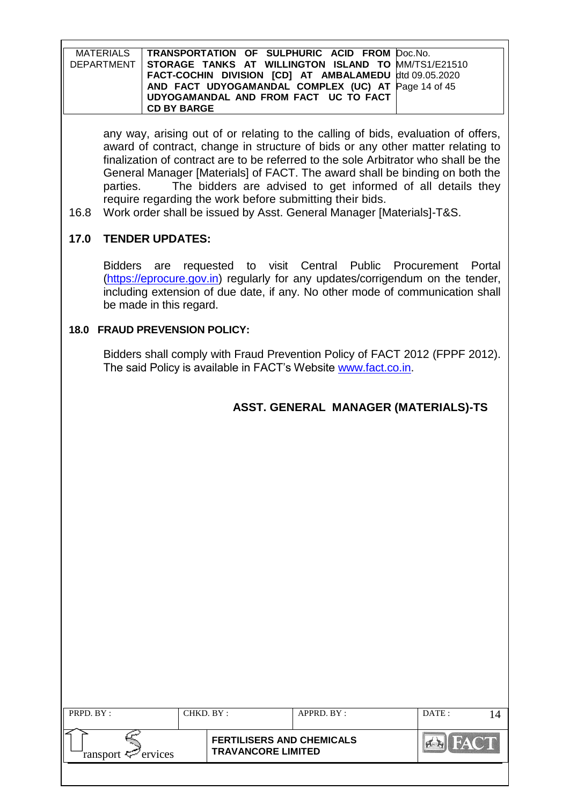| MATERIALS TRANSPORTATION OF SULPHURIC ACID FROM Doc.No.          |  |
|------------------------------------------------------------------|--|
| DEPARTMENT   STORAGE TANKS AT WILLINGTON ISLAND TO MM/TS1/E21510 |  |
| FACT-COCHIN DIVISION [CD] AT AMBALAMEDU dtd 09.05.2020           |  |
| AND FACT UDYOGAMANDAL COMPLEX (UC) AT Page 14 of 45              |  |
| UDYOGAMANDAL AND FROM FACT UC TO FACT                            |  |
| <b>CD BY BARGE</b>                                               |  |

any way, arising out of or relating to the calling of bids, evaluation of offers, award of contract, change in structure of bids or any other matter relating to finalization of contract are to be referred to the sole Arbitrator who shall be the General Manager [Materials] of FACT. The award shall be binding on both the parties. The bidders are advised to get informed of all details they require regarding the work before submitting their bids.

16.8 Work order shall be issued by Asst. General Manager [Materials]-T&S.

# **17.0 TENDER UPDATES:**

Bidders are requested to visit Central Public Procurement Portal [\(https://eprocure.gov.in\)](https://eprocure.gov.in/) regularly for any updates/corrigendum on the tender, including extension of due date, if any. No other mode of communication shall be made in this regard.

# **18.0 FRAUD PREVENSION POLICY:**

Bidders shall comply with Fraud Prevention Policy of FACT 2012 (FPPF 2012). The said Policy is available in FACT"s Website [www.fact.co.in.](http://www.fact.co.in/)

# **ASST. GENERAL MANAGER (MATERIALS)-TS**

| PRPD. BY:              | CHKD. BY:                                                     | APPRD. BY: | DATE: |  |
|------------------------|---------------------------------------------------------------|------------|-------|--|
| ransport $\ll$ ervices | <b>FERTILISERS AND CHEMICALS</b><br><b>TRAVANCORE LIMITED</b> |            |       |  |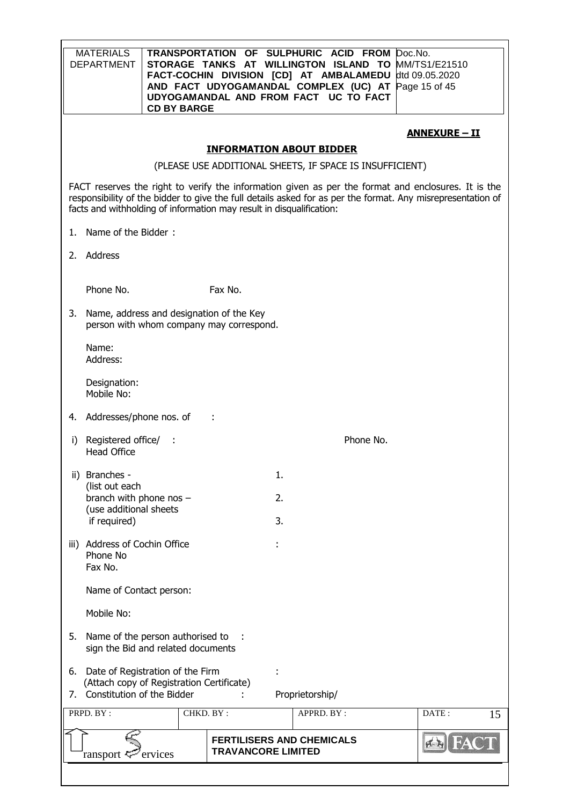|    | <b>MATERIALS</b><br><b>DEPARTMENT</b>       | <b>CD BY BARGE</b>                                                     |                                          | TRANSPORTATION OF SULPHURIC ACID FROM Doc.No.<br>STORAGE TANKS AT WILLINGTON ISLAND TO MM/TS1/E21510<br>FACT-COCHIN DIVISION [CD] AT AMBALAMEDU<br>AND FACT UDYOGAMANDAL COMPLEX (UC) AT Page 15 of 45<br>UDYOGAMANDAL AND FROM FACT UC TO FACT                                            |           | dtd 09.05.2020       |
|----|---------------------------------------------|------------------------------------------------------------------------|------------------------------------------|--------------------------------------------------------------------------------------------------------------------------------------------------------------------------------------------------------------------------------------------------------------------------------------------|-----------|----------------------|
|    |                                             |                                                                        |                                          |                                                                                                                                                                                                                                                                                            |           | <u>ANNEXURE - II</u> |
|    |                                             |                                                                        |                                          | <b>INFORMATION ABOUT BIDDER</b>                                                                                                                                                                                                                                                            |           |                      |
|    |                                             |                                                                        |                                          | (PLEASE USE ADDITIONAL SHEETS, IF SPACE IS INSUFFICIENT)                                                                                                                                                                                                                                   |           |                      |
|    |                                             |                                                                        |                                          | FACT reserves the right to verify the information given as per the format and enclosures. It is the<br>responsibility of the bidder to give the full details asked for as per the format. Any misrepresentation of<br>facts and withholding of information may result in disqualification: |           |                      |
| 1. | Name of the Bidder:                         |                                                                        |                                          |                                                                                                                                                                                                                                                                                            |           |                      |
|    | 2. Address                                  |                                                                        |                                          |                                                                                                                                                                                                                                                                                            |           |                      |
|    | Phone No.                                   |                                                                        | Fax No.                                  |                                                                                                                                                                                                                                                                                            |           |                      |
| 3. |                                             | Name, address and designation of the Key                               | person with whom company may correspond. |                                                                                                                                                                                                                                                                                            |           |                      |
|    | Name:<br>Address:                           |                                                                        |                                          |                                                                                                                                                                                                                                                                                            |           |                      |
|    | Designation:<br>Mobile No:                  |                                                                        |                                          |                                                                                                                                                                                                                                                                                            |           |                      |
| 4. | Addresses/phone nos. of                     |                                                                        |                                          |                                                                                                                                                                                                                                                                                            |           |                      |
| i) | Registered office/ :<br><b>Head Office</b>  |                                                                        |                                          |                                                                                                                                                                                                                                                                                            | Phone No. |                      |
|    | ii) Branches -                              |                                                                        |                                          | 1.                                                                                                                                                                                                                                                                                         |           |                      |
|    | (list out each<br>branch with phone nos $-$ |                                                                        |                                          | 2.                                                                                                                                                                                                                                                                                         |           |                      |
|    | (use additional sheets<br>if required)      |                                                                        |                                          | 3.                                                                                                                                                                                                                                                                                         |           |                      |
|    | iii) Address of Cochin Office               |                                                                        |                                          |                                                                                                                                                                                                                                                                                            |           |                      |
|    | Phone No<br>Fax No.                         |                                                                        |                                          |                                                                                                                                                                                                                                                                                            |           |                      |
|    | Name of Contact person:                     |                                                                        |                                          |                                                                                                                                                                                                                                                                                            |           |                      |
|    | Mobile No:                                  |                                                                        |                                          |                                                                                                                                                                                                                                                                                            |           |                      |
| 5. |                                             | Name of the person authorised to<br>sign the Bid and related documents |                                          |                                                                                                                                                                                                                                                                                            |           |                      |
| 6. |                                             | Date of Registration of the Firm                                       |                                          |                                                                                                                                                                                                                                                                                            |           |                      |
| 7. | Constitution of the Bidder                  | (Attach copy of Registration Certificate)                              |                                          | Proprietorship/                                                                                                                                                                                                                                                                            |           |                      |
|    | PRPD. BY:                                   |                                                                        | CHKD. BY:                                | APPRD. BY:                                                                                                                                                                                                                                                                                 |           | DATE:<br>15          |
|    | ransport 号                                  | ervices                                                                | <b>TRAVANCORE LIMITED</b>                | <b>FERTILISERS AND CHEMICALS</b>                                                                                                                                                                                                                                                           |           |                      |
|    |                                             |                                                                        |                                          |                                                                                                                                                                                                                                                                                            |           |                      |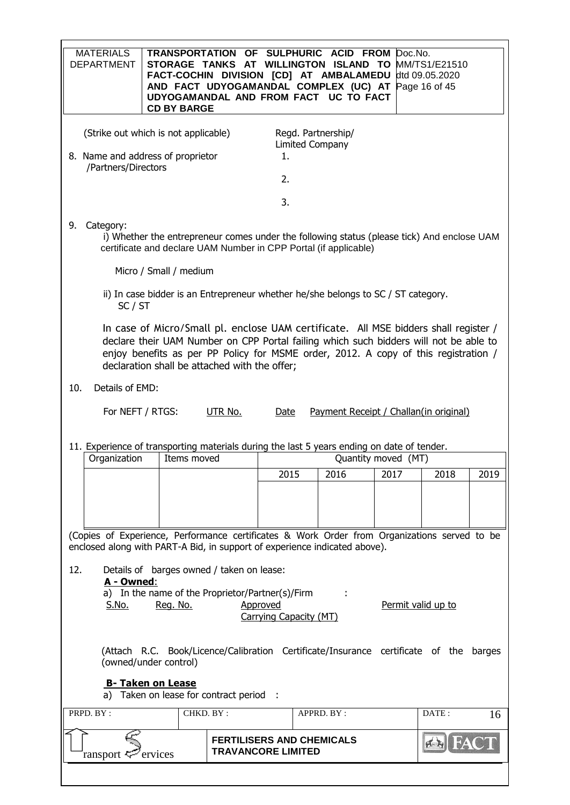| <b>MATERIALS</b><br><b>DEPARTMENT</b>                                                                          | <b>CD BY BARGE</b>                                                                                                                                                                                                                                                                                                    |           | TRANSPORTATION OF SULPHURIC ACID FROM<br>STORAGE TANKS AT WILLINGTON ISLAND TO<br>FACT-COCHIN DIVISION [CD] AT AMBALAMEDU<br>AND FACT UDYOGAMANDAL COMPLEX (UC) AT<br>UDYOGAMANDAL AND FROM FACT UC TO FACT |                                        | Doc.No.             | MM/TS1/E21510<br>dtd 09.05.2020<br>Page 16 of 45 |      |  |
|----------------------------------------------------------------------------------------------------------------|-----------------------------------------------------------------------------------------------------------------------------------------------------------------------------------------------------------------------------------------------------------------------------------------------------------------------|-----------|-------------------------------------------------------------------------------------------------------------------------------------------------------------------------------------------------------------|----------------------------------------|---------------------|--------------------------------------------------|------|--|
|                                                                                                                | (Strike out which is not applicable)<br>Regd. Partnership/<br><b>Limited Company</b><br>8. Name and address of proprietor<br>1.                                                                                                                                                                                       |           |                                                                                                                                                                                                             |                                        |                     |                                                  |      |  |
| /Partners/Directors                                                                                            |                                                                                                                                                                                                                                                                                                                       |           | 2.                                                                                                                                                                                                          |                                        |                     |                                                  |      |  |
|                                                                                                                |                                                                                                                                                                                                                                                                                                                       |           | 3.                                                                                                                                                                                                          |                                        |                     |                                                  |      |  |
|                                                                                                                |                                                                                                                                                                                                                                                                                                                       |           |                                                                                                                                                                                                             |                                        |                     |                                                  |      |  |
| 9.<br>Category:                                                                                                | i) Whether the entrepreneur comes under the following status (please tick) And enclose UAM<br>certificate and declare UAM Number in CPP Portal (if applicable)                                                                                                                                                        |           |                                                                                                                                                                                                             |                                        |                     |                                                  |      |  |
|                                                                                                                | Micro / Small / medium                                                                                                                                                                                                                                                                                                |           |                                                                                                                                                                                                             |                                        |                     |                                                  |      |  |
| SC / ST                                                                                                        | ii) In case bidder is an Entrepreneur whether he/she belongs to SC / ST category.                                                                                                                                                                                                                                     |           |                                                                                                                                                                                                             |                                        |                     |                                                  |      |  |
|                                                                                                                | In case of Micro/Small pl. enclose UAM certificate. All MSE bidders shall register /<br>declare their UAM Number on CPP Portal failing which such bidders will not be able to<br>enjoy benefits as per PP Policy for MSME order, 2012. A copy of this registration /<br>declaration shall be attached with the offer; |           |                                                                                                                                                                                                             |                                        |                     |                                                  |      |  |
| 10.<br>Details of EMD:                                                                                         |                                                                                                                                                                                                                                                                                                                       |           |                                                                                                                                                                                                             |                                        |                     |                                                  |      |  |
| For NEFT / RTGS:                                                                                               |                                                                                                                                                                                                                                                                                                                       | UTR No.   | Date                                                                                                                                                                                                        | Payment Receipt / Challan(in original) |                     |                                                  |      |  |
|                                                                                                                |                                                                                                                                                                                                                                                                                                                       |           |                                                                                                                                                                                                             |                                        |                     |                                                  |      |  |
| 11. Experience of transporting materials during the last 5 years ending on date of tender.<br>Organization     | Items moved                                                                                                                                                                                                                                                                                                           |           |                                                                                                                                                                                                             |                                        | Quantity moved (MT) |                                                  |      |  |
|                                                                                                                |                                                                                                                                                                                                                                                                                                                       |           | 2015                                                                                                                                                                                                        | 2016                                   | 2017                | 2018                                             | 2019 |  |
|                                                                                                                |                                                                                                                                                                                                                                                                                                                       |           |                                                                                                                                                                                                             |                                        |                     |                                                  |      |  |
|                                                                                                                |                                                                                                                                                                                                                                                                                                                       |           |                                                                                                                                                                                                             |                                        |                     |                                                  |      |  |
| (Copies of Experience, Performance certificates & Work Order from Organizations served to be                   |                                                                                                                                                                                                                                                                                                                       |           |                                                                                                                                                                                                             |                                        |                     |                                                  |      |  |
| enclosed along with PART-A Bid, in support of experience indicated above).                                     |                                                                                                                                                                                                                                                                                                                       |           |                                                                                                                                                                                                             |                                        |                     |                                                  |      |  |
| 12.<br>A - Owned:                                                                                              | Details of barges owned / taken on lease:                                                                                                                                                                                                                                                                             |           |                                                                                                                                                                                                             |                                        |                     |                                                  |      |  |
|                                                                                                                | a) In the name of the Proprietor/Partner(s)/Firm                                                                                                                                                                                                                                                                      |           |                                                                                                                                                                                                             |                                        |                     |                                                  |      |  |
| <u>S.No.</u>                                                                                                   | Reg. No.                                                                                                                                                                                                                                                                                                              |           | Approved<br>Carrying Capacity (MT)                                                                                                                                                                          |                                        |                     | Permit valid up to                               |      |  |
|                                                                                                                |                                                                                                                                                                                                                                                                                                                       |           |                                                                                                                                                                                                             |                                        |                     |                                                  |      |  |
| (Attach R.C. Book/Licence/Calibration Certificate/Insurance certificate of the barges<br>(owned/under control) |                                                                                                                                                                                                                                                                                                                       |           |                                                                                                                                                                                                             |                                        |                     |                                                  |      |  |
| <b>B- Taken on Lease</b><br>a) Taken on lease for contract period :                                            |                                                                                                                                                                                                                                                                                                                       |           |                                                                                                                                                                                                             |                                        |                     |                                                  |      |  |
| PRPD. BY:                                                                                                      |                                                                                                                                                                                                                                                                                                                       | CHKD. BY: |                                                                                                                                                                                                             | APPRD. BY :                            |                     | DATE:                                            | 16   |  |
| ransport <                                                                                                     | ervices                                                                                                                                                                                                                                                                                                               |           | <b>FERTILISERS AND CHEMICALS</b><br><b>TRAVANCORE LIMITED</b>                                                                                                                                               |                                        |                     |                                                  |      |  |
|                                                                                                                |                                                                                                                                                                                                                                                                                                                       |           |                                                                                                                                                                                                             |                                        |                     |                                                  |      |  |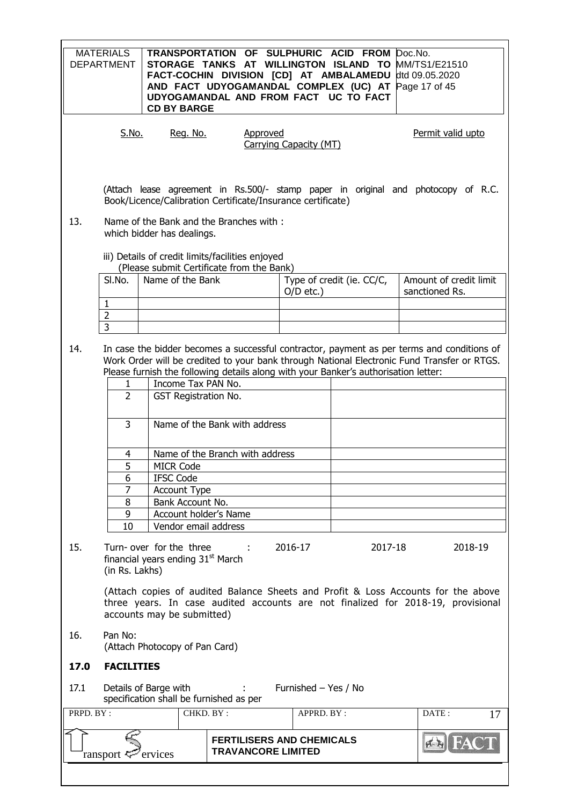|           | <b>MATERIALS</b><br><b>DEPARTMENT</b> | <b>CD BY BARGE</b>                                                       | TRANSPORTATION OF SULPHURIC ACID FROM<br>STORAGE TANKS AT WILLINGTON ISLAND TO MM/TS1/E21510<br>FACT-COCHIN DIVISION [CD] AT AMBALAMEDU<br>AND FACT UDYOGAMANDAL COMPLEX (UC) AT Page 17 of 45<br>UDYOGAMANDAL AND FROM FACT UC TO FACT |                        |                           | Doc.No.<br>dtd 09.05.2020                                                                                                                                                                 |
|-----------|---------------------------------------|--------------------------------------------------------------------------|-----------------------------------------------------------------------------------------------------------------------------------------------------------------------------------------------------------------------------------------|------------------------|---------------------------|-------------------------------------------------------------------------------------------------------------------------------------------------------------------------------------------|
|           | S.No.                                 | Reg. No.                                                                 | Approved                                                                                                                                                                                                                                | Carrying Capacity (MT) |                           | Permit valid upto                                                                                                                                                                         |
|           |                                       |                                                                          | Book/Licence/Calibration Certificate/Insurance certificate)                                                                                                                                                                             |                        |                           | (Attach lease agreement in Rs.500/- stamp paper in original and photocopy of R.C.                                                                                                         |
| 13.       |                                       | which bidder has dealings.                                               | Name of the Bank and the Branches with:                                                                                                                                                                                                 |                        |                           |                                                                                                                                                                                           |
|           |                                       |                                                                          | iii) Details of credit limits/facilities enjoyed                                                                                                                                                                                        |                        |                           |                                                                                                                                                                                           |
|           | SI.No.                                | Name of the Bank                                                         | (Please submit Certificate from the Bank)                                                                                                                                                                                               |                        | Type of credit (ie. CC/C, | Amount of credit limit                                                                                                                                                                    |
|           |                                       |                                                                          |                                                                                                                                                                                                                                         | $O/D$ etc.)            |                           | sanctioned Rs.                                                                                                                                                                            |
|           | $\mathbf{1}$                          |                                                                          |                                                                                                                                                                                                                                         |                        |                           |                                                                                                                                                                                           |
|           | $\overline{2}$                        |                                                                          |                                                                                                                                                                                                                                         |                        |                           |                                                                                                                                                                                           |
|           | $\overline{3}$                        |                                                                          |                                                                                                                                                                                                                                         |                        |                           |                                                                                                                                                                                           |
| 14.       | $\mathbf{1}$                          | Income Tax PAN No.                                                       | Please furnish the following details along with your Banker's authorisation letter:                                                                                                                                                     |                        |                           | In case the bidder becomes a successful contractor, payment as per terms and conditions of<br>Work Order will be credited to your bank through National Electronic Fund Transfer or RTGS. |
|           | $\overline{2}$                        | GST Registration No.                                                     |                                                                                                                                                                                                                                         |                        |                           |                                                                                                                                                                                           |
|           | $\overline{3}$                        |                                                                          | Name of the Bank with address                                                                                                                                                                                                           |                        |                           |                                                                                                                                                                                           |
|           | 4                                     |                                                                          | Name of the Branch with address                                                                                                                                                                                                         |                        |                           |                                                                                                                                                                                           |
|           | 5                                     | <b>MICR Code</b>                                                         |                                                                                                                                                                                                                                         |                        |                           |                                                                                                                                                                                           |
|           | 6                                     | <b>IFSC Code</b>                                                         |                                                                                                                                                                                                                                         |                        |                           |                                                                                                                                                                                           |
|           | 7                                     | <b>Account Type</b>                                                      |                                                                                                                                                                                                                                         |                        |                           |                                                                                                                                                                                           |
|           | 8                                     | Bank Account No.                                                         |                                                                                                                                                                                                                                         |                        |                           |                                                                                                                                                                                           |
|           | 9<br>10                               | Account holder's Name<br>Vendor email address                            |                                                                                                                                                                                                                                         |                        |                           |                                                                                                                                                                                           |
|           |                                       |                                                                          |                                                                                                                                                                                                                                         |                        |                           |                                                                                                                                                                                           |
| 15.       | (in Rs. Lakhs)                        | Turn-over for the three<br>financial years ending 31 <sup>st</sup> March | $\sim 100$                                                                                                                                                                                                                              | 2016-17                | 2017-18                   | 2018-19                                                                                                                                                                                   |
|           |                                       | accounts may be submitted)                                               |                                                                                                                                                                                                                                         |                        |                           | (Attach copies of audited Balance Sheets and Profit & Loss Accounts for the above<br>three years. In case audited accounts are not finalized for 2018-19, provisional                     |
| 16.       | Pan No:                               | (Attach Photocopy of Pan Card)                                           |                                                                                                                                                                                                                                         |                        |                           |                                                                                                                                                                                           |
| 17.0      | <b>FACILITIES</b>                     |                                                                          |                                                                                                                                                                                                                                         |                        |                           |                                                                                                                                                                                           |
| 17.1      |                                       | Details of Barge with<br>specification shall be furnished as per         |                                                                                                                                                                                                                                         | Furnished - Yes / No   |                           |                                                                                                                                                                                           |
| PRPD. BY: |                                       |                                                                          | CHKD. BY:                                                                                                                                                                                                                               | APPRD. BY :            |                           | DATE:<br>17                                                                                                                                                                               |
|           |                                       |                                                                          | <b>FERTILISERS AND CHEMICALS</b>                                                                                                                                                                                                        |                        |                           |                                                                                                                                                                                           |
|           | ransport <                            | ervices                                                                  | <b>TRAVANCORE LIMITED</b>                                                                                                                                                                                                               |                        |                           |                                                                                                                                                                                           |
|           |                                       |                                                                          |                                                                                                                                                                                                                                         |                        |                           |                                                                                                                                                                                           |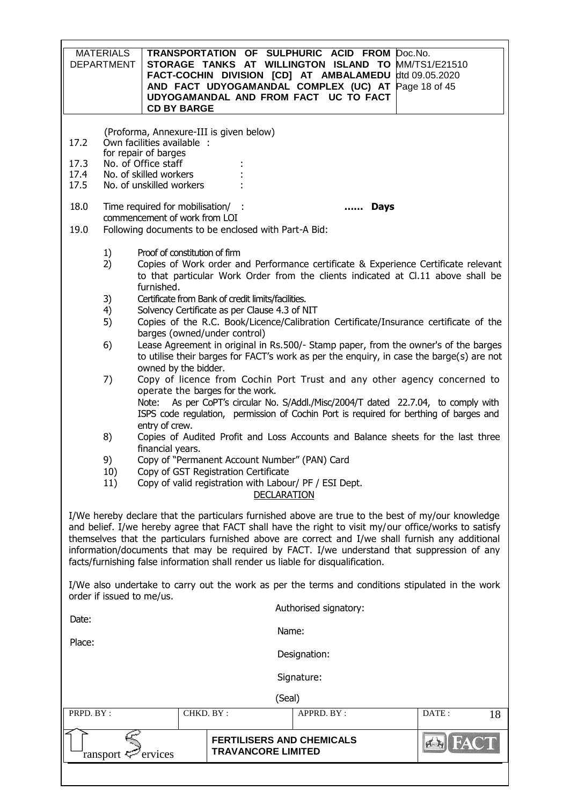| <b>MATERIALS</b><br>TRANSPORTATION OF SULPHURIC ACID FROM Doc.No.<br><b>DEPARTMENT</b><br>STORAGE TANKS AT WILLINGTON ISLAND TO MM/TS1/E21510<br>FACT-COCHIN DIVISION [CD] AT AMBALAMEDU dtd 09.05.2020<br>AND FACT UDYOGAMANDAL COMPLEX (UC) AT Page 18 of 45<br>UDYOGAMANDAL AND FROM FACT UC TO FACT<br><b>CD BY BARGE</b> |                                                                                                                                                                                                                                                                                                                                                                                                                                                                                                  |                                                                                                                                                                                 |             |  |  |  |  |
|-------------------------------------------------------------------------------------------------------------------------------------------------------------------------------------------------------------------------------------------------------------------------------------------------------------------------------|--------------------------------------------------------------------------------------------------------------------------------------------------------------------------------------------------------------------------------------------------------------------------------------------------------------------------------------------------------------------------------------------------------------------------------------------------------------------------------------------------|---------------------------------------------------------------------------------------------------------------------------------------------------------------------------------|-------------|--|--|--|--|
| 17.2<br>17.3<br>17.4<br>17.5                                                                                                                                                                                                                                                                                                  | (Proforma, Annexure-III is given below)<br>Own facilities available :<br>for repair of barges<br>No. of Office staff<br>No. of skilled workers<br>No. of unskilled workers                                                                                                                                                                                                                                                                                                                       |                                                                                                                                                                                 |             |  |  |  |  |
| 18.0                                                                                                                                                                                                                                                                                                                          | Time required for mobilisation/ :                                                                                                                                                                                                                                                                                                                                                                                                                                                                | <b>Days</b>                                                                                                                                                                     |             |  |  |  |  |
| 19.0                                                                                                                                                                                                                                                                                                                          | commencement of work from LOI<br>Following documents to be enclosed with Part-A Bid:                                                                                                                                                                                                                                                                                                                                                                                                             |                                                                                                                                                                                 |             |  |  |  |  |
| 1)<br>2)<br>3)<br>4)                                                                                                                                                                                                                                                                                                          | Proof of constitution of firm<br>furnished.<br>Certificate from Bank of credit limits/facilities.<br>Solvency Certificate as per Clause 4.3 of NIT                                                                                                                                                                                                                                                                                                                                               | Copies of Work order and Performance certificate & Experience Certificate relevant<br>to that particular Work Order from the clients indicated at Cl.11 above shall be          |             |  |  |  |  |
| 5)                                                                                                                                                                                                                                                                                                                            | barges (owned/under control)                                                                                                                                                                                                                                                                                                                                                                                                                                                                     | Copies of the R.C. Book/Licence/Calibration Certificate/Insurance certificate of the                                                                                            |             |  |  |  |  |
| 6)                                                                                                                                                                                                                                                                                                                            |                                                                                                                                                                                                                                                                                                                                                                                                                                                                                                  | Lease Agreement in original in Rs.500/- Stamp paper, from the owner's of the barges<br>to utilise their barges for FACT's work as per the enguiry, in case the barge(s) are not |             |  |  |  |  |
| 7)                                                                                                                                                                                                                                                                                                                            | owned by the bidder.<br>Copy of licence from Cochin Port Trust and any other agency concerned to<br>operate the barges for the work.<br>Note: As per CoPT's circular No. S/Addl./Misc/2004/T dated 22.7.04, to comply with<br>ISPS code regulation, permission of Cochin Port is required for berthing of barges and                                                                                                                                                                             |                                                                                                                                                                                 |             |  |  |  |  |
| 8)                                                                                                                                                                                                                                                                                                                            | entry of crew.<br>financial years.                                                                                                                                                                                                                                                                                                                                                                                                                                                               | Copies of Audited Profit and Loss Accounts and Balance sheets for the last three                                                                                                |             |  |  |  |  |
| 9)<br>10)                                                                                                                                                                                                                                                                                                                     | Copy of "Permanent Account Number" (PAN) Card<br>Copy of GST Registration Certificate                                                                                                                                                                                                                                                                                                                                                                                                            |                                                                                                                                                                                 |             |  |  |  |  |
| 11)                                                                                                                                                                                                                                                                                                                           | Copy of valid registration with Labour/ PF / ESI Dept.                                                                                                                                                                                                                                                                                                                                                                                                                                           | <b>DECLARATION</b>                                                                                                                                                              |             |  |  |  |  |
|                                                                                                                                                                                                                                                                                                                               | I/We hereby declare that the particulars furnished above are true to the best of my/our knowledge<br>and belief. I/we hereby agree that FACT shall have the right to visit my/our office/works to satisfy<br>themselves that the particulars furnished above are correct and I/we shall furnish any additional<br>information/documents that may be required by FACT. I/we understand that suppression of any<br>facts/furnishing false information shall render us liable for disqualification. |                                                                                                                                                                                 |             |  |  |  |  |
| order if issued to me/us.                                                                                                                                                                                                                                                                                                     |                                                                                                                                                                                                                                                                                                                                                                                                                                                                                                  | I/We also undertake to carry out the work as per the terms and conditions stipulated in the work                                                                                |             |  |  |  |  |
| Date:                                                                                                                                                                                                                                                                                                                         |                                                                                                                                                                                                                                                                                                                                                                                                                                                                                                  | Authorised signatory:                                                                                                                                                           |             |  |  |  |  |
|                                                                                                                                                                                                                                                                                                                               | Name:                                                                                                                                                                                                                                                                                                                                                                                                                                                                                            |                                                                                                                                                                                 |             |  |  |  |  |
|                                                                                                                                                                                                                                                                                                                               | Place:<br>Designation:                                                                                                                                                                                                                                                                                                                                                                                                                                                                           |                                                                                                                                                                                 |             |  |  |  |  |
|                                                                                                                                                                                                                                                                                                                               | Signature:                                                                                                                                                                                                                                                                                                                                                                                                                                                                                       |                                                                                                                                                                                 |             |  |  |  |  |
|                                                                                                                                                                                                                                                                                                                               |                                                                                                                                                                                                                                                                                                                                                                                                                                                                                                  | (Seal)                                                                                                                                                                          |             |  |  |  |  |
| PRPD. BY:                                                                                                                                                                                                                                                                                                                     | CHKD. BY:                                                                                                                                                                                                                                                                                                                                                                                                                                                                                        | APPRD. BY :                                                                                                                                                                     | DATE:<br>18 |  |  |  |  |
| ransport <                                                                                                                                                                                                                                                                                                                    | <b>TRAVANCORE LIMITED</b><br>ervices                                                                                                                                                                                                                                                                                                                                                                                                                                                             | <b>FERTILISERS AND CHEMICALS</b>                                                                                                                                                |             |  |  |  |  |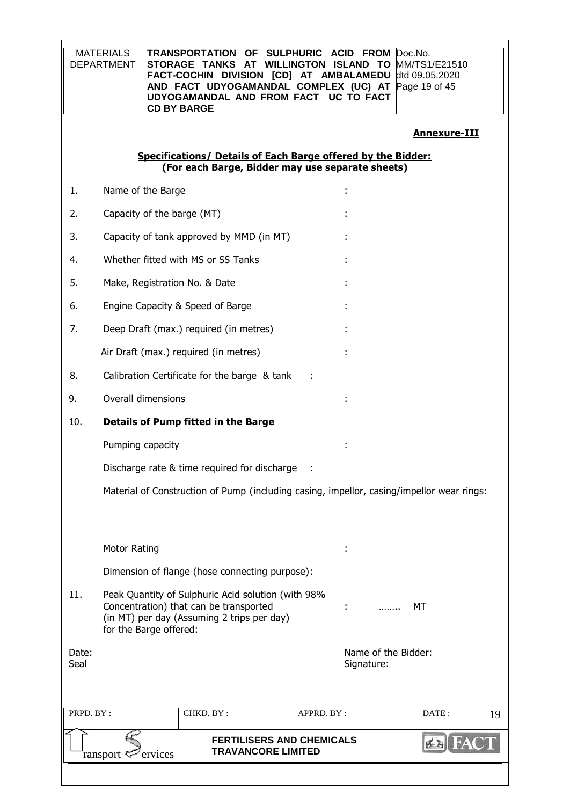|               | <b>MATERIALS</b><br><b>DEPARTMENT</b>                                                                                                                                      | <b>CD BY BARGE</b>                    | TRANSPORTATION OF SULPHURIC ACID FROM<br>STORAGE TANKS AT WILLINGTON ISLAND TO MM/TS1/E21510<br>FACT-COCHIN DIVISION [CD] AT AMBALAMEDU<br>AND FACT UDYOGAMANDAL COMPLEX (UC) AT Page 19 of 45<br>UDYOGAMANDAL AND FROM FACT UC TO FACT |            |                                   | Doc.No.<br>dtd 09.05.2020                                                                 |
|---------------|----------------------------------------------------------------------------------------------------------------------------------------------------------------------------|---------------------------------------|-----------------------------------------------------------------------------------------------------------------------------------------------------------------------------------------------------------------------------------------|------------|-----------------------------------|-------------------------------------------------------------------------------------------|
|               |                                                                                                                                                                            |                                       |                                                                                                                                                                                                                                         |            |                                   | <b>Annexure-III</b>                                                                       |
|               |                                                                                                                                                                            |                                       | Specifications/ Details of Each Barge offered by the Bidder:<br>(For each Barge, Bidder may use separate sheets)                                                                                                                        |            |                                   |                                                                                           |
| 1.            |                                                                                                                                                                            | Name of the Barge                     |                                                                                                                                                                                                                                         |            |                                   |                                                                                           |
| 2.            |                                                                                                                                                                            | Capacity of the barge (MT)            |                                                                                                                                                                                                                                         |            |                                   |                                                                                           |
| 3.            |                                                                                                                                                                            |                                       | Capacity of tank approved by MMD (in MT)                                                                                                                                                                                                |            |                                   |                                                                                           |
| 4.            |                                                                                                                                                                            | Whether fitted with MS or SS Tanks    |                                                                                                                                                                                                                                         |            |                                   |                                                                                           |
| 5.            |                                                                                                                                                                            | Make, Registration No. & Date         |                                                                                                                                                                                                                                         |            |                                   |                                                                                           |
| 6.            |                                                                                                                                                                            | Engine Capacity & Speed of Barge      |                                                                                                                                                                                                                                         |            |                                   |                                                                                           |
| 7.            |                                                                                                                                                                            |                                       | Deep Draft (max.) required (in metres)                                                                                                                                                                                                  |            |                                   |                                                                                           |
|               |                                                                                                                                                                            | Air Draft (max.) required (in metres) |                                                                                                                                                                                                                                         |            |                                   |                                                                                           |
| 8.            |                                                                                                                                                                            |                                       | Calibration Certificate for the barge & tank                                                                                                                                                                                            |            |                                   |                                                                                           |
| 9.            |                                                                                                                                                                            | Overall dimensions                    |                                                                                                                                                                                                                                         |            |                                   |                                                                                           |
| 10.           |                                                                                                                                                                            |                                       | <b>Details of Pump fitted in the Barge</b>                                                                                                                                                                                              |            |                                   |                                                                                           |
|               |                                                                                                                                                                            | Pumping capacity                      |                                                                                                                                                                                                                                         |            |                                   |                                                                                           |
|               |                                                                                                                                                                            |                                       | Discharge rate & time required for discharge                                                                                                                                                                                            |            |                                   |                                                                                           |
|               |                                                                                                                                                                            |                                       |                                                                                                                                                                                                                                         |            |                                   | Material of Construction of Pump (including casing, impellor, casing/impellor wear rings: |
|               | <b>Motor Rating</b>                                                                                                                                                        |                                       |                                                                                                                                                                                                                                         |            |                                   |                                                                                           |
|               |                                                                                                                                                                            |                                       | Dimension of flange (hose connecting purpose):                                                                                                                                                                                          |            |                                   |                                                                                           |
| 11.           | Peak Quantity of Sulphuric Acid solution (with 98%<br>Concentration) that can be transported<br>МT<br>(in MT) per day (Assuming 2 trips per day)<br>for the Barge offered: |                                       |                                                                                                                                                                                                                                         |            |                                   |                                                                                           |
| Date:<br>Seal |                                                                                                                                                                            |                                       |                                                                                                                                                                                                                                         |            | Name of the Bidder:<br>Signature: |                                                                                           |
| PRPD. BY:     |                                                                                                                                                                            |                                       | CHKD. BY:                                                                                                                                                                                                                               | APPRD. BY: |                                   | DATE:<br>19                                                                               |
|               | ransport <del>≒</del>                                                                                                                                                      | ervices                               | <b>FERTILISERS AND CHEMICALS</b><br><b>TRAVANCORE LIMITED</b>                                                                                                                                                                           |            |                                   |                                                                                           |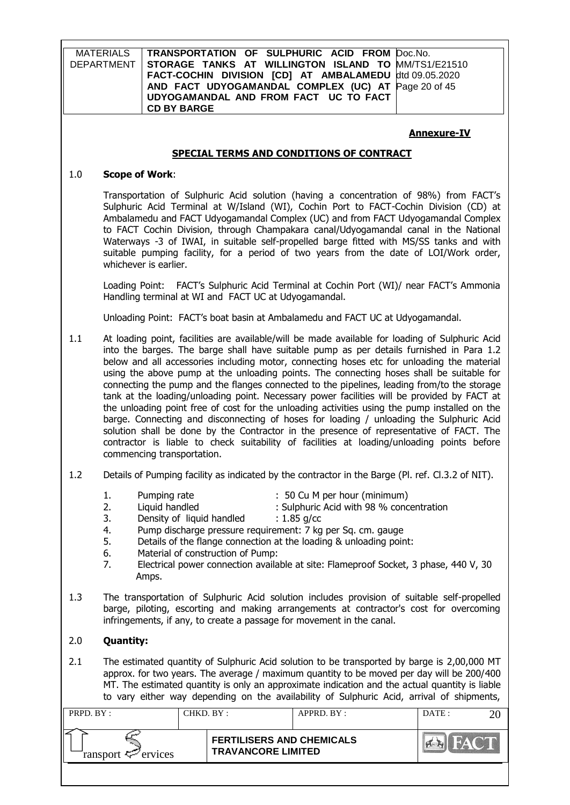|           | <b>MATERIALS</b><br><b>DEPARTMENT</b>                                                                                                                                                                                                                                                                                                                                                                                                                                                                                                                                                                                                                                                                                                                                                                                                                                                                                                                                                                  | <b>CD BY BARGE</b> |                                                               | TRANSPORTATION OF SULPHURIC ACID FROM<br>STORAGE TANKS AT WILLINGTON ISLAND TO<br>FACT-COCHIN DIVISION [CD] AT AMBALAMEDU<br>AND FACT UDYOGAMANDAL COMPLEX (UC) AT<br>UDYOGAMANDAL AND FROM FACT UC TO FACT | Doc.No.<br>MM/TS1/E21510<br>dtd 09.05.2020<br>Page 20 of 45                                                                                                                           |  |
|-----------|--------------------------------------------------------------------------------------------------------------------------------------------------------------------------------------------------------------------------------------------------------------------------------------------------------------------------------------------------------------------------------------------------------------------------------------------------------------------------------------------------------------------------------------------------------------------------------------------------------------------------------------------------------------------------------------------------------------------------------------------------------------------------------------------------------------------------------------------------------------------------------------------------------------------------------------------------------------------------------------------------------|--------------------|---------------------------------------------------------------|-------------------------------------------------------------------------------------------------------------------------------------------------------------------------------------------------------------|---------------------------------------------------------------------------------------------------------------------------------------------------------------------------------------|--|
|           |                                                                                                                                                                                                                                                                                                                                                                                                                                                                                                                                                                                                                                                                                                                                                                                                                                                                                                                                                                                                        |                    |                                                               | <b>SPECIAL TERMS AND CONDITIONS OF CONTRACT</b>                                                                                                                                                             | <b>Annexure-IV</b>                                                                                                                                                                    |  |
| 1.0       |                                                                                                                                                                                                                                                                                                                                                                                                                                                                                                                                                                                                                                                                                                                                                                                                                                                                                                                                                                                                        |                    |                                                               |                                                                                                                                                                                                             |                                                                                                                                                                                       |  |
|           | <b>Scope of Work:</b><br>Transportation of Sulphuric Acid solution (having a concentration of 98%) from FACT's<br>Sulphuric Acid Terminal at W/Island (WI), Cochin Port to FACT-Cochin Division (CD) at<br>Ambalamedu and FACT Udyogamandal Complex (UC) and from FACT Udyogamandal Complex<br>to FACT Cochin Division, through Champakara canal/Udyogamandal canal in the National<br>Waterways -3 of IWAI, in suitable self-propelled barge fitted with MS/SS tanks and with<br>suitable pumping facility, for a period of two years from the date of LOI/Work order,<br>whichever is earlier.                                                                                                                                                                                                                                                                                                                                                                                                       |                    |                                                               |                                                                                                                                                                                                             |                                                                                                                                                                                       |  |
|           |                                                                                                                                                                                                                                                                                                                                                                                                                                                                                                                                                                                                                                                                                                                                                                                                                                                                                                                                                                                                        |                    | Handling terminal at WI and FACT UC at Udyogamandal.          |                                                                                                                                                                                                             | Loading Point: FACT's Sulphuric Acid Terminal at Cochin Port (WI)/ near FACT's Ammonia                                                                                                |  |
|           |                                                                                                                                                                                                                                                                                                                                                                                                                                                                                                                                                                                                                                                                                                                                                                                                                                                                                                                                                                                                        |                    |                                                               | Unloading Point: FACT's boat basin at Ambalamedu and FACT UC at Udyogamandal.                                                                                                                               |                                                                                                                                                                                       |  |
| 1.1       | At loading point, facilities are available/will be made available for loading of Sulphuric Acid<br>into the barges. The barge shall have suitable pump as per details furnished in Para 1.2<br>below and all accessories including motor, connecting hoses etc for unloading the material<br>using the above pump at the unloading points. The connecting hoses shall be suitable for<br>connecting the pump and the flanges connected to the pipelines, leading from/to the storage<br>tank at the loading/unloading point. Necessary power facilities will be provided by FACT at<br>the unloading point free of cost for the unloading activities using the pump installed on the<br>barge. Connecting and disconnecting of hoses for loading / unloading the Sulphuric Acid<br>solution shall be done by the Contractor in the presence of representative of FACT. The<br>contractor is liable to check suitability of facilities at loading/unloading points before<br>commencing transportation. |                    |                                                               |                                                                                                                                                                                                             |                                                                                                                                                                                       |  |
| 1.2       |                                                                                                                                                                                                                                                                                                                                                                                                                                                                                                                                                                                                                                                                                                                                                                                                                                                                                                                                                                                                        |                    |                                                               | Details of Pumping facility as indicated by the contractor in the Barge (Pl. ref. Cl.3.2 of NIT).                                                                                                           |                                                                                                                                                                                       |  |
|           | : 50 Cu M per hour (minimum)<br>Pumping rate<br>1.<br>2.<br>Liquid handled<br>: Sulphuric Acid with 98 % concentration<br>3.<br>Density of liquid handled<br>: $1.85$ g/cc<br>4.<br>Pump discharge pressure requirement: 7 kg per Sq. cm. gauge<br>5.<br>Details of the flange connection at the loading & unloading point:<br>6.<br>Material of construction of Pump:<br>7.<br>Electrical power connection available at site: Flameproof Socket, 3 phase, 440 V, 30<br>Amps.                                                                                                                                                                                                                                                                                                                                                                                                                                                                                                                          |                    |                                                               |                                                                                                                                                                                                             |                                                                                                                                                                                       |  |
| 1.3       |                                                                                                                                                                                                                                                                                                                                                                                                                                                                                                                                                                                                                                                                                                                                                                                                                                                                                                                                                                                                        |                    |                                                               | infringements, if any, to create a passage for movement in the canal.                                                                                                                                       | The transportation of Sulphuric Acid solution includes provision of suitable self-propelled<br>barge, piloting, escorting and making arrangements at contractor's cost for overcoming |  |
| 2.0       | <b>Quantity:</b>                                                                                                                                                                                                                                                                                                                                                                                                                                                                                                                                                                                                                                                                                                                                                                                                                                                                                                                                                                                       |                    |                                                               |                                                                                                                                                                                                             |                                                                                                                                                                                       |  |
| 2.1       | The estimated quantity of Sulphuric Acid solution to be transported by barge is 2,00,000 MT<br>approx. for two years. The average / maximum quantity to be moved per day will be 200/400<br>MT. The estimated quantity is only an approximate indication and the actual quantity is liable<br>to vary either way depending on the availability of Sulphuric Acid, arrival of shipments,                                                                                                                                                                                                                                                                                                                                                                                                                                                                                                                                                                                                                |                    |                                                               |                                                                                                                                                                                                             |                                                                                                                                                                                       |  |
| PRPD. BY: |                                                                                                                                                                                                                                                                                                                                                                                                                                                                                                                                                                                                                                                                                                                                                                                                                                                                                                                                                                                                        |                    | CHKD. BY:                                                     | APPRD. BY:                                                                                                                                                                                                  | DATE:<br>20                                                                                                                                                                           |  |
|           | ransport <                                                                                                                                                                                                                                                                                                                                                                                                                                                                                                                                                                                                                                                                                                                                                                                                                                                                                                                                                                                             | ervices            | <b>FERTILISERS AND CHEMICALS</b><br><b>TRAVANCORE LIMITED</b> |                                                                                                                                                                                                             |                                                                                                                                                                                       |  |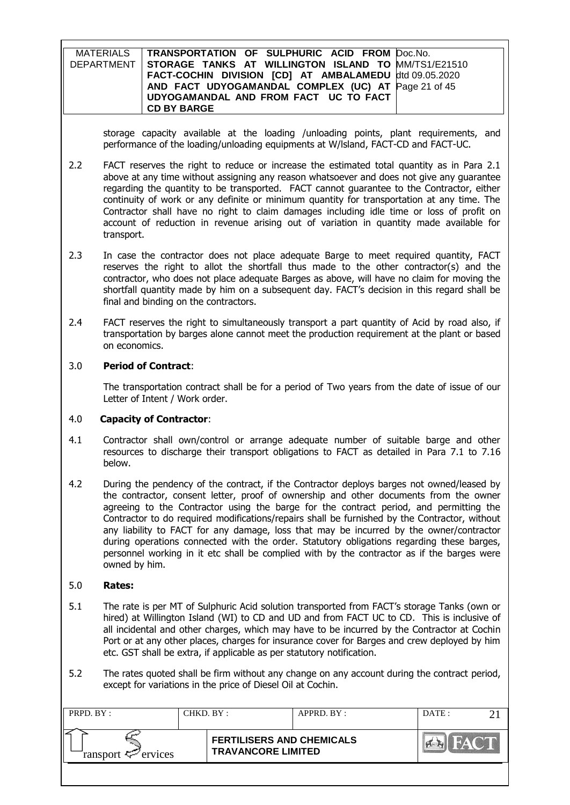| MATERIALS   TRANSPORTATION OF SULPHURIC ACID FROM Doc.No.      |  |
|----------------------------------------------------------------|--|
| DEPARTMENT STORAGE TANKS AT WILLINGTON ISLAND TO MM/TS1/E21510 |  |
| FACT-COCHIN DIVISION [CD] AT AMBALAMEDU dtd 09.05.2020         |  |
| AND FACT UDYOGAMANDAL COMPLEX (UC) AT Page 21 of 45            |  |
| UDYOGAMANDAL AND FROM FACT UC TO FACT                          |  |
| <b>CD BY BARGE</b>                                             |  |

storage capacity available at the loading /unloading points, plant requirements, and performance of the loading/unloading equipments at W/lsland, FACT-CD and FACT-UC.

- 2.2 FACT reserves the right to reduce or increase the estimated total quantity as in Para 2.1 above at any time without assigning any reason whatsoever and does not give any guarantee regarding the quantity to be transported. FACT cannot guarantee to the Contractor, either continuity of work or any definite or minimum quantity for transportation at any time. The Contractor shall have no right to claim damages including idle time or loss of profit on account of reduction in revenue arising out of variation in quantity made available for transport.
- 2.3 In case the contractor does not place adequate Barge to meet required quantity, FACT reserves the right to allot the shortfall thus made to the other contractor(s) and the contractor, who does not place adequate Barges as above, will have no claim for moving the shortfall quantity made by him on a subsequent day. FACT's decision in this regard shall be final and binding on the contractors.
- 2.4 FACT reserves the right to simultaneously transport a part quantity of Acid by road also, if transportation by barges alone cannot meet the production requirement at the plant or based on economics.

#### 3.0 **Period of Contract**:

The transportation contract shall be for a period of Two years from the date of issue of our Letter of Intent / Work order.

#### 4.0 **Capacity of Contractor**:

- 4.1 Contractor shall own/control or arrange adequate number of suitable barge and other resources to discharge their transport obligations to FACT as detailed in Para 7.1 to 7.16 below.
- 4.2 During the pendency of the contract, if the Contractor deploys barges not owned/leased by the contractor, consent letter, proof of ownership and other documents from the owner agreeing to the Contractor using the barge for the contract period, and permitting the Contractor to do required modifications/repairs shall be furnished by the Contractor, without any liability to FACT for any damage, loss that may be incurred by the owner/contractor during operations connected with the order. Statutory obligations regarding these barges, personnel working in it etc shall be complied with by the contractor as if the barges were owned by him.

#### 5.0 **Rates:**

- 5.1 The rate is per MT of Sulphuric Acid solution transported from FACT's storage Tanks (own or hired) at Willington Island (WI) to CD and UD and from FACT UC to CD. This is inclusive of all incidental and other charges, which may have to be incurred by the Contractor at Cochin Port or at any other places, charges for insurance cover for Barges and crew deployed by him etc. GST shall be extra, if applicable as per statutory notification.
- 5.2 The rates quoted shall be firm without any change on any account during the contract period, except for variations in the price of Diesel Oil at Cochin.

| PRPD. BY:                      | CHKD. BY: |                                                               | APPRD. BY: | DATE: |  |
|--------------------------------|-----------|---------------------------------------------------------------|------------|-------|--|
| ransport $\mathcal{P}$ ervices |           | <b>FERTILISERS AND CHEMICALS</b><br><b>TRAVANCORE LIMITED</b> |            |       |  |
|                                |           |                                                               |            |       |  |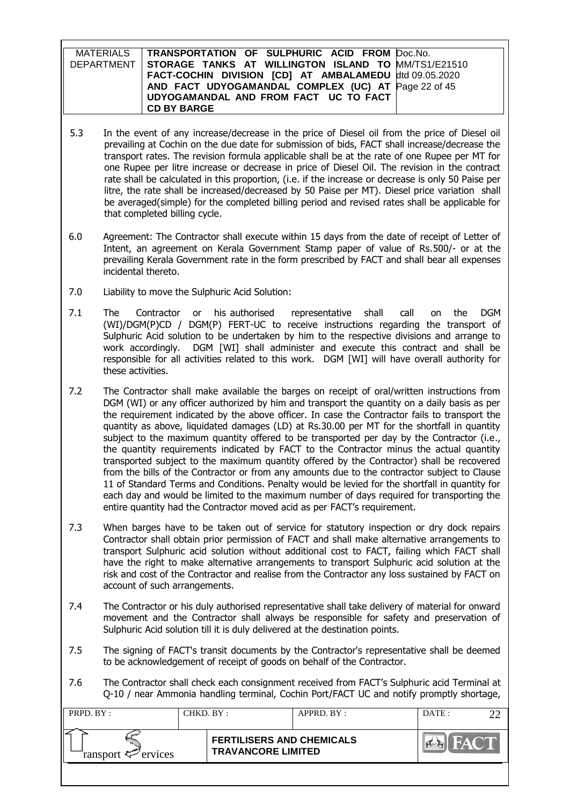| MATERIALS   TRANSPORTATION OF SULPHURIC ACID FROM Doc.No.      |  |
|----------------------------------------------------------------|--|
| DEPARTMENT STORAGE TANKS AT WILLINGTON ISLAND TO MM/TS1/E21510 |  |
| FACT-COCHIN DIVISION [CD] AT AMBALAMEDU dtd 09.05.2020         |  |
| AND FACT UDYOGAMANDAL COMPLEX (UC) AT Page 22 of 45            |  |
| UDYOGAMANDAL AND FROM FACT UC TO FACT                          |  |
| <b>CD BY BARGE</b>                                             |  |

- 5.3 In the event of any increase/decrease in the price of Diesel oil from the price of Diesel oil prevailing at Cochin on the due date for submission of bids, FACT shall increase/decrease the transport rates. The revision formula applicable shall be at the rate of one Rupee per MT for one Rupee per litre increase or decrease in price of Diesel Oil. The revision in the contract rate shall be calculated in this proportion, (i.e. if the increase or decrease is only 50 Paise per litre, the rate shall be increased/decreased by 50 Paise per MT). Diesel price variation shall be averaged(simple) for the completed billing period and revised rates shall be applicable for that completed billing cycle.
- 6.0 Agreement: The Contractor shall execute within 15 days from the date of receipt of Letter of Intent, an agreement on Kerala Government Stamp paper of value of Rs.500/- or at the prevailing Kerala Government rate in the form prescribed by FACT and shall bear all expenses incidental thereto.
- 7.0 Liability to move the Sulphuric Acid Solution:
- 7.1 The Contractor or his authorised representative shall call on the DGM (WI)/DGM(P)CD / DGM(P) FERT-UC to receive instructions regarding the transport of Sulphuric Acid solution to be undertaken by him to the respective divisions and arrange to work accordingly. DGM [WI] shall administer and execute this contract and shall be responsible for all activities related to this work. DGM [WI] will have overall authority for these activities.
- 7.2 The Contractor shall make available the barges on receipt of oral/written instructions from DGM (WI) or any officer authorized by him and transport the quantity on a daily basis as per the requirement indicated by the above officer. In case the Contractor fails to transport the quantity as above, liquidated damages (LD) at Rs.30.00 per MT for the shortfall in quantity subject to the maximum quantity offered to be transported per day by the Contractor (i.e., the quantity requirements indicated by FACT to the Contractor minus the actual quantity transported subject to the maximum quantity offered by the Contractor) shall be recovered from the bills of the Contractor or from any amounts due to the contractor subject to Clause 11 of Standard Terms and Conditions. Penalty would be levied for the shortfall in quantity for each day and would be limited to the maximum number of days required for transporting the entire quantity had the Contractor moved acid as per FACT's requirement.
- 7.3 When barges have to be taken out of service for statutory inspection or dry dock repairs Contractor shall obtain prior permission of FACT and shall make alternative arrangements to transport Sulphuric acid solution without additional cost to FACT, failing which FACT shall have the right to make alternative arrangements to transport Sulphuric acid solution at the risk and cost of the Contractor and realise from the Contractor any loss sustained by FACT on account of such arrangements.
- 7.4 The Contractor or his duly authorised representative shall take delivery of material for onward movement and the Contractor shall always be responsible for safety and preservation of Sulphuric Acid solution till it is duly delivered at the destination points.
- 7.5 The signing of FACT's transit documents by the Contractor's representative shall be deemed to be acknowledgement of receipt of goods on behalf of the Contractor.
- 7.6 The Contractor shall check each consignment received from FACT's Sulphuric acid Terminal at Q-10 / near Ammonia handling terminal, Cochin Port/FACT UC and notify promptly shortage,

| PRPD. BY :             | CHKD. BY :                                                    | APPRD. BY: | DATA |  |
|------------------------|---------------------------------------------------------------|------------|------|--|
| ransport $\ll$ ervices | <b>FERTILISERS AND CHEMICALS</b><br><b>TRAVANCORE LIMITED</b> |            |      |  |
|                        |                                                               |            |      |  |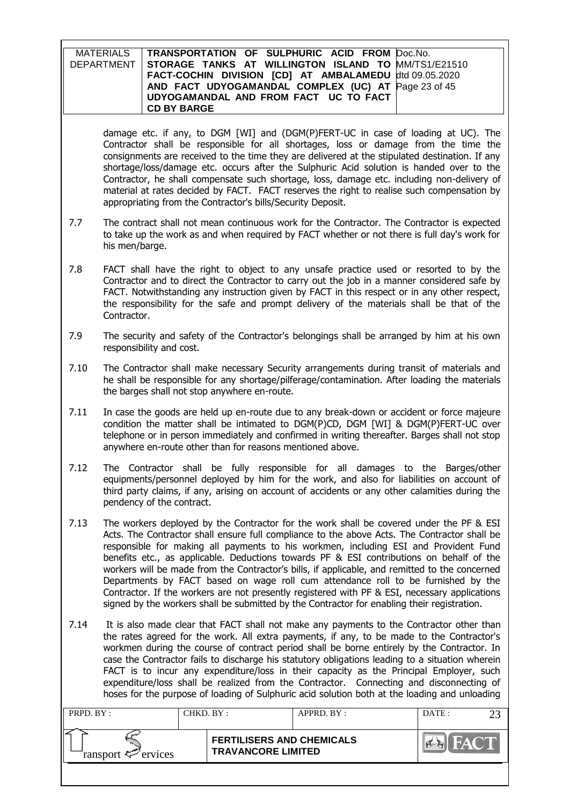| MATERIALS   TRANSPORTATION OF SULPHURIC ACID FROM Doc.No.        |  |
|------------------------------------------------------------------|--|
| DEPARTMENT   STORAGE TANKS AT WILLINGTON ISLAND TO MM/TS1/E21510 |  |
| FACT-COCHIN DIVISION [CD] AT AMBALAMEDU dtd 09.05.2020           |  |
| AND FACT UDYOGAMANDAL COMPLEX (UC) AT Page 23 of 45              |  |
| UDYOGAMANDAL AND FROM FACT UC TO FACT                            |  |
| <b>CD BY BARGE</b>                                               |  |

damage etc. if any, to DGM [WI] and (DGM(P)FERT-UC in case of loading at UC). The Contractor shall be responsible for all shortages, loss or damage from the time the consignments are received to the time they are delivered at the stipulated destination. If any shortage/loss/damage etc. occurs after the Sulphuric Acid solution is handed over to the Contractor, he shall compensate such shortage, loss, damage etc. including non-delivery of material at rates decided by FACT. FACT reserves the right to realise such compensation by appropriating from the Contractor's bills/Security Deposit.

- 7.7 The contract shall not mean continuous work for the Contractor. The Contractor is expected to take up the work as and when required by FACT whether or not there is full day's work for his men/barge.
- 7.8 FACT shall have the right to object to any unsafe practice used or resorted to by the Contractor and to direct the Contractor to carry out the job in a manner considered safe by FACT. Notwithstanding any instruction given by FACT in this respect or in any other respect, the responsibility for the safe and prompt delivery of the materials shall be that of the Contractor.
- 7.9 The security and safety of the Contractor's belongings shall be arranged by him at his own responsibility and cost.
- 7.10 The Contractor shall make necessary Security arrangements during transit of materials and he shall be responsible for any shortage/pilferage/contamination. After loading the materials the barges shall not stop anywhere en-route.
- 7.11 In case the goods are held up en-route due to any break-down or accident or force majeure condition the matter shall be intimated to DGM(P)CD, DGM [WI] & DGM(P)FERT-UC over telephone or in person immediately and confirmed in writing thereafter. Barges shall not stop anywhere en-route other than for reasons mentioned above.
- 7.12 The Contractor shall be fully responsible for all damages to the Barges/other equipments/personnel deployed by him for the work, and also for liabilities on account of third party claims, if any, arising on account of accidents or any other calamities during the pendency of the contract.
- 7.13 The workers deployed by the Contractor for the work shall be covered under the PF & ESI Acts. The Contractor shall ensure full compliance to the above Acts. The Contractor shall be responsible for making all payments to his workmen, including ESI and Provident Fund benefits etc., as applicable. Deductions towards PF & ESI contributions on behalf of the workers will be made from the Contractor's bills, if applicable, and remitted to the concerned Departments by FACT based on wage roll cum attendance roll to be furnished by the Contractor. If the workers are not presently registered with PF & ESI, necessary applications signed by the workers shall be submitted by the Contractor for enabling their registration.
- 7.14 It is also made clear that FACT shall not make any payments to the Contractor other than the rates agreed for the work. All extra payments, if any, to be made to the Contractor's workmen during the course of contract period shall be borne entirely by the Contractor. In case the Contractor fails to discharge his statutory obligations leading to a situation wherein FACT is to incur any expenditure/loss in their capacity as the Principal Employer, such expenditure/loss shall be realized from the Contractor. Connecting and disconnecting of hoses for the purpose of loading of Sulphuric acid solution both at the loading and unloading

| PRPD. BY:              | CHKD. BY : |                                                               | APPRD. BY: | DATE: |  |
|------------------------|------------|---------------------------------------------------------------|------------|-------|--|
| ransport $\ll$ ervices |            | <b>FERTILISERS AND CHEMICALS</b><br><b>TRAVANCORE LIMITED</b> |            |       |  |
|                        |            |                                                               |            |       |  |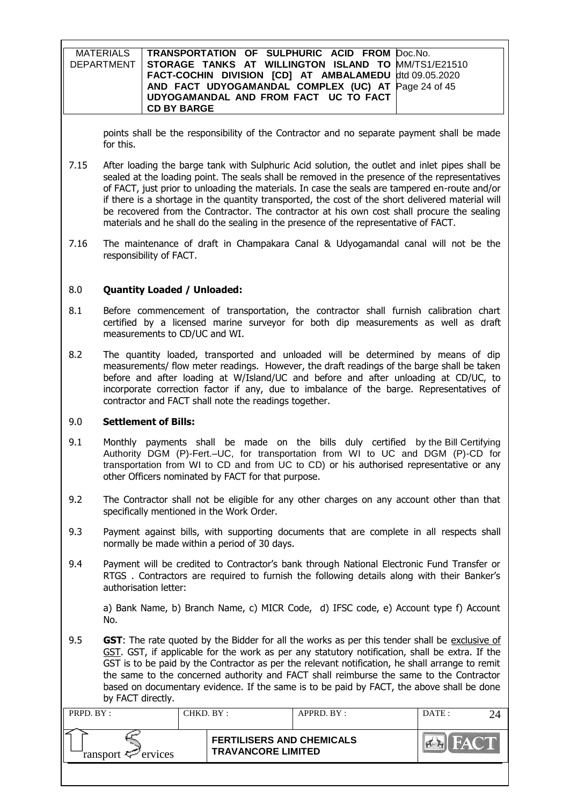| MATERIALS   TRANSPORTATION OF SULPHURIC ACID FROM Doc.No.      |  |
|----------------------------------------------------------------|--|
| DEPARTMENT STORAGE TANKS AT WILLINGTON ISLAND TO MM/TS1/E21510 |  |
| FACT-COCHIN DIVISION [CD] AT AMBALAMEDU dtd 09.05.2020         |  |
| AND FACT UDYOGAMANDAL COMPLEX (UC) AT Page 24 of 45            |  |
| UDYOGAMANDAL AND FROM FACT UC TO FACT                          |  |
| <b>CD BY BARGE</b>                                             |  |

points shall be the responsibility of the Contractor and no separate payment shall be made for this.

- 7.15 After loading the barge tank with Sulphuric Acid solution, the outlet and inlet pipes shall be sealed at the loading point. The seals shall be removed in the presence of the representatives of FACT, just prior to unloading the materials. In case the seals are tampered en-route and/or if there is a shortage in the quantity transported, the cost of the short delivered material will be recovered from the Contractor. The contractor at his own cost shall procure the sealing materials and he shall do the sealing in the presence of the representative of FACT.
- 7.16 The maintenance of draft in Champakara Canal & Udyogamandal canal will not be the responsibility of FACT.

#### 8.0 **Quantity Loaded / Unloaded:**

- 8.1 Before commencement of transportation, the contractor shall furnish calibration chart certified by a licensed marine surveyor for both dip measurements as well as draft measurements to CD/UC and WI.
- 8.2 The quantity loaded, transported and unloaded will be determined by means of dip measurements/ flow meter readings. However, the draft readings of the barge shall be taken before and after loading at W/Island/UC and before and after unloading at CD/UC, to incorporate correction factor if any, due to imbalance of the barge. Representatives of contractor and FACT shall note the readings together.

#### 9.0 **Settlement of Bills:**

- 9.1 Monthly payments shall be made on the bills duly certified by the Bill Certifying Authority DGM (P)-Fert.–UC, for transportation from WI to UC and DGM (P)-CD for transportation from WI to CD and from UC to CD) or his authorised representative or any other Officers nominated by FACT for that purpose.
- 9.2 The Contractor shall not be eligible for any other charges on any account other than that specifically mentioned in the Work Order.
- 9.3 Payment against bills, with supporting documents that are complete in all respects shall normally be made within a period of 30 days.
- 9.4 Payment will be credited to Contractor's bank through National Electronic Fund Transfer or RTGS . Contractors are required to furnish the following details along with their Banker's authorisation letter:

a) Bank Name, b) Branch Name, c) MICR Code, d) IFSC code, e) Account type f) Account No.

9.5 **GST**: The rate quoted by the Bidder for all the works as per this tender shall be exclusive of GST. GST, if applicable for the work as per any statutory notification, shall be extra. If the GST is to be paid by the Contractor as per the relevant notification, he shall arrange to remit the same to the concerned authority and FACT shall reimburse the same to the Contractor based on documentary evidence. If the same is to be paid by FACT, the above shall be done by FACT directly.

| PRPD. BY:                  | CHKD. BY :                                                    | APPRD. BY: | DATE: |  |
|----------------------------|---------------------------------------------------------------|------------|-------|--|
| ransport $\approx$ ervices | <b>FERTILISERS AND CHEMICALS</b><br><b>TRAVANCORE LIMITED</b> |            |       |  |
|                            |                                                               |            |       |  |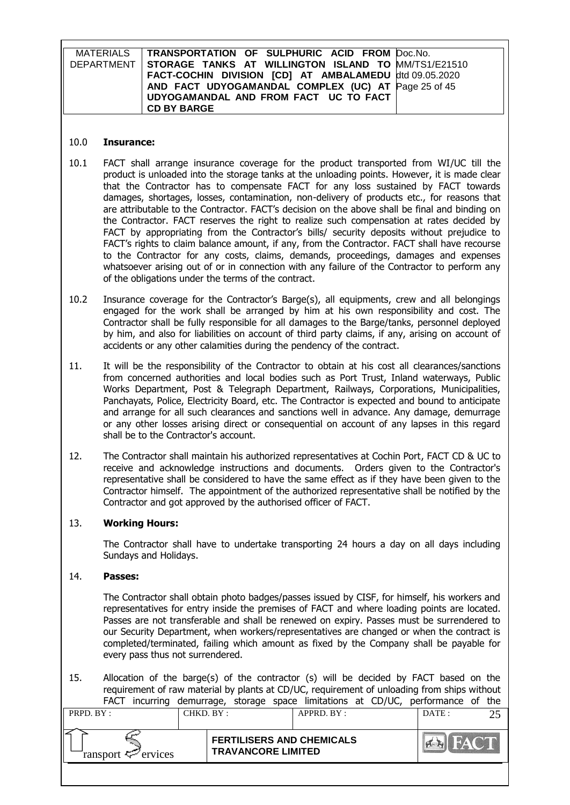| MATERIALS   TRANSPORTATION OF SULPHURIC ACID FROM Doc.No.        |  |
|------------------------------------------------------------------|--|
| DEPARTMENT   STORAGE TANKS AT WILLINGTON ISLAND TO MM/TS1/E21510 |  |
| FACT-COCHIN DIVISION [CD] AT AMBALAMEDU dtd 09.05.2020           |  |
| AND FACT UDYOGAMANDAL COMPLEX (UC) AT Page 25 of 45              |  |
| UDYOGAMANDAL AND FROM FACT UC TO FACT                            |  |
| <b>CD BY BARGE</b>                                               |  |

#### 10.0 **Insurance:**

- 10.1 FACT shall arrange insurance coverage for the product transported from WI/UC till the product is unloaded into the storage tanks at the unloading points. However, it is made clear that the Contractor has to compensate FACT for any loss sustained by FACT towards damages, shortages, losses, contamination, non-delivery of products etc., for reasons that are attributable to the Contractor. FACT's decision on the above shall be final and binding on the Contractor. FACT reserves the right to realize such compensation at rates decided by FACT by appropriating from the Contractor's bills/ security deposits without prejudice to FACT's rights to claim balance amount, if any, from the Contractor. FACT shall have recourse to the Contractor for any costs, claims, demands, proceedings, damages and expenses whatsoever arising out of or in connection with any failure of the Contractor to perform any of the obligations under the terms of the contract.
- 10.2 Insurance coverage for the Contractor's Barge(s), all equipments, crew and all belongings engaged for the work shall be arranged by him at his own responsibility and cost. The Contractor shall be fully responsible for all damages to the Barge/tanks, personnel deployed by him, and also for liabilities on account of third party claims, if any, arising on account of accidents or any other calamities during the pendency of the contract.
- 11. It will be the responsibility of the Contractor to obtain at his cost all clearances/sanctions from concerned authorities and local bodies such as Port Trust, Inland waterways, Public Works Department, Post & Telegraph Department, Railways, Corporations, Municipalities, Panchayats, Police, Electricity Board, etc. The Contractor is expected and bound to anticipate and arrange for all such clearances and sanctions well in advance. Any damage, demurrage or any other losses arising direct or consequential on account of any lapses in this regard shall be to the Contractor's account.
- 12. The Contractor shall maintain his authorized representatives at Cochin Port, FACT CD & UC to receive and acknowledge instructions and documents. Orders given to the Contractor's representative shall be considered to have the same effect as if they have been given to the Contractor himself. The appointment of the authorized representative shall be notified by the Contractor and got approved by the authorised officer of FACT.

## 13. **Working Hours:**

The Contractor shall have to undertake transporting 24 hours a day on all days including Sundays and Holidays.

#### 14. **Passes:**

The Contractor shall obtain photo badges/passes issued by CISF, for himself, his workers and representatives for entry inside the premises of FACT and where loading points are located. Passes are not transferable and shall be renewed on expiry. Passes must be surrendered to our Security Department, when workers/representatives are changed or when the contract is completed/terminated, failing which amount as fixed by the Company shall be payable for every pass thus not surrendered.

15. Allocation of the barge(s) of the contractor (s) will be decided by FACT based on the requirement of raw material by plants at CD/UC, requirement of unloading from ships without FACT incurring demurrage, storage space limitations at CD/UC, performance of the

| <b>FERTILISERS AND CHEMICALS</b><br><b>TRAVANCORE LIMITED</b><br>ransport $\ll$ ervices | PRPD. BY: | CHKD. BY : | APPRD. BY: | DATE: |
|-----------------------------------------------------------------------------------------|-----------|------------|------------|-------|
|                                                                                         |           |            |            |       |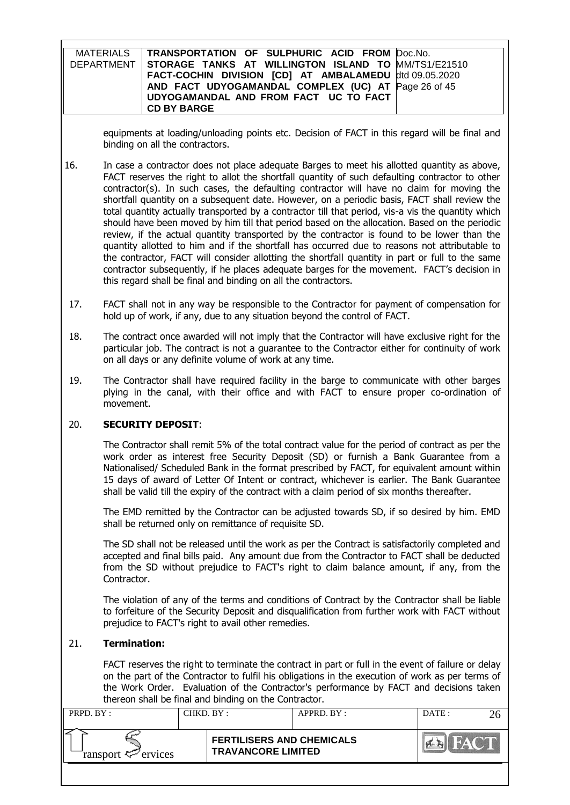| MATERIALS TRANSPORTATION OF SULPHURIC ACID FROM Doc.No.          |  |
|------------------------------------------------------------------|--|
| DEPARTMENT   STORAGE TANKS AT WILLINGTON ISLAND TO MM/TS1/E21510 |  |
| FACT-COCHIN DIVISION [CD] AT AMBALAMEDU dtd 09.05.2020           |  |
| AND FACT UDYOGAMANDAL COMPLEX (UC) AT Page 26 of 45              |  |
| UDYOGAMANDAL AND FROM FACT UC TO FACT                            |  |
| <b>CD BY BARGE</b>                                               |  |

equipments at loading/unloading points etc. Decision of FACT in this regard will be final and binding on all the contractors.

- 16. In case a contractor does not place adequate Barges to meet his allotted quantity as above, FACT reserves the right to allot the shortfall quantity of such defaulting contractor to other contractor(s). In such cases, the defaulting contractor will have no claim for moving the shortfall quantity on a subsequent date. However, on a periodic basis, FACT shall review the total quantity actually transported by a contractor till that period, vis-a vis the quantity which should have been moved by him till that period based on the allocation. Based on the periodic review, if the actual quantity transported by the contractor is found to be lower than the quantity allotted to him and if the shortfall has occurred due to reasons not attributable to the contractor, FACT will consider allotting the shortfall quantity in part or full to the same contractor subsequently, if he places adequate barges for the movement. FACT's decision in this regard shall be final and binding on all the contractors.
- 17. FACT shall not in any way be responsible to the Contractor for payment of compensation for hold up of work, if any, due to any situation beyond the control of FACT.
- 18. The contract once awarded will not imply that the Contractor will have exclusive right for the particular job. The contract is not a guarantee to the Contractor either for continuity of work on all days or any definite volume of work at any time.
- 19. The Contractor shall have required facility in the barge to communicate with other barges plying in the canal, with their office and with FACT to ensure proper co-ordination of movement.

#### 20. **SECURITY DEPOSIT**:

The Contractor shall remit 5% of the total contract value for the period of contract as per the work order as interest free Security Deposit (SD) or furnish a Bank Guarantee from a Nationalised/ Scheduled Bank in the format prescribed by FACT, for equivalent amount within 15 days of award of Letter Of Intent or contract, whichever is earlier. The Bank Guarantee shall be valid till the expiry of the contract with a claim period of six months thereafter.

The EMD remitted by the Contractor can be adjusted towards SD, if so desired by him. EMD shall be returned only on remittance of requisite SD.

The SD shall not be released until the work as per the Contract is satisfactorily completed and accepted and final bills paid. Any amount due from the Contractor to FACT shall be deducted from the SD without prejudice to FACT's right to claim balance amount, if any, from the Contractor.

The violation of any of the terms and conditions of Contract by the Contractor shall be liable to forfeiture of the Security Deposit and disqualification from further work with FACT without prejudice to FACT's right to avail other remedies.

#### 21. **Termination:**

FACT reserves the right to terminate the contract in part or full in the event of failure or delay on the part of the Contractor to fulfil his obligations in the execution of work as per terms of the Work Order. Evaluation of the Contractor's performance by FACT and decisions taken thereon shall be final and binding on the Contractor.

| <b>FERTILISERS AND CHEMICALS</b><br><b>TRAVANCORE LIMITED</b> | PRPD. BY:              | CHKD. BY : | $APPRD$ $BY$ : | DATA |  |
|---------------------------------------------------------------|------------------------|------------|----------------|------|--|
|                                                               | ransport $\ll$ ervices |            |                |      |  |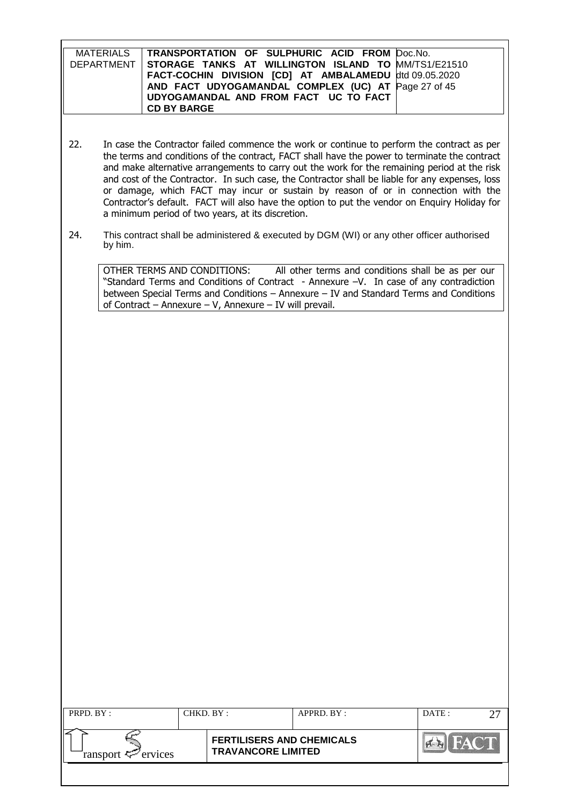| MATERIALS   TRANSPORTATION OF SULPHURIC ACID FROM Doc.No.        |  |
|------------------------------------------------------------------|--|
| DEPARTMENT   STORAGE TANKS AT WILLINGTON ISLAND TO MM/TS1/E21510 |  |
| FACT-COCHIN DIVISION [CD] AT AMBALAMEDU dtd 09.05.2020           |  |
| AND FACT UDYOGAMANDAL COMPLEX (UC) AT Page 27 of 45              |  |
| UDYOGAMANDAL AND FROM FACT UC TO FACT                            |  |
| <b>CD BY BARGE</b>                                               |  |

- 22. In case the Contractor failed commence the work or continue to perform the contract as per the terms and conditions of the contract, FACT shall have the power to terminate the contract and make alternative arrangements to carry out the work for the remaining period at the risk and cost of the Contractor. In such case, the Contractor shall be liable for any expenses, loss or damage, which FACT may incur or sustain by reason of or in connection with the Contractor's default. FACT will also have the option to put the vendor on Enquiry Holiday for a minimum period of two years, at its discretion.
- 24. This contract shall be administered & executed by DGM (WI) or any other officer authorised by him.

OTHER TERMS AND CONDITIONS: All other terms and conditions shall be as per our "Standard Terms and Conditions of Contract - Annexure –V. In case of any contradiction between Special Terms and Conditions – Annexure – IV and Standard Terms and Conditions of Contract – Annexure – V, Annexure – IV will prevail.

| PRPD. BY:                      | CHKD. BY :                                                    | $APPRD$ . $BY$ : | DATE: |  |
|--------------------------------|---------------------------------------------------------------|------------------|-------|--|
| ransport $\mathcal{P}$ ervices | <b>FERTILISERS AND CHEMICALS</b><br><b>TRAVANCORE LIMITED</b> |                  |       |  |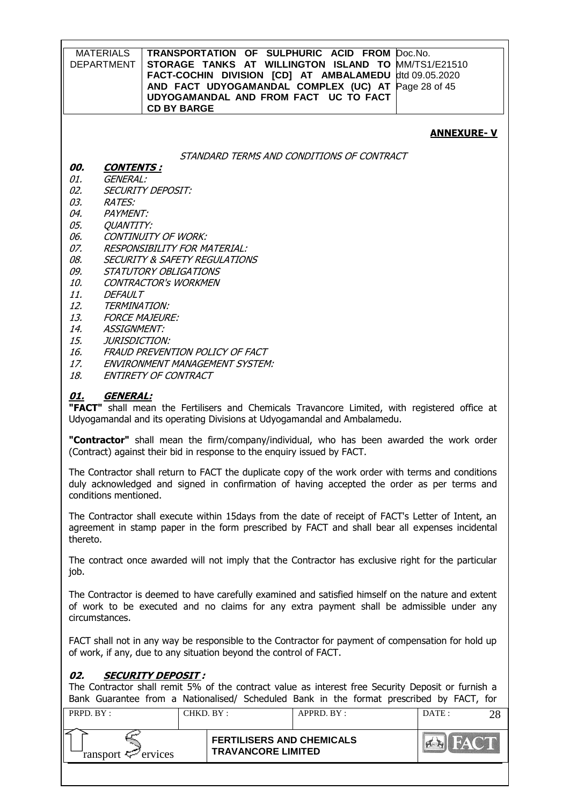| <b>MATERIALS</b><br><b>DEPARTMENT</b> | TRANSPORTATION OF SULPHURIC ACID FROM Doc.No.<br>STORAGE TANKS AT WILLINGTON ISLAND TO MM/TS1/E21510<br>FACT-COCHIN DIVISION [CD] AT AMBALAMEDU dtd 09.05.2020<br>AND FACT UDYOGAMANDAL COMPLEX (UC) AT Page 28 of 45<br>UDYOGAMANDAL AND FROM FACT UC TO FACT<br><b>CD BY BARGE</b> |
|---------------------------------------|--------------------------------------------------------------------------------------------------------------------------------------------------------------------------------------------------------------------------------------------------------------------------------------|
|                                       | <b>ANNEXURE-V</b>                                                                                                                                                                                                                                                                    |
|                                       | STANDARD TERMS AND CONDITIONS OF CONTRACT                                                                                                                                                                                                                                            |
| 00.<br><b>CONTENTS:</b>               |                                                                                                                                                                                                                                                                                      |
| 01.<br>GENERAL:                       |                                                                                                                                                                                                                                                                                      |
| 02.                                   | <b>SECURITY DEPOSIT:</b>                                                                                                                                                                                                                                                             |
| 03.<br><b>RATES:</b>                  |                                                                                                                                                                                                                                                                                      |
| 04.<br><b>PAYMENT:</b>                |                                                                                                                                                                                                                                                                                      |
| 05.<br><b>QUANTITY:</b>               |                                                                                                                                                                                                                                                                                      |
| 06.                                   | <b>CONTINUITY OF WORK:</b>                                                                                                                                                                                                                                                           |
| 07.                                   | <b>RESPONSIBILITY FOR MATERIAL:</b>                                                                                                                                                                                                                                                  |
| 08.                                   | <b>SECURITY &amp; SAFETY REGULATIONS</b>                                                                                                                                                                                                                                             |
| 09.                                   | STATUTORY OBLIGATIONS                                                                                                                                                                                                                                                                |
| 10.                                   | <b>CONTRACTOR'S WORKMEN</b>                                                                                                                                                                                                                                                          |
| 11.<br><b>DEFAULT</b>                 |                                                                                                                                                                                                                                                                                      |
| 12.<br>TERMINATION:                   |                                                                                                                                                                                                                                                                                      |
| 13.                                   | <b>FORCE MAJEURE:</b>                                                                                                                                                                                                                                                                |
| 14.<br><b>ASSIGNMENT:</b>             |                                                                                                                                                                                                                                                                                      |
| 15.<br>JURISDICTION:<br>16.           | FRAUD PREVENTION POLICY OF FACT                                                                                                                                                                                                                                                      |
| 17.                                   | ENVIRONMENT MANAGEMENT SYSTEM:                                                                                                                                                                                                                                                       |
| 18.                                   | ENTIRETY OF CONTRACT                                                                                                                                                                                                                                                                 |
|                                       |                                                                                                                                                                                                                                                                                      |
| <b>GENERAL:</b><br><u>01.</u>         | "FACT" shall mean the Fertilisers and Chemicals Travancore Limited, with registered office at<br>Udyogamandal and its operating Divisions at Udyogamandal and Ambalamedu.                                                                                                            |
|                                       | "Contractor" shall mean the firm/company/individual, who has been awarded the work order<br>(Contract) against their bid in response to the enguiry issued by FACT.                                                                                                                  |

The Contractor shall return to FACT the duplicate copy of the work order with terms and conditions duly acknowledged and signed in confirmation of having accepted the order as per terms and conditions mentioned.

The Contractor shall execute within 15days from the date of receipt of FACT's Letter of Intent, an agreement in stamp paper in the form prescribed by FACT and shall bear all expenses incidental thereto.

The contract once awarded will not imply that the Contractor has exclusive right for the particular job.

The Contractor is deemed to have carefully examined and satisfied himself on the nature and extent of work to be executed and no claims for any extra payment shall be admissible under any circumstances.

FACT shall not in any way be responsible to the Contractor for payment of compensation for hold up of work, if any, due to any situation beyond the control of FACT.

#### **02. SECURITY DEPOSIT :**

The Contractor shall remit 5% of the contract value as interest free Security Deposit or furnish a Bank Guarantee from a Nationalised/ Scheduled Bank in the format prescribed by FACT, for

| PRPD. BY:              | CHKD. BY :                                                    | APPRD. BY: | DATE: |
|------------------------|---------------------------------------------------------------|------------|-------|
| ransport $\ll$ ervices | <b>FERTILISERS AND CHEMICALS</b><br><b>TRAVANCORE LIMITED</b> |            |       |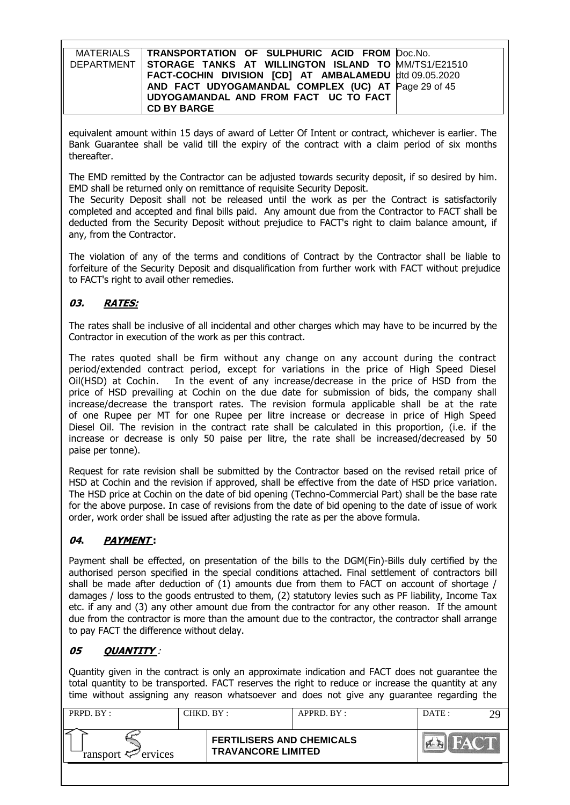| MATERIALS   TRANSPORTATION OF SULPHURIC ACID FROM Doc.No.        |  |
|------------------------------------------------------------------|--|
| DEPARTMENT   STORAGE TANKS AT WILLINGTON ISLAND TO MM/TS1/E21510 |  |
| FACT-COCHIN DIVISION [CD] AT AMBALAMEDU dtd 09.05.2020           |  |
| AND FACT UDYOGAMANDAL COMPLEX (UC) AT Page 29 of 45              |  |
| UDYOGAMANDAL AND FROM FACT UC TO FACT                            |  |
| <b>CD BY BARGE</b>                                               |  |

equivalent amount within 15 days of award of Letter Of Intent or contract, whichever is earlier. The Bank Guarantee shall be valid till the expiry of the contract with a claim period of six months thereafter.

The EMD remitted by the Contractor can be adjusted towards security deposit, if so desired by him. EMD shall be returned only on remittance of requisite Security Deposit.

The Security Deposit shall not be released until the work as per the Contract is satisfactorily completed and accepted and final bills paid. Any amount due from the Contractor to FACT shall be deducted from the Security Deposit without prejudice to FACT's right to claim balance amount, if any, from the Contractor.

The violation of any of the terms and conditions of Contract by the Contractor shall be liable to forfeiture of the Security Deposit and disqualification from further work with FACT without prejudice to FACT's right to avail other remedies.

# **03. RATES:**

The rates shall be inclusive of all incidental and other charges which may have to be incurred by the Contractor in execution of the work as per this contract.

The rates quoted shall be firm without any change on any account during the contract period/extended contract period, except for variations in the price of High Speed Diesel Oil(HSD) at Cochin. In the event of any increase/decrease in the price of HSD from the price of HSD prevailing at Cochin on the due date for submission of bids, the company shall increase/decrease the transport rates. The revision formula applicable shall be at the rate of one Rupee per MT for one Rupee per litre increase or decrease in price of High Speed Diesel Oil. The revision in the contract rate shall be calculated in this proportion, (i.e. if the increase or decrease is only 50 paise per litre, the rate shall be increased/decreased by 50 paise per tonne).

Request for rate revision shall be submitted by the Contractor based on the revised retail price of HSD at Cochin and the revision if approved, shall be effective from the date of HSD price variation. The HSD price at Cochin on the date of bid opening (Techno-Commercial Part) shall be the base rate for the above purpose. In case of revisions from the date of bid opening to the date of issue of work order, work order shall be issued after adjusting the rate as per the above formula.

## **04. PAYMENT :**

Payment shall be effected, on presentation of the bills to the DGM(Fin)-Bills duly certified by the authorised person specified in the special conditions attached. Final settlement of contractors bill shall be made after deduction of (1) amounts due from them to FACT on account of shortage / damages / loss to the goods entrusted to them, (2) statutory levies such as PF liability, Income Tax etc. if any and (3) any other amount due from the contractor for any other reason. If the amount due from the contractor is more than the amount due to the contractor, the contractor shall arrange to pay FACT the difference without delay.

# **05 QUANTITY** :

Quantity given in the contract is only an approximate indication and FACT does not guarantee the total quantity to be transported. FACT reserves the right to reduce or increase the quantity at any time without assigning any reason whatsoever and does not give any guarantee regarding the

| PRPD. BY:              |  | CHKD. BY :-<br>APPRD. BY:                                     |  | DATE: |  |
|------------------------|--|---------------------------------------------------------------|--|-------|--|
| ransport $\ll$ ervices |  | <b>FERTILISERS AND CHEMICALS</b><br><b>TRAVANCORE LIMITED</b> |  |       |  |
|                        |  |                                                               |  |       |  |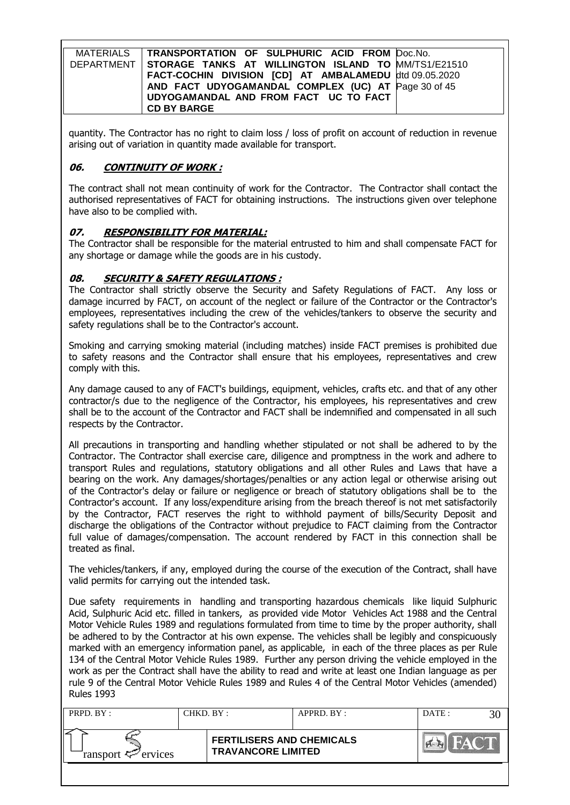| MATERIALS   TRANSPORTATION OF SULPHURIC ACID FROM Doc.No.        |  |
|------------------------------------------------------------------|--|
| DEPARTMENT   STORAGE TANKS AT WILLINGTON ISLAND TO MM/TS1/E21510 |  |
| FACT-COCHIN DIVISION [CD] AT AMBALAMEDU dtd 09.05.2020           |  |
| AND FACT UDYOGAMANDAL COMPLEX (UC) AT Page 30 of 45              |  |
| UDYOGAMANDAL AND FROM FACT UC TO FACT                            |  |
| <b>CD BY BARGE</b>                                               |  |

quantity. The Contractor has no right to claim loss / loss of profit on account of reduction in revenue arising out of variation in quantity made available for transport.

## **06. CONTINUITY OF WORK :**

The contract shall not mean continuity of work for the Contractor. The Contractor shall contact the authorised representatives of FACT for obtaining instructions. The instructions given over telephone have also to be complied with.

## **07. RESPONSIBILITY FOR MATERIAL:**

The Contractor shall be responsible for the material entrusted to him and shall compensate FACT for any shortage or damage while the goods are in his custody.

## **08. SECURITY & SAFETY REGULATIONS :**

The Contractor shall strictly observe the Security and Safety Regulations of FACT. Any loss or damage incurred by FACT, on account of the neglect or failure of the Contractor or the Contractor's employees, representatives including the crew of the vehicles/tankers to observe the security and safety regulations shall be to the Contractor's account.

Smoking and carrying smoking material (including matches) inside FACT premises is prohibited due to safety reasons and the Contractor shall ensure that his employees, representatives and crew comply with this.

Any damage caused to any of FACT's buildings, equipment, vehicles, crafts etc. and that of any other contractor/s due to the negligence of the Contractor, his employees, his representatives and crew shall be to the account of the Contractor and FACT shall be indemnified and compensated in all such respects by the Contractor.

All precautions in transporting and handling whether stipulated or not shall be adhered to by the Contractor. The Contractor shall exercise care, diligence and promptness in the work and adhere to transport Rules and regulations, statutory obligations and all other Rules and Laws that have a bearing on the work. Any damages/shortages/penalties or any action legal or otherwise arising out of the Contractor's delay or failure or negligence or breach of statutory obligations shall be to the Contractor's account. If any loss/expenditure arising from the breach thereof is not met satisfactorily by the Contractor, FACT reserves the right to withhold payment of bills/Security Deposit and discharge the obligations of the Contractor without prejudice to FACT claiming from the Contractor full value of damages/compensation. The account rendered by FACT in this connection shall be treated as final.

The vehicles/tankers, if any, employed during the course of the execution of the Contract, shall have valid permits for carrying out the intended task.

Due safety requirements in handling and transporting hazardous chemicals like liquid Sulphuric Acid, Sulphuric Acid etc. filled in tankers, as provided vide Motor Vehicles Act 1988 and the Central Motor Vehicle Rules 1989 and regulations formulated from time to time by the proper authority, shall be adhered to by the Contractor at his own expense. The vehicles shall be legibly and conspicuously marked with an emergency information panel, as applicable, in each of the three places as per Rule 134 of the Central Motor Vehicle Rules 1989. Further any person driving the vehicle employed in the work as per the Contract shall have the ability to read and write at least one Indian language as per rule 9 of the Central Motor Vehicle Rules 1989 and Rules 4 of the Central Motor Vehicles (amended) Rules 1993

| <b>FERTILISERS AND CHEMICALS</b>                    |  |
|-----------------------------------------------------|--|
| <b>TRAVANCORE LIMITED</b><br>ransport $\ll$ ervices |  |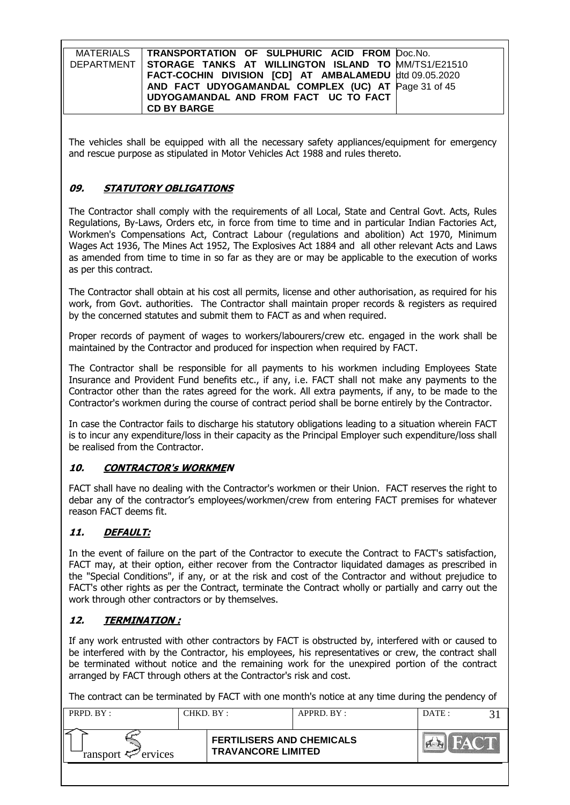| MATERIALS   TRANSPORTATION OF SULPHURIC ACID FROM Doc.No.        |  |
|------------------------------------------------------------------|--|
| DEPARTMENT   STORAGE TANKS AT WILLINGTON ISLAND TO MM/TS1/E21510 |  |
| FACT-COCHIN DIVISION [CD] AT AMBALAMEDU dtd 09.05.2020           |  |
| AND FACT UDYOGAMANDAL COMPLEX (UC) AT Page 31 of 45              |  |
| UDYOGAMANDAL AND FROM FACT UC TO FACT                            |  |
| <b>CD BY BARGE</b>                                               |  |

The vehicles shall be equipped with all the necessary safety appliances/equipment for emergency and rescue purpose as stipulated in Motor Vehicles Act 1988 and rules thereto.

## **09. STATUTORY OBLIGATIONS**

The Contractor shall comply with the requirements of all Local, State and Central Govt. Acts, Rules Regulations, By-Laws, Orders etc, in force from time to time and in particular Indian Factories Act, Workmen's Compensations Act, Contract Labour (regulations and abolition) Act 1970, Minimum Wages Act 1936, The Mines Act 1952, The Explosives Act 1884 and all other relevant Acts and Laws as amended from time to time in so far as they are or may be applicable to the execution of works as per this contract.

The Contractor shall obtain at his cost all permits, license and other authorisation, as required for his work, from Govt. authorities. The Contractor shall maintain proper records & registers as required by the concerned statutes and submit them to FACT as and when required.

Proper records of payment of wages to workers/labourers/crew etc. engaged in the work shall be maintained by the Contractor and produced for inspection when required by FACT.

The Contractor shall be responsible for all payments to his workmen including Employees State Insurance and Provident Fund benefits etc., if any, i.e. FACT shall not make any payments to the Contractor other than the rates agreed for the work. All extra payments, if any, to be made to the Contractor's workmen during the course of contract period shall be borne entirely by the Contractor.

In case the Contractor fails to discharge his statutory obligations leading to a situation wherein FACT is to incur any expenditure/loss in their capacity as the Principal Employer such expenditure/loss shall be realised from the Contractor.

## **10. CONTRACTOR's WORKMEN**

FACT shall have no dealing with the Contractor's workmen or their Union. FACT reserves the right to debar any of the contractor's employees/workmen/crew from entering FACT premises for whatever reason FACT deems fit.

## **11. DEFAULT:**

In the event of failure on the part of the Contractor to execute the Contract to FACT's satisfaction, FACT may, at their option, either recover from the Contractor liquidated damages as prescribed in the "Special Conditions", if any, or at the risk and cost of the Contractor and without prejudice to FACT's other rights as per the Contract, terminate the Contract wholly or partially and carry out the work through other contractors or by themselves.

## **12. TERMINATION :**

If any work entrusted with other contractors by FACT is obstructed by, interfered with or caused to be interfered with by the Contractor, his employees, his representatives or crew, the contract shall be terminated without notice and the remaining work for the unexpired portion of the contract arranged by FACT through others at the Contractor's risk and cost.

The contract can be terminated by FACT with one month's notice at any time during the pendency of

| PRPD. BY:                  |  | CHKD. BY :<br>APPRD. BY:                                      |  | DATE: |  |
|----------------------------|--|---------------------------------------------------------------|--|-------|--|
| ransport $\approx$ ervices |  | <b>FERTILISERS AND CHEMICALS</b><br><b>TRAVANCORE LIMITED</b> |  |       |  |
|                            |  |                                                               |  |       |  |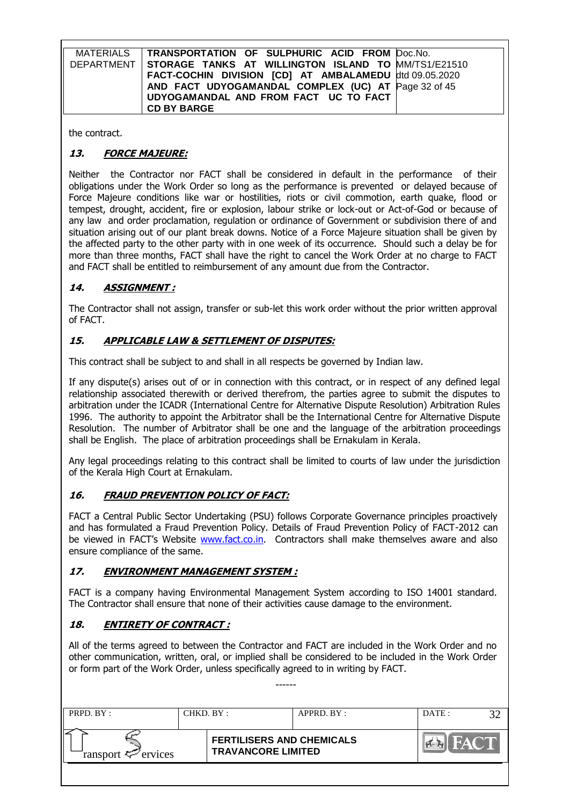| MATERIALS   TRANSPORTATION OF SULPHURIC ACID FROM Doc.No.        |  |
|------------------------------------------------------------------|--|
| DEPARTMENT   STORAGE TANKS AT WILLINGTON ISLAND TO MM/TS1/E21510 |  |
| FACT-COCHIN DIVISION [CD] AT AMBALAMEDU dtd 09.05.2020           |  |
| AND FACT UDYOGAMANDAL COMPLEX (UC) AT Page 32 of 45              |  |
| UDYOGAMANDAL AND FROM FACT UC TO FACT                            |  |
| <b>CD BY BARGE</b>                                               |  |

the contract.

# **13. FORCE MAJEURE:**

Neither the Contractor nor FACT shall be considered in default in the performance of their obligations under the Work Order so long as the performance is prevented or delayed because of Force Majeure conditions like war or hostilities, riots or civil commotion, earth quake, flood or tempest, drought, accident, fire or explosion, labour strike or lock-out or Act-of-God or because of any law and order proclamation, regulation or ordinance of Government or subdivision there of and situation arising out of our plant break downs. Notice of a Force Majeure situation shall be given by the affected party to the other party with in one week of its occurrence. Should such a delay be for more than three months, FACT shall have the right to cancel the Work Order at no charge to FACT and FACT shall be entitled to reimbursement of any amount due from the Contractor.

# **14. ASSIGNMENT :**

The Contractor shall not assign, transfer or sub-let this work order without the prior written approval of FACT.

## **15. APPLICABLE LAW & SETTLEMENT OF DISPUTES:**

This contract shall be subject to and shall in all respects be governed by Indian law.

If any dispute(s) arises out of or in connection with this contract, or in respect of any defined legal relationship associated therewith or derived therefrom, the parties agree to submit the disputes to arbitration under the ICADR (International Centre for Alternative Dispute Resolution) Arbitration Rules 1996. The authority to appoint the Arbitrator shall be the International Centre for Alternative Dispute Resolution. The number of Arbitrator shall be one and the language of the arbitration proceedings shall be English. The place of arbitration proceedings shall be Ernakulam in Kerala.

Any legal proceedings relating to this contract shall be limited to courts of law under the jurisdiction of the Kerala High Court at Ernakulam.

## **16. FRAUD PREVENTION POLICY OF FACT:**

FACT a Central Public Sector Undertaking (PSU) follows Corporate Governance principles proactively and has formulated a Fraud Prevention Policy. Details of Fraud Prevention Policy of FACT-2012 can be viewed in FACT's Website [www.fact.co.in.](http://www.fact.co.in/) Contractors shall make themselves aware and also ensure compliance of the same.

## **17. ENVIRONMENT MANAGEMENT SYSTEM :**

FACT is a company having Environmental Management System according to ISO 14001 standard. The Contractor shall ensure that none of their activities cause damage to the environment.

## **18. ENTIRETY OF CONTRACT :**

All of the terms agreed to between the Contractor and FACT are included in the Work Order and no other communication, written, oral, or implied shall be considered to be included in the Work Order or form part of the Work Order, unless specifically agreed to in writing by FACT.

------

| PRPD. BY :<br>CHKD. BY : |  |                                                               | APPRD. BY: | DATE: |  |
|--------------------------|--|---------------------------------------------------------------|------------|-------|--|
| ransport $\ll$ ervices   |  | <b>FERTILISERS AND CHEMICALS</b><br><b>TRAVANCORE LIMITED</b> |            |       |  |
|                          |  |                                                               |            |       |  |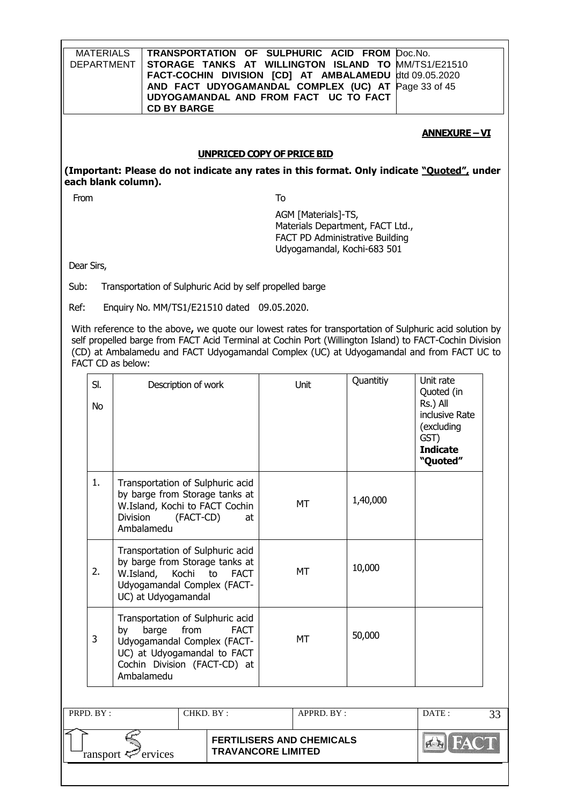| <b>MATERIALS</b><br><b>DEPARTMENT</b> |                                                                                                                                                                                    | <b>CD BY BARGE</b>  |           |                                                          |           | TRANSPORTATION OF SULPHURIC ACID FROM<br>STORAGE TANKS AT WILLINGTON ISLAND TO<br>UDYOGAMANDAL AND FROM FACT UC TO FACT   |           | Doc.No.<br>MM/TS1/E21510<br>FACT-COCHIN DIVISION [CD] AT AMBALAMEDU dtd 09.05.2020<br>AND FACT UDYOGAMANDAL COMPLEX (UC) AT Page 33 of 45                                                                                                                                                                       |    |
|---------------------------------------|------------------------------------------------------------------------------------------------------------------------------------------------------------------------------------|---------------------|-----------|----------------------------------------------------------|-----------|---------------------------------------------------------------------------------------------------------------------------|-----------|-----------------------------------------------------------------------------------------------------------------------------------------------------------------------------------------------------------------------------------------------------------------------------------------------------------------|----|
|                                       |                                                                                                                                                                                    |                     |           |                                                          |           |                                                                                                                           |           | <b>ANNEXURE-VI</b>                                                                                                                                                                                                                                                                                              |    |
|                                       |                                                                                                                                                                                    |                     |           | <b>UNPRICED COPY OF PRICE BID</b>                        |           |                                                                                                                           |           |                                                                                                                                                                                                                                                                                                                 |    |
| each blank column).                   |                                                                                                                                                                                    |                     |           |                                                          |           |                                                                                                                           |           | (Important: Please do not indicate any rates in this format. Only indicate "Quoted", under                                                                                                                                                                                                                      |    |
| From                                  |                                                                                                                                                                                    |                     |           |                                                          | To        |                                                                                                                           |           |                                                                                                                                                                                                                                                                                                                 |    |
|                                       |                                                                                                                                                                                    |                     |           |                                                          |           | AGM [Materials]-TS,<br>Materials Department, FACT Ltd.,<br>FACT PD Administrative Building<br>Udyogamandal, Kochi-683 501 |           |                                                                                                                                                                                                                                                                                                                 |    |
| Dear Sirs,                            |                                                                                                                                                                                    |                     |           |                                                          |           |                                                                                                                           |           |                                                                                                                                                                                                                                                                                                                 |    |
| Sub:                                  |                                                                                                                                                                                    |                     |           | Transportation of Sulphuric Acid by self propelled barge |           |                                                                                                                           |           |                                                                                                                                                                                                                                                                                                                 |    |
| Ref:                                  |                                                                                                                                                                                    |                     |           | Enquiry No. MM/TS1/E21510 dated 09.05.2020.              |           |                                                                                                                           |           |                                                                                                                                                                                                                                                                                                                 |    |
|                                       | FACT CD as below:                                                                                                                                                                  |                     |           |                                                          |           |                                                                                                                           |           | With reference to the above, we quote our lowest rates for transportation of Sulphuric acid solution by<br>self propelled barge from FACT Acid Terminal at Cochin Port (Willington Island) to FACT-Cochin Division<br>(CD) at Ambalamedu and FACT Udyogamandal Complex (UC) at Udyogamandal and from FACT UC to |    |
| SI.<br>No                             |                                                                                                                                                                                    | Description of work |           |                                                          |           | Unit                                                                                                                      | Quantitiy | Unit rate<br>Quoted (in<br>Rs.) All<br>inclusive Rate<br>(excluding<br>GST)<br><b>Indicate</b><br>"Quoted"                                                                                                                                                                                                      |    |
| 1.                                    | Transportation of Sulphuric acid<br>by barge from Storage tanks at<br>W.Island, Kochi to FACT Cochin<br><b>Division</b><br>(FACT-CD)<br>at<br>Ambalamedu                           |                     |           |                                                          |           | <b>MT</b>                                                                                                                 | 1,40,000  |                                                                                                                                                                                                                                                                                                                 |    |
| 2.                                    | Transportation of Sulphuric acid<br>by barge from Storage tanks at<br>W.Island,<br>Kochi<br>to<br><b>FACT</b><br>Udyogamandal Complex (FACT-<br>UC) at Udyogamandal                |                     |           |                                                          | <b>MT</b> | 10,000                                                                                                                    |           |                                                                                                                                                                                                                                                                                                                 |    |
| 3                                     | Transportation of Sulphuric acid<br>barge<br>from<br><b>FACT</b><br>by<br>Udyogamandal Complex (FACT-<br>UC) at Udyogamandal to FACT<br>Cochin Division (FACT-CD) at<br>Ambalamedu |                     |           |                                                          | <b>MT</b> | 50,000                                                                                                                    |           |                                                                                                                                                                                                                                                                                                                 |    |
| PRPD. BY:                             |                                                                                                                                                                                    |                     | CHKD. BY: |                                                          |           | APPRD. BY:                                                                                                                |           | DATE:                                                                                                                                                                                                                                                                                                           | 33 |
|                                       |                                                                                                                                                                                    | ervices             |           | <b>TRAVANCORE LIMITED</b>                                |           | <b>FERTILISERS AND CHEMICALS</b>                                                                                          |           | $5 - 1$                                                                                                                                                                                                                                                                                                         |    |
|                                       | ransport <del>⊂</del>                                                                                                                                                              |                     |           |                                                          |           |                                                                                                                           |           |                                                                                                                                                                                                                                                                                                                 |    |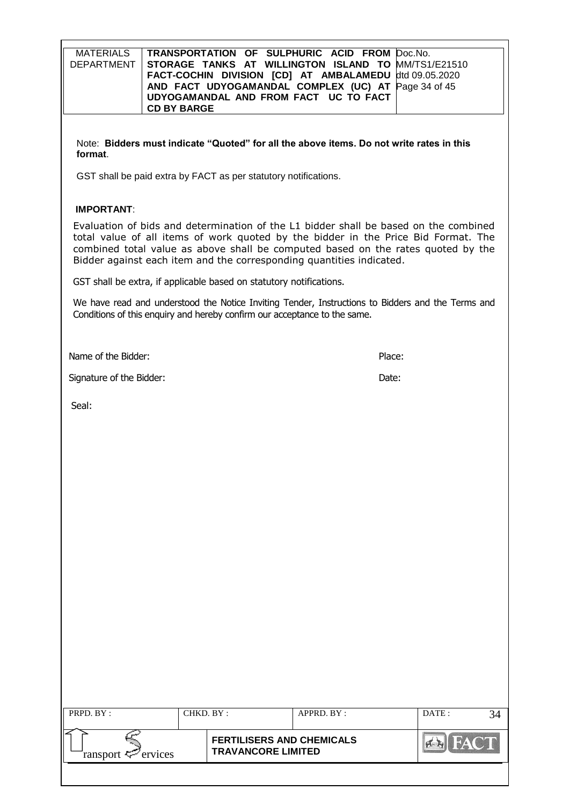| <b>MATERIALS</b><br><b>DEPARTMENT</b> | TRANSPORTATION OF SULPHURIC ACID FROM Doc.No.<br>STORAGE TANKS AT WILLINGTON ISLAND TO<br>FACT-COCHIN DIVISION [CD] AT AMBALAMEDU<br>AND FACT UDYOGAMANDAL COMPLEX (UC) AT<br>UDYOGAMANDAL AND FROM FACT UC TO FACT<br><b>CD BY BARGE</b> | MM/TS1/E21510<br>dtd 09.05.2020<br>Page 34 of 45                                                                                                                                                                                                               |
|---------------------------------------|-------------------------------------------------------------------------------------------------------------------------------------------------------------------------------------------------------------------------------------------|----------------------------------------------------------------------------------------------------------------------------------------------------------------------------------------------------------------------------------------------------------------|
| format.                               |                                                                                                                                                                                                                                           | Note: Bidders must indicate "Quoted" for all the above items. Do not write rates in this                                                                                                                                                                       |
|                                       | GST shall be paid extra by FACT as per statutory notifications.                                                                                                                                                                           |                                                                                                                                                                                                                                                                |
| <b>IMPORTANT:</b>                     |                                                                                                                                                                                                                                           |                                                                                                                                                                                                                                                                |
|                                       | Bidder against each item and the corresponding quantities indicated.                                                                                                                                                                      | Evaluation of bids and determination of the L1 bidder shall be based on the combined<br>total value of all items of work quoted by the bidder in the Price Bid Format. The<br>combined total value as above shall be computed based on the rates quoted by the |
|                                       | GST shall be extra, if applicable based on statutory notifications.                                                                                                                                                                       |                                                                                                                                                                                                                                                                |
|                                       | Conditions of this enquiry and hereby confirm our acceptance to the same.                                                                                                                                                                 | We have read and understood the Notice Inviting Tender, Instructions to Bidders and the Terms and                                                                                                                                                              |
| Name of the Bidder:                   |                                                                                                                                                                                                                                           | Place:                                                                                                                                                                                                                                                         |
| Signature of the Bidder:              |                                                                                                                                                                                                                                           | Date:                                                                                                                                                                                                                                                          |
| Seal:                                 |                                                                                                                                                                                                                                           |                                                                                                                                                                                                                                                                |
|                                       |                                                                                                                                                                                                                                           |                                                                                                                                                                                                                                                                |
|                                       |                                                                                                                                                                                                                                           |                                                                                                                                                                                                                                                                |
|                                       |                                                                                                                                                                                                                                           |                                                                                                                                                                                                                                                                |
|                                       |                                                                                                                                                                                                                                           |                                                                                                                                                                                                                                                                |
|                                       |                                                                                                                                                                                                                                           |                                                                                                                                                                                                                                                                |

| PRPD. BY:              | CHKD. BY:                                                     | APPRD. BY: | DATE : |  |
|------------------------|---------------------------------------------------------------|------------|--------|--|
| ransport $\ll$ ervices | <b>FERTILISERS AND CHEMICALS</b><br><b>TRAVANCORE LIMITED</b> |            |        |  |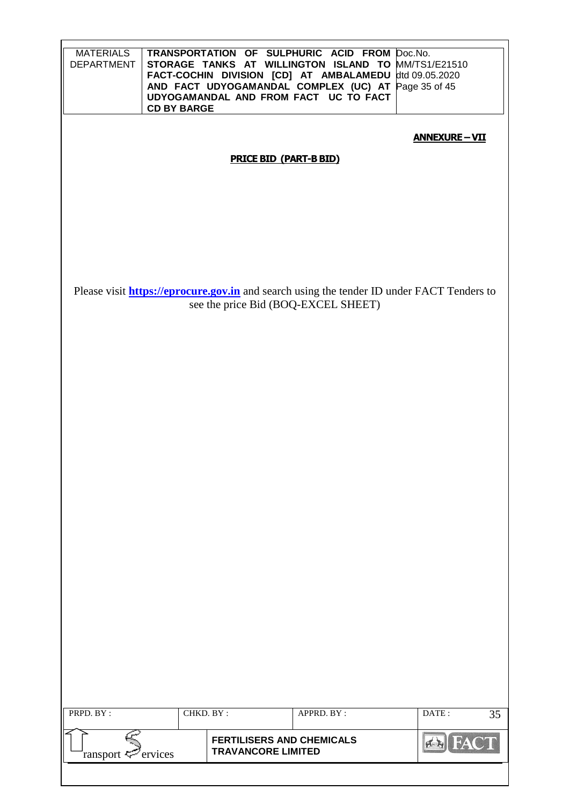| <b>MATERIALS</b><br><b>DEPARTMENT</b>                | <b>CD BY BARGE</b> |                                                               | TRANSPORTATION OF SULPHURIC ACID FROM Doc.No.<br>STORAGE TANKS AT WILLINGTON ISLAND TO MM/TS1/E21510<br>FACT-COCHIN DIVISION [CD] AT AMBALAMEDU<br>AND FACT UDYOGAMANDAL COMPLEX (UC) AT<br>UDYOGAMANDAL AND FROM FACT UC TO FACT | dtd 09.05.2020<br>Page 35 of 45                                                                  |  |  |  |  |
|------------------------------------------------------|--------------------|---------------------------------------------------------------|-----------------------------------------------------------------------------------------------------------------------------------------------------------------------------------------------------------------------------------|--------------------------------------------------------------------------------------------------|--|--|--|--|
| <b>ANNEXURE-VII</b><br><b>PRICE BID (PART-B BID)</b> |                    |                                                               |                                                                                                                                                                                                                                   |                                                                                                  |  |  |  |  |
|                                                      |                    |                                                               |                                                                                                                                                                                                                                   |                                                                                                  |  |  |  |  |
|                                                      |                    |                                                               |                                                                                                                                                                                                                                   |                                                                                                  |  |  |  |  |
|                                                      |                    |                                                               |                                                                                                                                                                                                                                   |                                                                                                  |  |  |  |  |
|                                                      |                    |                                                               |                                                                                                                                                                                                                                   |                                                                                                  |  |  |  |  |
|                                                      |                    |                                                               |                                                                                                                                                                                                                                   | Please visit <b>https://eprocure.gov.in</b> and search using the tender ID under FACT Tenders to |  |  |  |  |
|                                                      |                    |                                                               | see the price Bid (BOQ-EXCEL SHEET)                                                                                                                                                                                               |                                                                                                  |  |  |  |  |
|                                                      |                    |                                                               |                                                                                                                                                                                                                                   |                                                                                                  |  |  |  |  |
|                                                      |                    |                                                               |                                                                                                                                                                                                                                   |                                                                                                  |  |  |  |  |
|                                                      |                    |                                                               |                                                                                                                                                                                                                                   |                                                                                                  |  |  |  |  |
|                                                      |                    |                                                               |                                                                                                                                                                                                                                   |                                                                                                  |  |  |  |  |
|                                                      |                    |                                                               |                                                                                                                                                                                                                                   |                                                                                                  |  |  |  |  |
|                                                      |                    |                                                               |                                                                                                                                                                                                                                   |                                                                                                  |  |  |  |  |
|                                                      |                    |                                                               |                                                                                                                                                                                                                                   |                                                                                                  |  |  |  |  |
|                                                      |                    |                                                               |                                                                                                                                                                                                                                   |                                                                                                  |  |  |  |  |
|                                                      |                    |                                                               |                                                                                                                                                                                                                                   |                                                                                                  |  |  |  |  |
|                                                      |                    |                                                               |                                                                                                                                                                                                                                   |                                                                                                  |  |  |  |  |
|                                                      |                    |                                                               |                                                                                                                                                                                                                                   |                                                                                                  |  |  |  |  |
|                                                      |                    |                                                               |                                                                                                                                                                                                                                   |                                                                                                  |  |  |  |  |
|                                                      |                    |                                                               |                                                                                                                                                                                                                                   |                                                                                                  |  |  |  |  |
|                                                      |                    |                                                               |                                                                                                                                                                                                                                   |                                                                                                  |  |  |  |  |
| PRPD. BY:                                            | CHKD. BY:          |                                                               | APPRD. BY:                                                                                                                                                                                                                        | DATE:<br>35                                                                                      |  |  |  |  |
| ransport <del>⊊</del>                                | ervices            | <b>FERTILISERS AND CHEMICALS</b><br><b>TRAVANCORE LIMITED</b> |                                                                                                                                                                                                                                   | FAC                                                                                              |  |  |  |  |
|                                                      |                    |                                                               |                                                                                                                                                                                                                                   |                                                                                                  |  |  |  |  |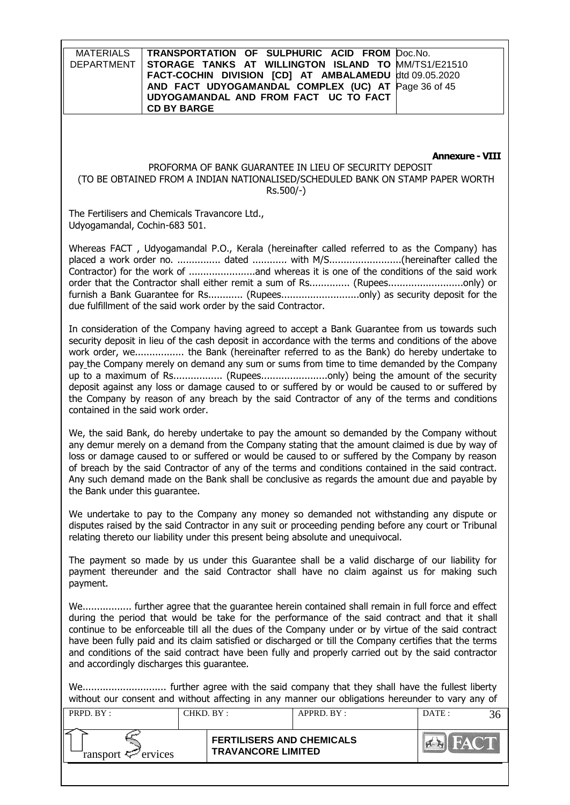**MATERIALS** DEPARTMENT **TRANSPORTATION OF SULPHURIC ACID FROM STORAGE TANKS AT WILLINGTON ISLAND TO FACT-COCHIN DIVISION [CD] AT AMBALAMEDU AND FACT UDYOGAMANDAL COMPLEX (UC) AT UDYOGAMANDAL AND FROM FACT UC TO FACT CD BY BARGE** Doc.No. MM/TS1/E21510 dtd 09.05.2020 Page 36 of 45

#### **Annexure - VIII**

#### PROFORMA OF BANK GUARANTEE IN LIEU OF SECURITY DEPOSIT (TO BE OBTAINED FROM A INDIAN NATIONALISED/SCHEDULED BANK ON STAMP PAPER WORTH Rs.500/-)

The Fertilisers and Chemicals Travancore Ltd., Udyogamandal, Cochin-683 501.

Whereas FACT , Udyogamandal P.O., Kerala (hereinafter called referred to as the Company) has placed a work order no. ............... dated ............ with M/S.........................(hereinafter called the Contractor) for the work of .......................and whereas it is one of the conditions of the said work order that the Contractor shall either remit a sum of Rs............... (Rupees..............................only) or furnish a Bank Guarantee for Rs............ (Rupees................................only) as security deposit for the due fulfillment of the said work order by the said Contractor.

In consideration of the Company having agreed to accept a Bank Guarantee from us towards such security deposit in lieu of the cash deposit in accordance with the terms and conditions of the above work order, we................. the Bank (hereinafter referred to as the Bank) do hereby undertake to pay the Company merely on demand any sum or sums from time to time demanded by the Company up to a maximum of Rs................. (Rupees.......................only) being the amount of the security deposit against any loss or damage caused to or suffered by or would be caused to or suffered by the Company by reason of any breach by the said Contractor of any of the terms and conditions contained in the said work order.

We, the said Bank, do hereby undertake to pay the amount so demanded by the Company without any demur merely on a demand from the Company stating that the amount claimed is due by way of loss or damage caused to or suffered or would be caused to or suffered by the Company by reason of breach by the said Contractor of any of the terms and conditions contained in the said contract. Any such demand made on the Bank shall be conclusive as regards the amount due and payable by the Bank under this guarantee.

We undertake to pay to the Company any money so demanded not withstanding any dispute or disputes raised by the said Contractor in any suit or proceeding pending before any court or Tribunal relating thereto our liability under this present being absolute and unequivocal.

The payment so made by us under this Guarantee shall be a valid discharge of our liability for payment thereunder and the said Contractor shall have no claim against us for making such payment.

We................. further agree that the guarantee herein contained shall remain in full force and effect during the period that would be take for the performance of the said contract and that it shall continue to be enforceable till all the dues of the Company under or by virtue of the said contract have been fully paid and its claim satisfied or discharged or till the Company certifies that the terms and conditions of the said contract have been fully and properly carried out by the said contractor and accordingly discharges this guarantee.

We............................. further agree with the said company that they shall have the fullest liberty without our consent and without affecting in any manner our obligations hereunder to vary any of

| <b>FERTILISERS AND CHEMICALS</b><br><b>TRAVANCORE LIMITED</b> | PRPD. BY:                  | CHKD. BY : | APPRD. BY: | DATE: |  |
|---------------------------------------------------------------|----------------------------|------------|------------|-------|--|
|                                                               | ransport $\approx$ ervices |            |            |       |  |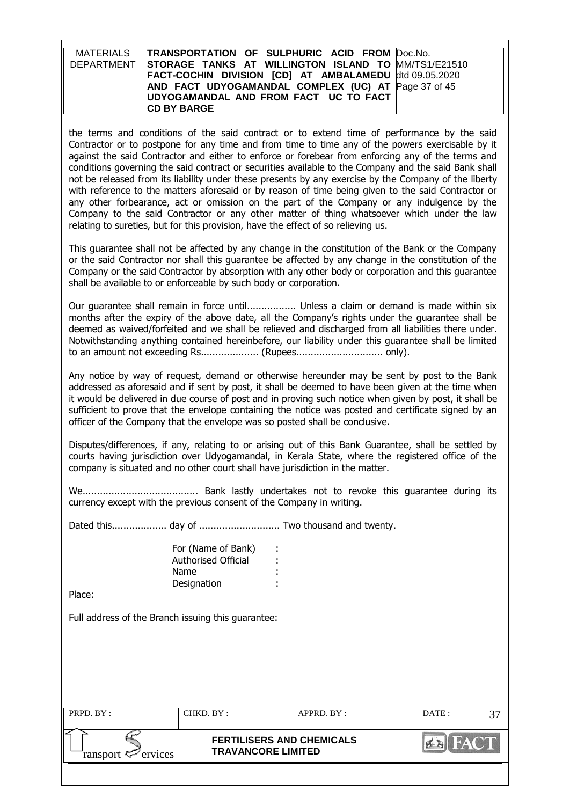| MATERIALS   TRANSPORTATION OF SULPHURIC ACID FROM Doc.No.        |  |
|------------------------------------------------------------------|--|
| DEPARTMENT   STORAGE TANKS AT WILLINGTON ISLAND TO MM/TS1/E21510 |  |
| FACT-COCHIN DIVISION [CD] AT AMBALAMEDU dtd 09.05.2020           |  |
| AND FACT UDYOGAMANDAL COMPLEX (UC) AT Page 37 of 45              |  |
| UDYOGAMANDAL AND FROM FACT UC TO FACT                            |  |
| <b>CD BY BARGE</b>                                               |  |

the terms and conditions of the said contract or to extend time of performance by the said Contractor or to postpone for any time and from time to time any of the powers exercisable by it against the said Contractor and either to enforce or forebear from enforcing any of the terms and conditions governing the said contract or securities available to the Company and the said Bank shall not be released from its liability under these presents by any exercise by the Company of the liberty with reference to the matters aforesaid or by reason of time being given to the said Contractor or any other forbearance, act or omission on the part of the Company or any indulgence by the Company to the said Contractor or any other matter of thing whatsoever which under the law relating to sureties, but for this provision, have the effect of so relieving us.

This guarantee shall not be affected by any change in the constitution of the Bank or the Company or the said Contractor nor shall this guarantee be affected by any change in the constitution of the Company or the said Contractor by absorption with any other body or corporation and this guarantee shall be available to or enforceable by such body or corporation.

Our guarantee shall remain in force until................. Unless a claim or demand is made within six months after the expiry of the above date, all the Company's rights under the guarantee shall be deemed as waived/forfeited and we shall be relieved and discharged from all liabilities there under. Notwithstanding anything contained hereinbefore, our liability under this guarantee shall be limited to an amount not exceeding Rs.................... (Rupees.............................. only).

Any notice by way of request, demand or otherwise hereunder may be sent by post to the Bank addressed as aforesaid and if sent by post, it shall be deemed to have been given at the time when it would be delivered in due course of post and in proving such notice when given by post, it shall be sufficient to prove that the envelope containing the notice was posted and certificate signed by an officer of the Company that the envelope was so posted shall be conclusive.

Disputes/differences, if any, relating to or arising out of this Bank Guarantee, shall be settled by courts having jurisdiction over Udyogamandal, in Kerala State, where the registered office of the company is situated and no other court shall have jurisdiction in the matter.

We........................................ Bank lastly undertakes not to revoke this guarantee during its currency except with the previous consent of the Company in writing.

Dated this................... day of ............................ Two thousand and twenty.

| For (Name of Bank)  |  |
|---------------------|--|
| Authorised Official |  |
| Name                |  |
| Designation         |  |

Place:

Full address of the Branch issuing this guarantee:

| PRPD. BY:              | CHKD. BY :                                                    | APPRD. BY: | DATE: |  |
|------------------------|---------------------------------------------------------------|------------|-------|--|
| ransport $\ll$ ervices | <b>FERTILISERS AND CHEMICALS</b><br><b>TRAVANCORE LIMITED</b> |            |       |  |
|                        |                                                               |            |       |  |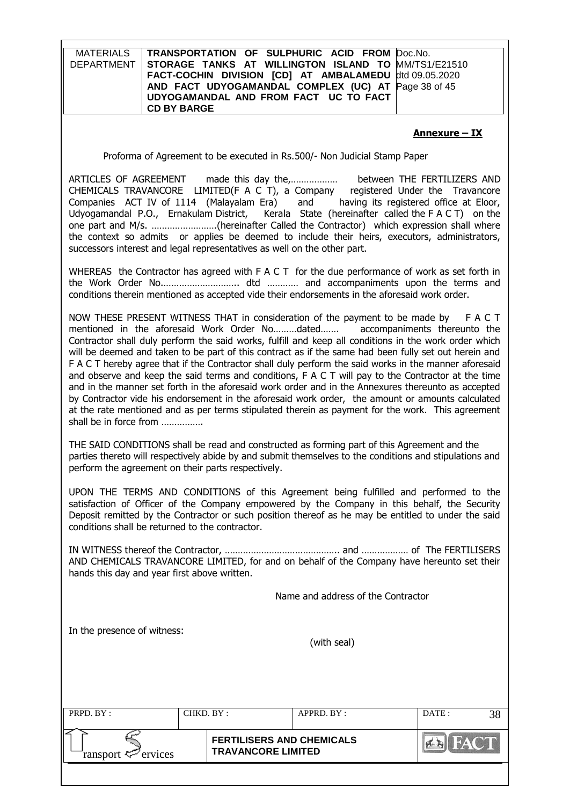| <b>MATERIALS</b><br><b>DEPARTMENT</b>                                                                                                                                                                                                                                                                                                          | TRANSPORTATION OF SULPHURIC ACID FROM<br>STORAGE TANKS AT WILLINGTON ISLAND TO<br>FACT-COCHIN DIVISION [CD] AT AMBALAMEDU<br>AND FACT UDYOGAMANDAL COMPLEX (UC) AT<br>UDYOGAMANDAL AND FROM FACT UC TO FACT<br><b>CD BY BARGE</b>                                                                                                                                                                                                                                                                                                                                                                                                                                                                                                                                                                                                                                                                                                                 | Doc.No.<br>MM/TS1/E21510<br>dtd 09.05.2020<br>Page 38 of 45 |  |  |  |  |
|------------------------------------------------------------------------------------------------------------------------------------------------------------------------------------------------------------------------------------------------------------------------------------------------------------------------------------------------|---------------------------------------------------------------------------------------------------------------------------------------------------------------------------------------------------------------------------------------------------------------------------------------------------------------------------------------------------------------------------------------------------------------------------------------------------------------------------------------------------------------------------------------------------------------------------------------------------------------------------------------------------------------------------------------------------------------------------------------------------------------------------------------------------------------------------------------------------------------------------------------------------------------------------------------------------|-------------------------------------------------------------|--|--|--|--|
|                                                                                                                                                                                                                                                                                                                                                |                                                                                                                                                                                                                                                                                                                                                                                                                                                                                                                                                                                                                                                                                                                                                                                                                                                                                                                                                   | <u>Annexure – IX</u>                                        |  |  |  |  |
|                                                                                                                                                                                                                                                                                                                                                | Proforma of Agreement to be executed in Rs.500/- Non Judicial Stamp Paper                                                                                                                                                                                                                                                                                                                                                                                                                                                                                                                                                                                                                                                                                                                                                                                                                                                                         |                                                             |  |  |  |  |
| ARTICLES OF AGREEMENT                                                                                                                                                                                                                                                                                                                          | CHEMICALS TRAVANCORE LIMITED(F A C T), a Company registered Under the Travancore<br>Companies ACT IV of 1114 (Malayalam Era) and having its registered office at Eloor,<br>Udyogamandal P.O., Ernakulam District, Kerala State (hereinafter called the F A C T) on the<br>one part and M/s. (hereinafter Called the Contractor) which expression shall where<br>the context so admits or applies be deemed to include their heirs, executors, administrators,<br>successors interest and legal representatives as well on the other part.                                                                                                                                                                                                                                                                                                                                                                                                         |                                                             |  |  |  |  |
|                                                                                                                                                                                                                                                                                                                                                | WHEREAS the Contractor has agreed with F A C T for the due performance of work as set forth in<br>conditions therein mentioned as accepted vide their endorsements in the aforesaid work order.                                                                                                                                                                                                                                                                                                                                                                                                                                                                                                                                                                                                                                                                                                                                                   |                                                             |  |  |  |  |
|                                                                                                                                                                                                                                                                                                                                                | NOW THESE PRESENT WITNESS THAT in consideration of the payment to be made by F A C T<br>mentioned in the aforesaid Work Order Nodated<br>accompaniments thereunto the<br>Contractor shall duly perform the said works, fulfill and keep all conditions in the work order which<br>will be deemed and taken to be part of this contract as if the same had been fully set out herein and<br>F A C T hereby agree that if the Contractor shall duly perform the said works in the manner aforesaid<br>and observe and keep the said terms and conditions, $F A C T$ will pay to the Contractor at the time<br>and in the manner set forth in the aforesaid work order and in the Annexures thereunto as accepted<br>by Contractor vide his endorsement in the aforesaid work order, the amount or amounts calculated<br>at the rate mentioned and as per terms stipulated therein as payment for the work. This agreement<br>shall be in force from |                                                             |  |  |  |  |
|                                                                                                                                                                                                                                                                                                                                                | THE SAID CONDITIONS shall be read and constructed as forming part of this Agreement and the<br>parties thereto will respectively abide by and submit themselves to the conditions and stipulations and<br>perform the agreement on their parts respectively.                                                                                                                                                                                                                                                                                                                                                                                                                                                                                                                                                                                                                                                                                      |                                                             |  |  |  |  |
| UPON THE TERMS AND CONDITIONS of this Agreement being fulfilled and performed to the<br>satisfaction of Officer of the Company empowered by the Company in this behalf, the Security<br>Deposit remitted by the Contractor or such position thereof as he may be entitled to under the said<br>conditions shall be returned to the contractor. |                                                                                                                                                                                                                                                                                                                                                                                                                                                                                                                                                                                                                                                                                                                                                                                                                                                                                                                                                   |                                                             |  |  |  |  |
|                                                                                                                                                                                                                                                                                                                                                | AND CHEMICALS TRAVANCORE LIMITED, for and on behalf of the Company have hereunto set their<br>hands this day and year first above written.                                                                                                                                                                                                                                                                                                                                                                                                                                                                                                                                                                                                                                                                                                                                                                                                        |                                                             |  |  |  |  |
|                                                                                                                                                                                                                                                                                                                                                | Name and address of the Contractor                                                                                                                                                                                                                                                                                                                                                                                                                                                                                                                                                                                                                                                                                                                                                                                                                                                                                                                |                                                             |  |  |  |  |
| In the presence of witness:                                                                                                                                                                                                                                                                                                                    | (with seal)                                                                                                                                                                                                                                                                                                                                                                                                                                                                                                                                                                                                                                                                                                                                                                                                                                                                                                                                       |                                                             |  |  |  |  |

| PRPD. BY:                                                                               |  | CHKD. BY : | APPRD. BY: | DATE: |  |
|-----------------------------------------------------------------------------------------|--|------------|------------|-------|--|
| <b>FERTILISERS AND CHEMICALS</b><br><b>TRAVANCORE LIMITED</b><br>ransport $\ll$ ervices |  |            |            |       |  |
|                                                                                         |  |            |            |       |  |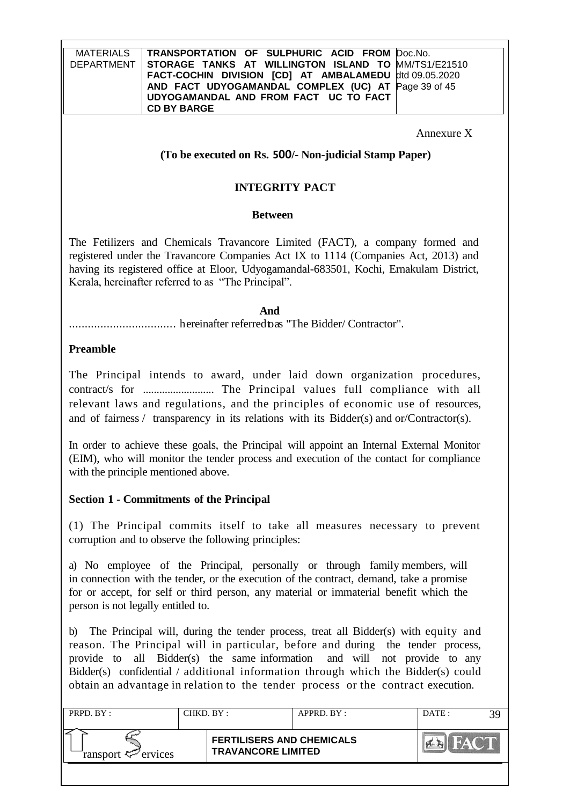Annexure X

## **(To be executed on Rs. 500/- Non-judicial Stamp Paper)**

## **INTEGRITY PACT**

#### **Between**

The Fetilizers and Chemicals Travancore Limited (FACT), a company formed and registered under the Travancore Companies Act IX to 1114 (Companies Act, 2013) and having its registered office at Eloor, Udyogamandal-683501, Kochi, Ernakulam District, Kerala, hereinafter referred to as "The Principal".

#### **And**

.................................. hereinafter referredtoas "The Bidder/ Contractor".

## **Preamble**

The Principal intends to award, under laid down organization procedures, contract/s for .......................... The Principal values full compliance with all relevant laws and regulations, and the principles of economic use of resources, and of fairness / transparency in its relations with its Bidder(s) and or/Contractor(s).

In order to achieve these goals, the Principal will appoint an Internal External Monitor (EIM), who will monitor the tender process and execution of the contact for compliance with the principle mentioned above.

## **Section 1 - Commitments of the Principal**

(1) The Principal commits itself to take all measures necessary to prevent corruption and to observe the following principles:

a) No employee of the Principal, personally or through family members, will in connection with the tender, or the execution of the contract, demand, take a promise for or accept, for self or third person, any material or immaterial benefit which the person is not legally entitled to.

b) The Principal will, during the tender process, treat all Bidder(s) with equity and reason. The Principal will in particular, before and during the tender process, provide to all Bidder(s) the same information and will not provide to any Bidder(s) confidential / additional information through which the Bidder(s) could obtain an advantage in relation to the tender process or the contract execution.

| PRPD. BY:                  |  | CHKD. BY :                                                    | APPRD. BY: | DATE: |  |
|----------------------------|--|---------------------------------------------------------------|------------|-------|--|
| ransport $\approx$ ervices |  | <b>FERTILISERS AND CHEMICALS</b><br><b>TRAVANCORE LIMITED</b> |            |       |  |
|                            |  |                                                               |            |       |  |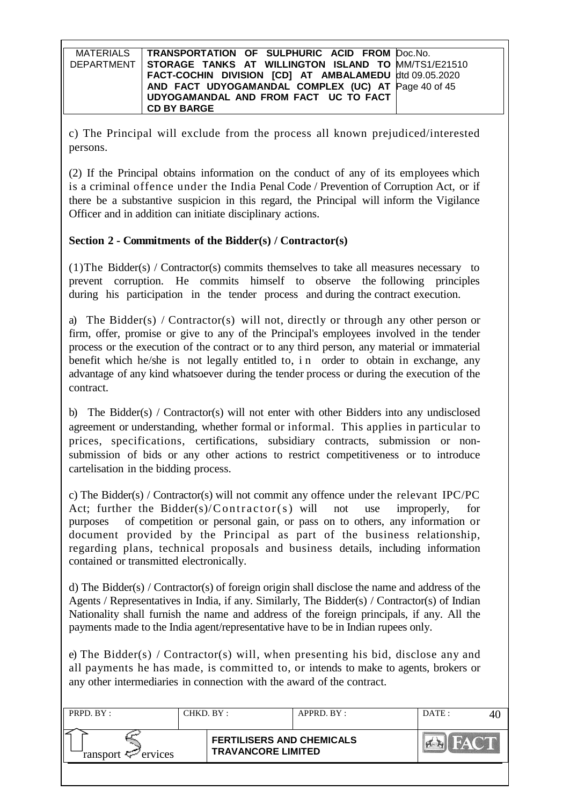| MATERIALS   TRANSPORTATION OF SULPHURIC ACID FROM Doc.No.      |
|----------------------------------------------------------------|
| DEPARTMENT STORAGE TANKS AT WILLINGTON ISLAND TO MM/TS1/E21510 |
| FACT-COCHIN DIVISION [CD] AT AMBALAMEDU dtd 09.05.2020         |
| AND FACT UDYOGAMANDAL COMPLEX (UC) AT Page 40 of 45            |
| UDYOGAMANDAL AND FROM FACT UC TO FACT                          |
| <b>CD BY BARGE</b>                                             |

c) The Principal will exclude from the process all known prejudiced/interested persons.

(2) If the Principal obtains information on the conduct of any of its employees which is a criminal offence under the India Penal Code / Prevention of Corruption Act, or if there be a substantive suspicion in this regard, the Principal will inform the Vigilance Officer and in addition can initiate disciplinary actions.

## **Section 2 - Commitments of the Bidder(s) / Contractor(s)**

(1)The Bidder(s) / Contractor(s) commits themselves to take all measures necessary to prevent corruption. He commits himself to observe the following principles during his participation in the tender process and during the contract execution.

a) The Bidder(s) / Contractor(s) will not, directly or through any other person or firm, offer, promise or give to any of the Principal's employees involved in the tender process or the execution of the contract or to any third person, any material or immaterial benefit which he/she is not legally entitled to, in order to obtain in exchange, any advantage of any kind whatsoever during the tender process or during the execution of the contract.

b) The Bidder(s) / Contractor(s) will not enter with other Bidders into any undisclosed agreement or understanding, whether formal or informal. This applies in particular to prices, specifications, certifications, subsidiary contracts, submission or nonsubmission of bids or any other actions to restrict competitiveness or to introduce cartelisation in the bidding process.

c) The Bidder(s) / Contractor(s) will not commit any offence under the relevant IPC/PC Act; further the Bidder(s)/Contractor(s) will not use improperly, for purposes of competition or personal gain, or pass on to others, any information or document provided by the Principal as part of the business relationship, regarding plans, technical proposals and business details, including information contained or transmitted electronically.

d) The Bidder(s) / Contractor(s) of foreign origin shall disclose the name and address of the Agents / Representatives in India, if any. Similarly, The Bidder(s) / Contractor(s) of Indian Nationality shall furnish the name and address of the foreign principals, if any. All the payments made to the India agent/representative have to be in Indian rupees only.

e) The Bidder(s) / Contractor(s) will, when presenting his bid, disclose any and all payments he has made, is committed to, or intends to make to agents, brokers or any other intermediaries in connection with the award of the contract.

| PRPD. BY:                                                                               |  | CHKD. BY :<br>APPRD. BY: |  | DATE: |  |
|-----------------------------------------------------------------------------------------|--|--------------------------|--|-------|--|
| <b>FERTILISERS AND CHEMICALS</b><br><b>TRAVANCORE LIMITED</b><br>ransport $\ll$ ervices |  |                          |  |       |  |
|                                                                                         |  |                          |  |       |  |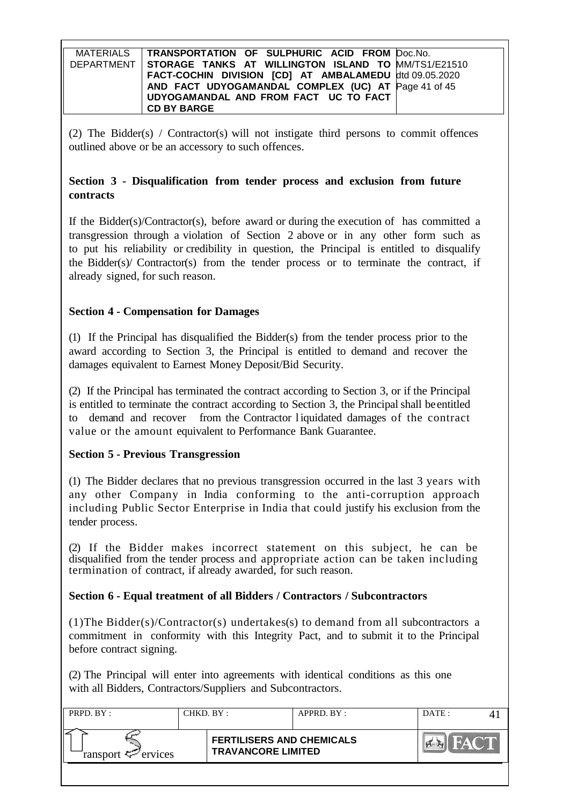| MATERIALS   TRANSPORTATION OF SULPHURIC ACID FROM Doc.No.        |
|------------------------------------------------------------------|
| DEPARTMENT   STORAGE TANKS AT WILLINGTON ISLAND TO MM/TS1/E21510 |
| FACT-COCHIN DIVISION [CD] AT AMBALAMEDU dtd 09.05.2020           |
| AND FACT UDYOGAMANDAL COMPLEX (UC) AT Page 41 of 45              |
| UDYOGAMANDAL AND FROM FACT UC TO FACT                            |
| <b>CD BY BARGE</b>                                               |

(2) The Bidder(s) / Contractor(s) will not instigate third persons to commit offences outlined above or be an accessory to such offences.

# **Section 3 - Disqualification from tender process and exclusion from future contracts**

If the Bidder(s)/Contractor(s), before award or during the execution of has committed a transgression through a violation of Section 2 above or in any other form such as to put his reliability or credibility in question, the Principal is entitled to disqualify the Bidder(s)/ Contractor(s) from the tender process or to terminate the contract, if already signed, for such reason.

# **Section 4 - Compensation for Damages**

(1) If the Principal has disqualified the Bidder(s) from the tender process prior to the award according to Section 3, the Principal is entitled to demand and recover the damages equivalent to Earnest Money Deposit/Bid Security.

(2) If the Principal has terminated the contract according to Section 3, or if the Principal is entitled to terminate the contract according to Section 3, the Principal shall be entitled to demand and recover from the Contractor l iquidated damages of the contract value or the amount equivalent to Performance Bank Guarantee.

# **Section 5 - Previous Transgression**

(1) The Bidder declares that no previous transgression occurred in the last 3 years with any other Company in India conforming to the anti-corruption approach including Public Sector Enterprise in India that could justify his exclusion from the tender process.

(2) If the Bidder makes incorrect statement on this subject, he can be disqualified from the tender process and appropriate action can be taken including termination of contract, if already awarded, for such reason.

# **Section 6 - Equal treatment of all Bidders / Contractors / Subcontractors**

(1)The Bidder(s)/Contractor(s) undertakes(s) to demand from all subcontractors a commitment in conformity with this Integrity Pact, and to submit it to the Principal before contract signing.

(2) The Principal will enter into agreements with identical conditions as this one with all Bidders, Contractors/Suppliers and Subcontractors.

| PRPD. BY :             | CHKD. BY :                                                    | APPRD. BY: | DATE:  |  |
|------------------------|---------------------------------------------------------------|------------|--------|--|
| ransport $\ll$ ervices | <b>FERTILISERS AND CHEMICALS</b><br><b>TRAVANCORE LIMITED</b> |            | AN AVE |  |
|                        |                                                               |            |        |  |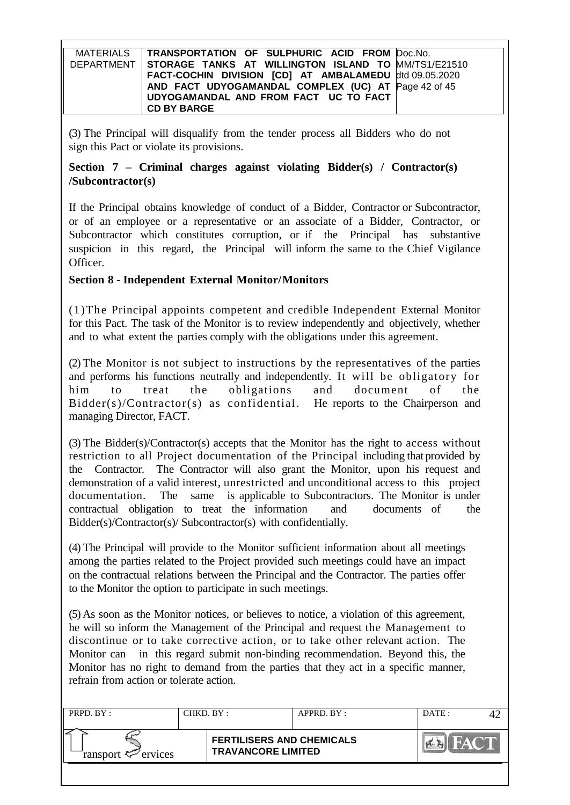| MATERIALS   TRANSPORTATION OF SULPHURIC ACID FROM Doc.No.      |  |
|----------------------------------------------------------------|--|
| DEPARTMENT STORAGE TANKS AT WILLINGTON ISLAND TO MM/TS1/E21510 |  |
| FACT-COCHIN DIVISION [CD] AT AMBALAMEDU dtd 09.05.2020         |  |
| AND FACT UDYOGAMANDAL COMPLEX (UC) AT Page 42 of 45            |  |
| UDYOGAMANDAL AND FROM FACT UC TO FACT                          |  |
| <b>CD BY BARGE</b>                                             |  |

(3) The Principal will disqualify from the tender process all Bidders who do not sign this Pact or violate its provisions.

# **Section 7 – Criminal charges against violating Bidder(s) / Contractor(s) /Subcontractor(s)**

If the Principal obtains knowledge of conduct of a Bidder, Contractor or Subcontractor, or of an employee or a representative or an associate of a Bidder, Contractor, or Subcontractor which constitutes corruption, or if the Principal has substantive suspicion in this regard, the Principal will inform the same to the Chief Vigilance Officer.

# **Section 8 - Independent External Monitor/Monitors**

(1)The Principal appoints competent and credible Independent External Monitor for this Pact. The task of the Monitor is to review independently and objectively, whether and to what extent the parties comply with the obligations under this agreement.

(2) The Monitor is not subject to instructions by the representatives of the parties and performs his functions neutrally and independently. It will be obligatory for him to treat the obligations and document of the  $Bidder(s)/Contractor(s)$  as confidential. He reports to the Chairperson and managing Director, FACT.

(3) The Bidder(s)/Contractor(s) accepts that the Monitor has the right to access without restriction to all Project documentation of the Principal including that provided by the Contractor. The Contractor will also grant the Monitor, upon his request and demonstration of a valid interest, unrestricted and unconditional access to this project documentation. The same is applicable to Subcontractors. The Monitor is under contractual obligation to treat the information and documents of the Bidder(s)/Contractor(s)/ Subcontractor(s) with confidentially.

(4) The Principal will provide to the Monitor sufficient information about all meetings among the parties related to the Project provided such meetings could have an impact on the contractual relations between the Principal and the Contractor. The parties offer to the Monitor the option to participate in such meetings.

(5) As soon as the Monitor notices, or believes to notice, a violation of this agreement, he will so inform the Management of the Principal and request the Management to discontinue or to take corrective action, or to take other relevant action. The Monitor can in this regard submit non-binding recommendation. Beyond this, the Monitor has no right to demand from the parties that they act in a specific manner, refrain from action or tolerate action.

| <b>FERTILISERS AND CHEMICALS</b><br><b>TRAVANCORE LIMITED</b> | PRPD. BY:              | CHKD. BY: | APPRD. BY: | DATE: |  |  |
|---------------------------------------------------------------|------------------------|-----------|------------|-------|--|--|
|                                                               | ransport $\ll$ ervices |           |            |       |  |  |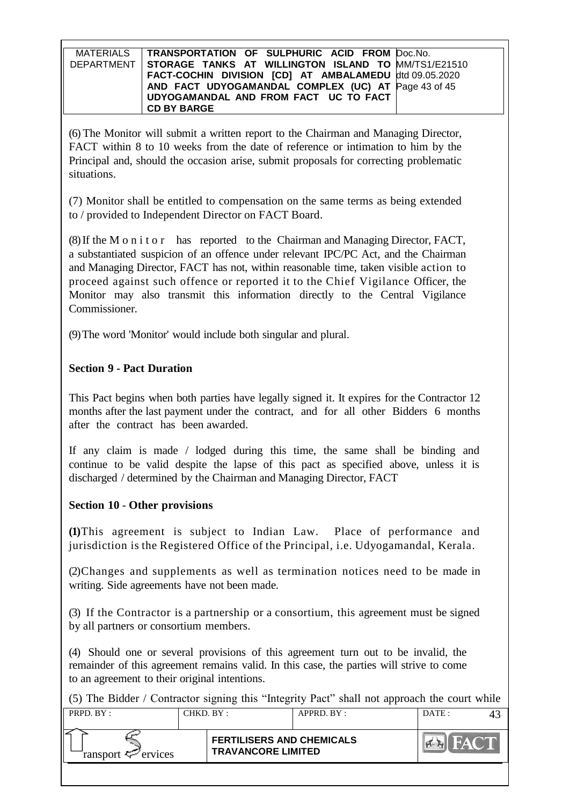| MATERIALS | TRANSPORTATION OF SULPHURIC ACID FROM Doc.No.                    |  |
|-----------|------------------------------------------------------------------|--|
|           | DEPARTMENT   STORAGE TANKS AT WILLINGTON ISLAND TO MM/TS1/E21510 |  |
|           | FACT-COCHIN DIVISION [CD] AT AMBALAMEDU dtd 09.05.2020           |  |
|           | AND FACT UDYOGAMANDAL COMPLEX (UC) AT Page 43 of 45              |  |
|           | UDYOGAMANDAL AND FROM FACT UC TO FACT                            |  |
|           | <b>CD BY BARGE</b>                                               |  |

(6) The Monitor will submit a written report to the Chairman and Managing Director, FACT within 8 to 10 weeks from the date of reference or intimation to him by the Principal and, should the occasion arise, submit proposals for correcting problematic situations.

(7) Monitor shall be entitled to compensation on the same terms as being extended to / provided to Independent Director on FACT Board.

(8)If the M o n i t o r has reported to the Chairman and Managing Director, FACT, a substantiated suspicion of an offence under relevant IPC/PC Act, and the Chairman and Managing Director, FACT has not, within reasonable time, taken visible action to proceed against such offence or reported it to the Chief Vigilance Officer, the Monitor may also transmit this information directly to the Central Vigilance Commissioner.

(9)The word 'Monitor' would include both singular and plural.

# **Section 9 - Pact Duration**

This Pact begins when both parties have legally signed it. It expires for the Contractor 12 months after the last payment under the contract, and for all other Bidders 6 months after the contract has been awarded.

If any claim is made / lodged during this time, the same shall be binding and continue to be valid despite the lapse of this pact as specified above, unless it is discharged / determined by the Chairman and Managing Director, FACT

## **Section 10** - **Other provisions**

**(1)**This agreement is subject to Indian Law. Place of performance and jurisdiction is the Registered Office of the Principal, i.e. Udyogamandal, Kerala.

(2)Changes and supplements as well as termination notices need to be made in writing. Side agreements have not been made.

(3) If the Contractor is a partnership or a consortium, this agreement must be signed by all partners or consortium members.

(4) Should one or several provisions of this agreement turn out to be invalid, the remainder of this agreement remains valid. In this case, the parties will strive to come to an agreement to their original intentions.

(5) The Bidder / Contractor signing this "Integrity Pact" shall not approach the court while

| PRPD. BY:              | CHKD. BY :                                                    | APPRD. BY: | DATE: |  |
|------------------------|---------------------------------------------------------------|------------|-------|--|
| ransport $\ll$ ervices | <b>FERTILISERS AND CHEMICALS</b><br><b>TRAVANCORE LIMITED</b> |            |       |  |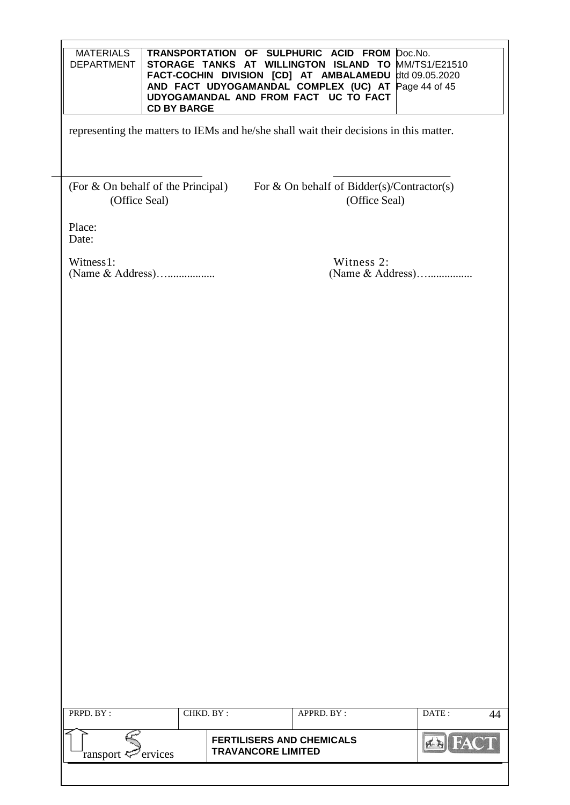| <b>MATERIALS</b><br><b>DEPARTMENT</b> | <b>CD BY BARGE</b> |                           | TRANSPORTATION OF SULPHURIC ACID FROM Doc.No.<br>STORAGE TANKS AT WILLINGTON ISLAND TO MM/TS1/E21510<br>FACT-COCHIN DIVISION [CD] AT AMBALAMEDU<br>AND FACT UDYOGAMANDAL COMPLEX (UC) AT Page 44 of 45<br>UDYOGAMANDAL AND FROM FACT UC TO FACT | dtd 09.05.2020   |    |
|---------------------------------------|--------------------|---------------------------|-------------------------------------------------------------------------------------------------------------------------------------------------------------------------------------------------------------------------------------------------|------------------|----|
|                                       |                    |                           | representing the matters to IEMs and he/she shall wait their decisions in this matter.                                                                                                                                                          |                  |    |
| (Office Seal)                         |                    |                           | (For & On behalf of the Principal) For & On behalf of Bidder(s)/Contractor(s)<br>(Office Seal)                                                                                                                                                  |                  |    |
| Place:<br>Date:                       |                    |                           |                                                                                                                                                                                                                                                 |                  |    |
| Witness 1:<br>(Name & Address)        |                    |                           | Witness 2:                                                                                                                                                                                                                                      | (Name & Address) |    |
|                                       |                    |                           |                                                                                                                                                                                                                                                 |                  |    |
|                                       |                    |                           |                                                                                                                                                                                                                                                 |                  |    |
|                                       |                    |                           |                                                                                                                                                                                                                                                 |                  |    |
|                                       |                    |                           |                                                                                                                                                                                                                                                 |                  |    |
|                                       |                    |                           |                                                                                                                                                                                                                                                 |                  |    |
|                                       |                    |                           |                                                                                                                                                                                                                                                 |                  |    |
|                                       |                    |                           |                                                                                                                                                                                                                                                 |                  |    |
|                                       |                    |                           |                                                                                                                                                                                                                                                 |                  |    |
|                                       |                    |                           |                                                                                                                                                                                                                                                 |                  |    |
|                                       |                    |                           |                                                                                                                                                                                                                                                 |                  |    |
| PRPD. BY:                             | CHKD. BY:          |                           | APPRD. BY:                                                                                                                                                                                                                                      | DATE:            | 44 |
|                                       |                    |                           |                                                                                                                                                                                                                                                 |                  |    |
| ervices<br>ransport ₹                 |                    | <b>TRAVANCORE LIMITED</b> | <b>FERTILISERS AND CHEMICALS</b>                                                                                                                                                                                                                |                  |    |
|                                       |                    |                           |                                                                                                                                                                                                                                                 |                  |    |